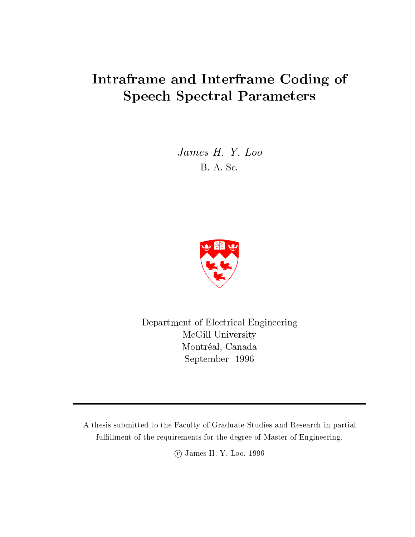## Intraframe and Interframe Coding of  $\sim$  spectral parameters  $\sim$  spectral  $\sim$

James H. Y. Loo B. A. Sc.



Department of Electrical Engineering McGill University Montréal, Canada September 1996

A thesis submitted to the Faculty of Graduate Studies and Research in partial fulfillment of the requirements for the degree of Master of Engineering.

c James H. Y. Loo, 1996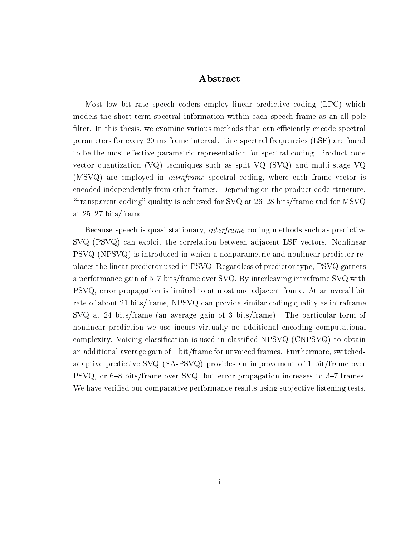### Abstract

Most low bit rate speech coders employ linear predictive coding (LPC) which models the short-term spectral information within each speech frame as an all-pole filter. In this thesis, we examine various methods that can efficiently encode spectral parameters for every 20 ms frame interval. Line spectral frequencies (LSF) are found to be the most effective parametric representation for spectral coding. Product code vector quantization (VQ) techniques such as split VQ (SVQ) and multi-stage VQ (MSVQ) are employed in *intraframe* spectral coding, where each frame vector is encoded independently from other frames. Depending on the product code structure, "transparent coding" quality is achieved for SVQ at  $26{-}28$  bits/frame and for MSVQ at  $25-27$  bits/frame.

Because speech is quasi-stationary, interframe coding methods such as predictive SVQ (PSVQ) can exploit the correlation between adjacent LSF vectors. Nonlinear PSVQ (NPSVQ) is introduced in which a nonparametric and nonlinear predictor replaces the linear predictor used in PSVQ. Regardless of predictor type, PSVQ garners a performance gain of 5-7 bits/frame over  $\rm{SVQ}$ . By interleaving intraframe  $\rm{SVQ}$  with PSVQ, error propagation is limited to at most one adjacent frame. At an overall bit rate of about 21 bits/frame, NPSVQ can provide similar coding quality as intraframe SVQ at 24 bits/frame (an average gain of 3 bits/frame). The particular form of nonlinear prediction we use incurs virtually no additional encoding computational complexity. Voicing classication is used in classied NPSVQ (CNPSVQ) to obtain an additional average gain of 1 bit/frame for unvoiced frames. Furthermore, switchedadaptive predictive SVQ (SA-PSVQ) provides an improvement of 1 bit/frame over PSVQ, or 6-8 bits/frame over SVQ, but error propagation increases to 3-7 frames. We have verified our comparative performance results using subjective listening tests.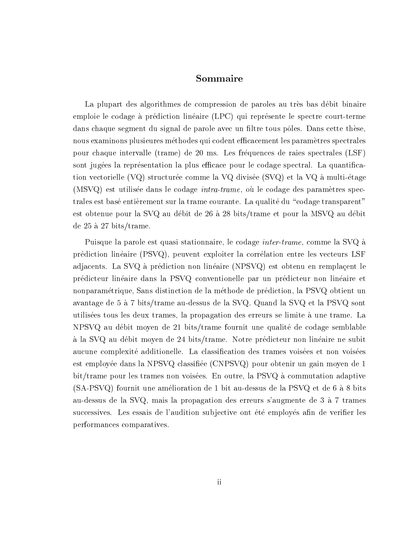### Sommaire

La plupart des algorithmes de compression de paroles au tres bas debit binaire emploie le codage à prédiction linéaire (LPC) qui représente le spectre court-terme dans chaque segment du signal de parole avec un filtre tous pôles. Dans cette thèse, nous examinons plusieures méthodes qui codent efficacement les paramètres spectrales pour chaque intervalle (trame) de 20 ms. Les frequences de raies spectrales (LSF) sont jugées la représentation la plus efficace pour le codage spectral. La quantification vectorielle (VQ) structurée comme la VQ divisée (SVQ) et la VQ à multi-étage (MSVQ) est utilisée dans le codage *intra-trame*, où le codage des paramètres spectrales est basé entièrement sur la trame courante. La qualité du "codage transparent" est obtenue pour la SVQ au débit de 26 à 28 bits/trame et pour la MSVQ au débit de 25 a 27 bits/trame.

Puisque la parole est quasi stationnaire, le codage inter-trame, comme la SVQ a prediction lineaire (PSVQ), peuvent exploiter la correlation entre les vecteurs LSF adjacents. La SVQ a prediction non lineaire (NPSVQ) est obtenu en remplacent le predicteur lineaire dans la PSVQ conventionelle par un predicteur non lineaire et nonparametrique, Sans distinction de la methode de prediction, la PSVQ obtient un avantage de 5 a 7 bits/trame au-dessus de la SVQ. Quand la SVQ et la PSVQ sont utilisees tous les deux trames, la propagation des erreurs se limite a une trame. La NPSVQ au debit moyen de 21 bits/trame fournit une qualite de codage semblable a la SVQ au debit moyen de 24 bits/trame. Notre predicteur non lineaire ne subit aucune complexite additionelle. La classication des trames voisees et non voisees est employée dans la NPSVQ classifiée (CNPSVQ) pour obtenir un gain moyen de 1 bit/trame pour les trames non voisées. En outre, la PSVQ à commutation adaptive  $(SA-PSVQ)$  fournit une amélioration de 1 bit au-dessus de la PSVQ et de 6 à 8 bits au-dessus de la SVQ, mais la propagation des erreurs s'augmente de 3 a 7 trames successives. Les essais de l'audition subjective ont été employés afin de verifier les performances comparatives.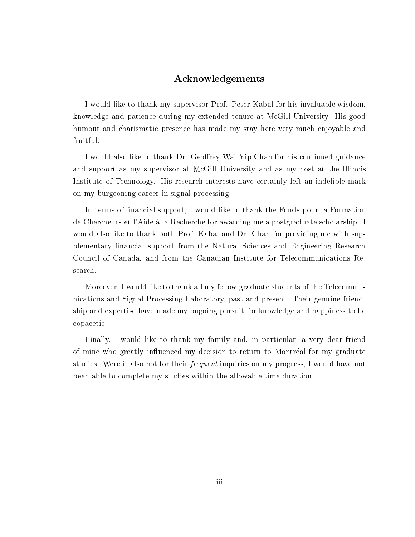### Acknowledgements

I would like to thank my supervisor Prof. Peter Kabal for his invaluable wisdom, knowledge and patience during my extended tenure at McGill University. His good humour and charismatic presence has made my stay here very much enjoyable and fruitful.

I would also like to thank Dr. Geoffrey Wai-Yip Chan for his continued guidance and support as my supervisor at McGill University and as my host at the Illinois Institute of Technology. His research interests have certainly left an indelible mark on my burgeoning career in signal processing.

In terms of financial support, I would like to thank the Fonds pour la Formation de Chercheurs et l'Aide a la Recherche for awarding me a postgraduate scholarship. I would also like to thank both Prof. Kabal and Dr. Chan for providing me with supplementary financial support from the Natural Sciences and Engineering Research Council of Canada, and from the Canadian Institute for Telecommunications Research.

Moreover, I would like to thank all my fellow graduate students of the Telecommunications and Signal Processing Laboratory, past and present. Their genuine friendship and expertise have made my ongoing pursuit for knowledge and happiness to be copacetic.

Finally, I would like to thank my family and, in particular, a very dear friend of mine who greatly in
uenced my decision to return to Montreal for my graduate studies. Were it also not for their frequent inquiries on my progress, I would have not been able to complete my studies within the allowable time duration.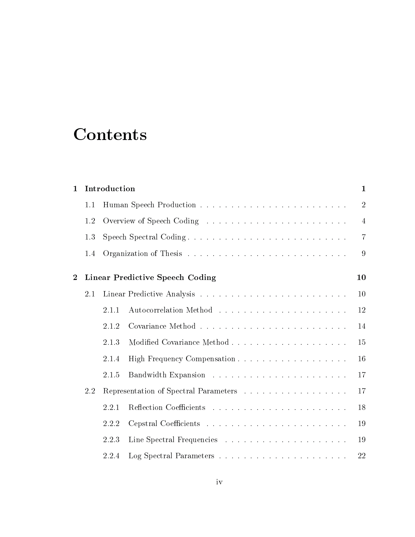# **Contents**

| $\mathbf{1}$   |     | Introduction |                                        | $\mathbf 1$    |
|----------------|-----|--------------|----------------------------------------|----------------|
|                | 1.1 |              |                                        | $\overline{2}$ |
|                | 1.2 |              |                                        | 4              |
|                | 1.3 |              | Speech Spectral Coding                 | $\overline{7}$ |
|                | 1.4 |              |                                        | 9              |
| $\overline{2}$ |     |              | <b>Linear Predictive Speech Coding</b> | 10             |
|                | 2.1 |              |                                        | 10             |
|                |     | 2.1.1        |                                        | 12             |
|                |     | 2.1.2        |                                        | 14             |
|                |     | 2.1.3        |                                        | 15             |
|                |     | 2.1.4        |                                        | 16             |
|                |     | 2.1.5        |                                        | 17             |
|                | 2.2 |              | Representation of Spectral Parameters  | 17             |
|                |     | 2.2.1        |                                        | 18             |
|                |     | 2.2.2        |                                        | 19             |
|                |     | 2.2.3        |                                        | 19             |
|                |     | 2.2.4        |                                        | 22             |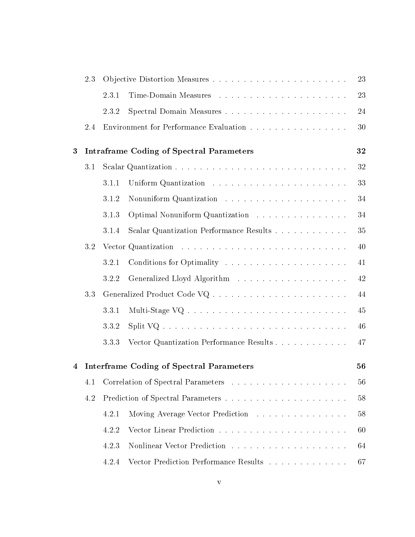|   | 2.3 |       |                                                 | 23 |
|---|-----|-------|-------------------------------------------------|----|
|   |     | 2.3.1 |                                                 | 23 |
|   |     | 2.3.2 |                                                 | 24 |
|   | 2.4 |       | Environment for Performance Evaluation          | 30 |
| 3 |     |       | <b>Intraframe Coding of Spectral Parameters</b> | 32 |
|   | 3.1 |       |                                                 | 32 |
|   |     | 3.1.1 |                                                 | 33 |
|   |     | 3.1.2 |                                                 | 34 |
|   |     | 3.1.3 | Optimal Nonuniform Quantization                 | 34 |
|   |     | 3.1.4 | Scalar Quantization Performance Results         | 35 |
|   | 3.2 |       |                                                 | 40 |
|   |     | 3.2.1 |                                                 | 41 |
|   |     | 3.2.2 |                                                 | 42 |
|   | 3.3 |       |                                                 | 44 |
|   |     | 3.3.1 |                                                 | 45 |
|   |     | 3.3.2 |                                                 | 46 |
|   |     | 3.3.3 | Vector Quantization Performance Results         | 47 |
| 4 |     |       | <b>Interframe Coding of Spectral Parameters</b> | 56 |
|   | 4.1 |       |                                                 | 56 |
|   | 4.2 |       |                                                 | 58 |
|   |     | 4.2.1 | Moving Average Vector Prediction                | 58 |
|   |     | 4.2.2 |                                                 | 60 |
|   |     | 4.2.3 |                                                 | 64 |
|   |     | 4.2.4 | Vector Prediction Performance Results           | 67 |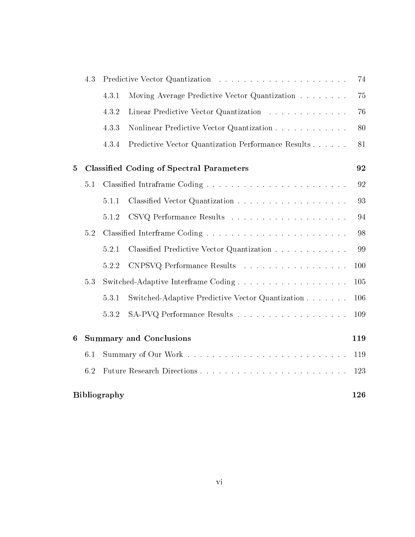|                  | 4.3 |                     |                                                    | 74  |
|------------------|-----|---------------------|----------------------------------------------------|-----|
|                  |     | 4.3.1               | Moving Average Predictive Vector Quantization      | 75  |
|                  |     | 4.3.2               | Linear Predictive Vector Quantization              | 76  |
|                  |     | 4.3.3               | Nonlinear Predictive Vector Quantization           | 80  |
|                  |     | 4.3.4               | Predictive Vector Quantization Performance Results | 81  |
| $\overline{5}$   |     |                     | <b>Classified Coding of Spectral Parameters</b>    | 92  |
|                  | 5.1 |                     |                                                    | 92  |
|                  |     | 5.1.1               |                                                    | 93  |
|                  |     | 5.1.2               |                                                    | 94  |
|                  | 5.2 |                     |                                                    | 98  |
|                  |     | 5.2.1               | Classified Predictive Vector Quantization          | 99  |
|                  |     | 5.2.2               | CNPSVQ Performance Results                         | 100 |
|                  | 5.3 |                     |                                                    | 105 |
|                  |     | 5.3.1               | Switched-Adaptive Predictive Vector Quantization   | 106 |
|                  |     | 5.3.2               | SA-PVQ Performance Results                         | 109 |
| $\boldsymbol{6}$ |     |                     | <b>Summary and Conclusions</b>                     | 119 |
|                  | 6.1 |                     |                                                    | 119 |
|                  | 6.2 |                     |                                                    | 123 |
|                  |     | <b>Bibliography</b> |                                                    | 126 |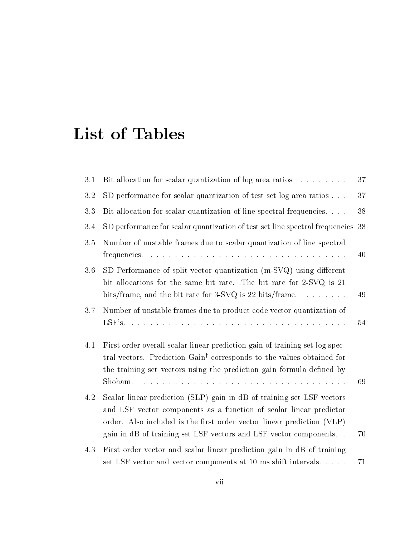| 3.1 | Bit allocation for scalar quantization of log area ratios.                                                                                                                                                                                                                                                                                                           | 37 |
|-----|----------------------------------------------------------------------------------------------------------------------------------------------------------------------------------------------------------------------------------------------------------------------------------------------------------------------------------------------------------------------|----|
| 3.2 | SD performance for scalar quantization of test set log area ratios                                                                                                                                                                                                                                                                                                   | 37 |
| 3.3 | Bit allocation for scalar quantization of line spectral frequencies                                                                                                                                                                                                                                                                                                  | 38 |
| 3.4 | SD performance for scalar quantization of test set line spectral frequencies 38                                                                                                                                                                                                                                                                                      |    |
| 3.5 | Number of unstable frames due to scalar quantization of line spectral                                                                                                                                                                                                                                                                                                | 40 |
| 3.6 | SD Performance of split vector quantization (m-SVQ) using different<br>bit allocations for the same bit rate. The bit rate for 2-SVQ is 21<br>bits/frame, and the bit rate for $3$ -SVQ is 22 bits/frame                                                                                                                                                             | 49 |
| 3.7 | Number of unstable frames due to product code vector quantization of                                                                                                                                                                                                                                                                                                 | 54 |
| 4.1 | First order overall scalar linear prediction gain of training set log spec-<br>tral vectors. Prediction Gain <sup>†</sup> corresponds to the values obtained for<br>the training set vectors using the prediction gain formula defined by<br>والمتعاونة والمتعاون والمتعاونة والمتعاونة والمتعاونة والمتعاونة والمتعاونة والمتعاونة والمتعاونة والمتعاونة<br>Shoham. | 69 |
| 4.2 | Scalar linear prediction (SLP) gain in dB of training set LSF vectors<br>and LSF vector components as a function of scalar linear predictor<br>order. Also included is the first order vector linear prediction (VLP)<br>gain in dB of training set LSF vectors and LSF vector components                                                                            | 70 |
| 4.3 | First order vector and scalar linear prediction gain in dB of training<br>set LSF vector and vector components at 10 ms shift intervals.                                                                                                                                                                                                                             | 71 |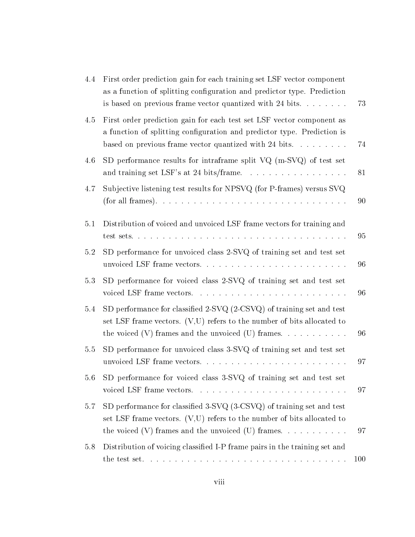| 4.4     | First order prediction gain for each training set LSF vector component<br>as a function of splitting configuration and predictor type. Prediction<br>is based on previous frame vector quantized with 24 bits. $\dots$ | 73  |
|---------|------------------------------------------------------------------------------------------------------------------------------------------------------------------------------------------------------------------------|-----|
| 4.5     | First order prediction gain for each test set LSF vector component as<br>a function of splitting configuration and predictor type. Prediction is<br>based on previous frame vector quantized with 24 bits. $\dots$     | 74  |
| 4.6     | SD performance results for intraframe split $VQ$ (m-SVQ) of test set                                                                                                                                                   | 81  |
| 4.7     | Subjective listening test results for NPSVQ (for P-frames) versus SVQ                                                                                                                                                  | 90  |
| 5.1     | Distribution of voiced and unvoiced LSF frame vectors for training and                                                                                                                                                 | 95  |
| $5.2\,$ | SD performance for unvoiced class 2-SVQ of training set and test set                                                                                                                                                   | 96  |
| 5.3     | SD performance for voiced class 2-SVQ of training set and test set<br>voiced LSF frame vectors                                                                                                                         | 96  |
| 5.4     | SD performance for classified 2-SVQ (2-CSVQ) of training set and test<br>set LSF frame vectors. $(V,U)$ refers to the number of bits allocated to<br>the voiced $(V)$ frames and the unvoiced $(U)$ frames.            | 96  |
| $5.5\,$ | SD performance for unvoiced class 3-SVQ of training set and test set<br>unvoiced LSF frame vectors                                                                                                                     | 97  |
| 5.6     | SD performance for voiced class 3-SVQ of training set and test set                                                                                                                                                     | 97  |
| 5.7     | SD performance for classified 3-SVQ (3-CSVQ) of training set and test<br>set LSF frame vectors. $(V,U)$ refers to the number of bits allocated to<br>the voiced $(V)$ frames and the unvoiced $(U)$ frames.            | 97  |
| 5.8     | Distribution of voicing classified I-P frame pairs in the training set and                                                                                                                                             |     |
|         |                                                                                                                                                                                                                        | 100 |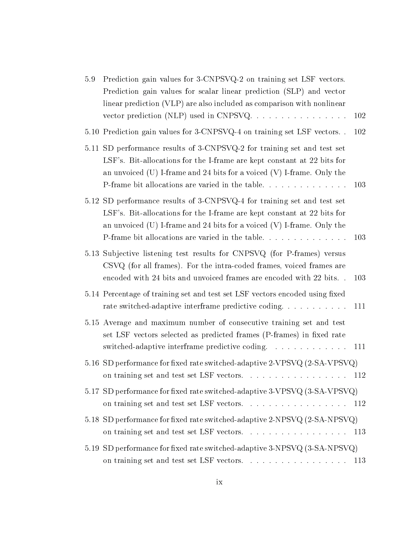| $5.9\,$ | Prediction gain values for 3-CNPSVQ-2 on training set LSF vectors.<br>Prediction gain values for scalar linear prediction (SLP) and vector<br>linear prediction (VLP) are also included as comparison with nonlinear                                                                        |
|---------|---------------------------------------------------------------------------------------------------------------------------------------------------------------------------------------------------------------------------------------------------------------------------------------------|
|         | vector prediction (NLP) used in CNPSVQ<br>102                                                                                                                                                                                                                                               |
|         | 5.10 Prediction gain values for 3-CNPSVQ-4 on training set LSF vectors<br>102                                                                                                                                                                                                               |
|         | 5.11 SD performance results of 3-CNPSVQ-2 for training set and test set<br>LSF's. Bit-allocations for the I-frame are kept constant at 22 bits for<br>an unvoiced $(U)$ I-frame and 24 bits for a voiced $(V)$ I-frame. Only the<br>P-frame bit allocations are varied in the table<br>103  |
|         | 5.12 SD performance results of 3-CNPSVQ-4 for training set and test set<br>LSF's. Bit-allocations for the I-frame are kept constant at 22 bits for<br>an unvoiced $(U)$ I-frame and 24 bits for a voiced $(V)$ I-frame. Only the<br>P-frame bit allocations are varied in the table.<br>103 |
|         | 5.13 Subjective listening test results for CNPSVQ (for P-frames) versus<br>CSVQ (for all frames). For the intra-coded frames, voiced frames are<br>encoded with 24 bits and unvoiced frames are encoded with 22 bits<br>103                                                                 |
|         | 5.14 Percentage of training set and test set LSF vectors encoded using fixed<br>rate switched-adaptive interframe predictive coding<br>111                                                                                                                                                  |
|         | 5.15 Average and maximum number of consecutive training set and test<br>set LSF vectors selected as predicted frames (P-frames) in fixed rate<br>switched-adaptive interframe predictive coding.<br>111                                                                                     |
|         | 5.16 SD performance for fixed rate switched-adaptive 2-VPSVQ (2-SA-VPSVQ)                                                                                                                                                                                                                   |
|         | 5.17 SD performance for fixed rate switched-adaptive 3-VPSVQ (3-SA-VPSVQ)<br>on training set and test set LSF vectors. $\ldots \ldots \ldots \ldots \ldots \ldots$<br>112                                                                                                                   |
|         | 5.18 SD performance for fixed rate switched-adaptive 2-NPSVQ (2-SA-NPSVQ)<br>on training set and test set LSF vectors.<br>113                                                                                                                                                               |
| 5.19    | SD performance for fixed rate switched-adaptive 3-NPSVQ (3-SA-NPSVQ)<br>on training set and test set LSF vectors<br>113                                                                                                                                                                     |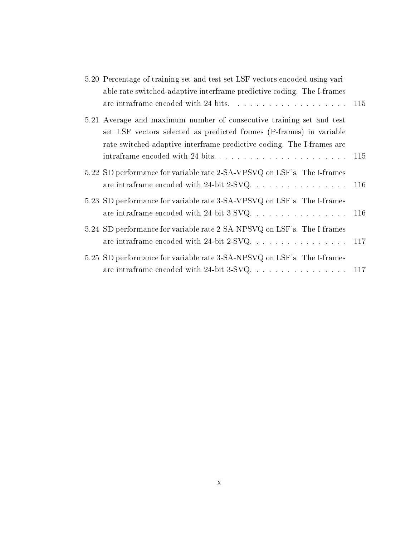| 5.20 Percentage of training set and test set LSF vectors encoded using vari-<br>able rate switched-adaptive interframe predictive coding. The I-frames                                                               |  |
|----------------------------------------------------------------------------------------------------------------------------------------------------------------------------------------------------------------------|--|
| are intraframe encoded with 24 bits. $\ldots \ldots \ldots \ldots \ldots \ldots \ldots 115$                                                                                                                          |  |
| 5.21 Average and maximum number of consecutive training set and test<br>set LSF vectors selected as predicted frames (P-frames) in variable<br>rate switched-adaptive interframe predictive coding. The I-frames are |  |
|                                                                                                                                                                                                                      |  |
| 5.22 SD performance for variable rate 2-SA-VPSVQ on LSF's. The I-frames                                                                                                                                              |  |
| 5.23 SD performance for variable rate 3-SA-VPSVQ on LSF's. The I-frames                                                                                                                                              |  |
| 5.24 SD performance for variable rate 2-SA-NPSVQ on LSF's. The I-frames<br>are intraframe encoded with 24-bit 2-SVQ. 117                                                                                             |  |
| 5.25 SD performance for variable rate 3-SA-NPSVQ on LSF's. The I-frames<br>are intraframe encoded with 24-bit 3-SVQ. $\ldots$ 117                                                                                    |  |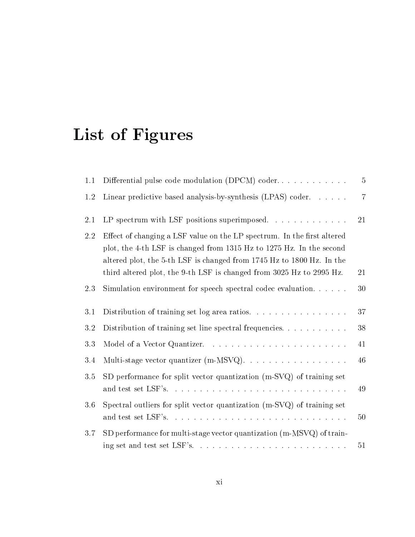# List of Figures

| 1.1     | Differential pulse code modulation (DPCM) coder                                                                                                                                                                          | $\overline{5}$ |
|---------|--------------------------------------------------------------------------------------------------------------------------------------------------------------------------------------------------------------------------|----------------|
| 1.2     | Linear predictive based analysis-by-synthesis (LPAS) coder. $\dots$ .                                                                                                                                                    | $\overline{7}$ |
| 2.1     |                                                                                                                                                                                                                          | 21             |
| 2.2     | Effect of changing a LSF value on the LP spectrum. In the first altered<br>plot, the 4-th LSF is changed from 1315 Hz to 1275 Hz. In the second<br>altered plot, the 5-th LSF is changed from 1745 Hz to 1800 Hz. In the |                |
|         | third altered plot, the 9-th LSF is changed from 3025 Hz to 2995 Hz.                                                                                                                                                     | 21             |
| 2.3     | Simulation environment for speech spectral codec evaluation                                                                                                                                                              | 30             |
| 3.1     | Distribution of training set log area ratios.                                                                                                                                                                            | 37             |
| $3.2\,$ | Distribution of training set line spectral frequencies.                                                                                                                                                                  | $38\,$         |
| $3.3\,$ |                                                                                                                                                                                                                          | 41             |
| 3.4     |                                                                                                                                                                                                                          | 46             |
| 3.5     | SD performance for split vector quantization (m-SVQ) of training set                                                                                                                                                     | 49             |
| 3.6     | Spectral outliers for split vector quantization (m-SVQ) of training set                                                                                                                                                  |                |
|         |                                                                                                                                                                                                                          | 50             |
| 3.7     | SD performance for multi-stage vector quantization (m-MSVQ) of train-                                                                                                                                                    |                |
|         | ing set and test set $LSF's. \ldots \ldots \ldots \ldots \ldots \ldots \ldots \ldots \ldots$                                                                                                                             | 51             |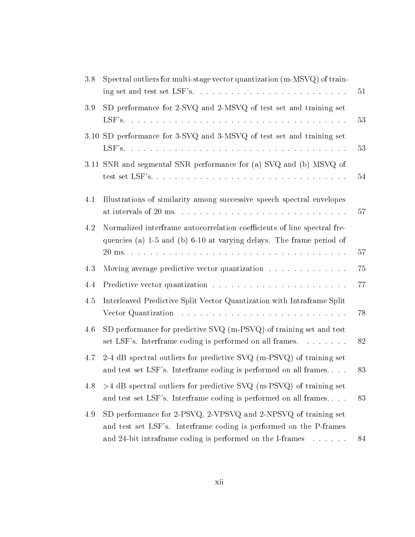| 3.8  | Spectral outliers for multi-stage vector quantization (m-MSVQ) of train-                                                                                                   | 51 |
|------|----------------------------------------------------------------------------------------------------------------------------------------------------------------------------|----|
| 3.9  | SD performance for 2-SVQ and 2-MSVQ of test set and training set                                                                                                           | 53 |
| 3.10 | SD performance for 3-SVQ and 3-MSVQ of test set and training set                                                                                                           | 53 |
|      | 3.11 SNR and segmental SNR performance for (a) SVQ and (b) MSVQ of                                                                                                         | 54 |
| 4.1  | Illustrations of similarity among successive speech spectral envelopes<br>at intervals of 20 ms. $\dots \dots \dots \dots \dots \dots \dots \dots \dots \dots \dots \dots$ | 57 |
| 4.2  | Normalized interframe autocorrelation coefficients of line spectral fre-<br>quencies (a) 1-5 and (b) 6-10 at varying delays. The frame period of                           | 57 |
| 4.3  | Moving average predictive vector quantization                                                                                                                              | 75 |
| 4.4  |                                                                                                                                                                            | 77 |
| 4.5  | Interleaved Predictive Split Vector Quantization with Intraframe Split<br>Vector Quantization                                                                              | 78 |
| 4.6  | SD performance for predictive SVQ (m-PSVQ) of training set and test<br>set LSF's. Interframe coding is performed on all frames.                                            | 82 |
|      |                                                                                                                                                                            |    |
| 4.7  | 2-4 dB spectral outliers for predictive SVQ (m-PSVQ) of training set<br>and test set LSF's. Interframe coding is performed on all frames                                   | 83 |
| 4.8  | $>4$ dB spectral outliers for predictive SVQ (m-PSVQ) of training set<br>and test set LSF's. Interframe coding is performed on all frames                                  | 83 |
| 4.9  | SD performance for 2-PSVQ, 2-VPSVQ and 2-NPSVQ of training set<br>and test set LSF's. Interframe coding is performed on the P-frames                                       |    |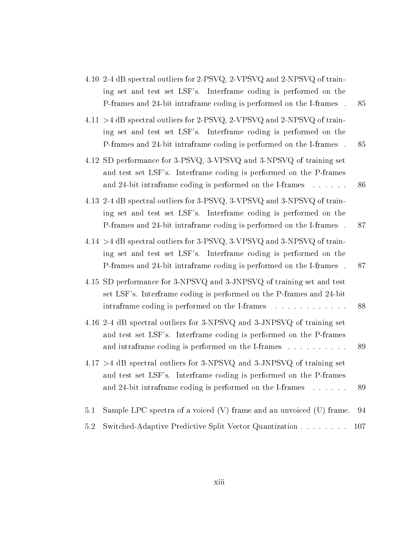|     | 4.10 2-4 dB spectral outliers for 2-PSVQ, 2-VPSVQ and 2-NPSVQ of train-<br>ing set and test set LSF's. Interframe coding is performed on the<br>P-frames and 24-bit intraframe coding is performed on the I-frames. | 85   |
|-----|---------------------------------------------------------------------------------------------------------------------------------------------------------------------------------------------------------------------|------|
|     | 4.11 >4 dB spectral outliers for 2-PSVQ, 2-VPSVQ and 2-NPSVQ of train-<br>ing set and test set LSF's. Interframe coding is performed on the<br>P-frames and 24-bit intraframe coding is performed on the I-frames.  | 85   |
|     | 4.12 SD performance for 3-PSVQ, 3-VPSVQ and 3-NPSVQ of training set<br>and test set LSF's. Interframe coding is performed on the P-frames<br>and 24-bit intraframe coding is performed on the I-frames              | 86   |
|     | 4.13 2-4 dB spectral outliers for 3-PSVQ, 3-VPSVQ and 3-NPSVQ of train-<br>ing set and test set LSF's. Interframe coding is performed on the<br>P-frames and 24-bit intraframe coding is performed on the I-frames. | 87   |
|     | 4.14 >4 dB spectral outliers for 3-PSVQ, 3-VPSVQ and 3-NPSVQ of train-<br>ing set and test set LSF's. Interframe coding is performed on the<br>P-frames and 24-bit intraframe coding is performed on the I-frames.  | 87   |
|     | 4.15 SD performance for 3-NPSVQ and 3-JNPSVQ of training set and test<br>set LSF's. Interframe coding is performed on the P-frames and 24-bit<br>intraframe coding is performed on the I-frames                     | 88   |
|     | 4.16 2-4 dB spectral outliers for 3-NPSVQ and 3-JNPSVQ of training set<br>and test set LSF's. Interframe coding is performed on the P-frames<br>and intraframe coding is performed on the I-frames                  | 89   |
|     | $4.17 > 4$ dB spectral outliers for 3-NPSVQ and 3-JNPSVQ of training set<br>and test set LSF's. Interframe coding is performed on the P-frames<br>and 24-bit intraframe coding is performed on the I-frames         | 89   |
| 5.1 | Sample LPC spectra of a voiced $(V)$ frame and an unvoiced $(U)$ frame.                                                                                                                                             | 94   |
| 5.2 | Switched-Adaptive Predictive Split Vector Quantization                                                                                                                                                              | -107 |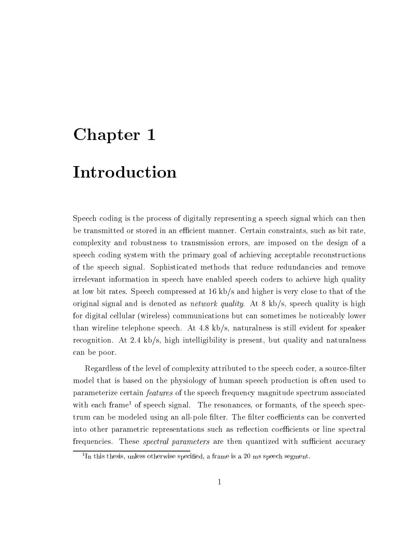# Chapter <sup>1</sup>

# Introduction

Speech coding is the process of digitally representing a speech signal which can then be transmitted or stored in an efficient manner. Certain constraints, such as bit rate, complexity and robustness to transmission errors, are imposed on the design of a speech coding system with the primary goal of achieving acceptable reconstructions of the speech signal. Sophisticated methods that reduce redundancies and remove irrelevant information in speech have enabled speech coders to achieve high quality at low bit rates. Speech compressed at 16 kb/s and higher is very close to that of the original signal and is denoted as *network quality*. At  $8 \text{ kb/s}$ , speech quality is high for digital cellular (wireless) communications but can sometimes be noticeably lower than wireline telephone speech. At 4.8 kb/s, naturalness is still evident for speaker recognition. At 2.4 kb/s, high intelligibility is present, but quality and naturalness can be poor.

Regardless of the level of complexity attributed to the speech coder, a source-filter model that is based on the physiology of human speech production is often used to parameterize certain features of the speech frequency magnitude spectrum associated with each frame<sup>1</sup> of speech signal. The resonances, or formants, of the speech spectrum can be modeled using an all-pole filter. The filter coefficients can be converted into other parametric representations such as reflection coefficients or line spectral frequencies. These *spectral parameters* are then quantized with sufficient accuracy

<sup>1</sup> In this thesis, unless otherwise specied, a frame is a 20 ms speech segment.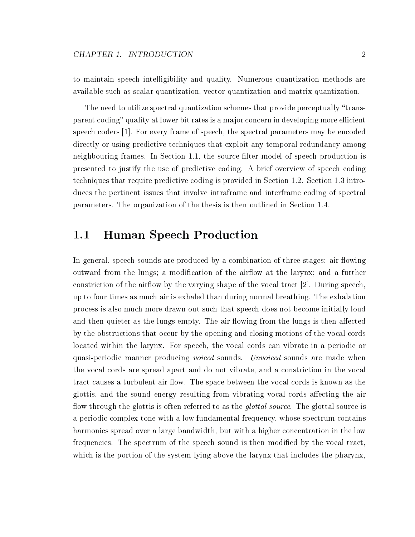to maintain speech intelligibility and quality. Numerous quantization methods are available such asscalar quantization, vector quantization and matrix quantization.

The need to utilize spectral quantization schemes that provide perceptually "transparent coding" quality at lower bit rates is a major concern in developing more efficient speech coders [1]. For every frame of speech, the spectral parameters may be encoded directly or using predictive techniques that exploit any temporal redundancy among neighbouring frames. In Section 1.1, the source-filter model of speech production is presented to justify the use of predictive coding. A brief overview of speech coding techniques that require predictive coding is provided in Section 1.2. Section 1.3 introduces the pertinent issues that involve intraframe and interframe coding of spectral parameters. The organization of the thesis is then outlined in Section 1.4.

#### $1.1$ **Human Speech Production**

In general, speech sounds are produced by a combination of three stages: air flowing outward from the lungs; a modification of the airflow at the larynx; and a further constriction of the airflow by the varying shape of the vocal tract  $[2]$ . During speech, up to four times as much air is exhaled than during normal breathing. The exhalation process is also much more drawn out such that speech does not become initially loud and then quieter as the lungs empty. The air flowing from the lungs is then affected by the obstructions that occur by the opening and closing motions of the vocal cords located within the larynx. For speech, the vocal cords can vibrate in a periodic or quasi-periodic manner producing *voiced* sounds. Unvoiced sounds are made when the vocal cords are spread apart and do not vibrate, and a constriction in the vocal tract causes a turbulent air flow. The space between the vocal cords is known as the glottis, and the sound energy resulting from vibrating vocal cords affecting the air flow through the glottis is often referred to as the *glottal source*. The glottal source is a periodic complex tone with a low fundamental frequency, whose spectrum contains harmonics spread over a large bandwidth, but with a higher concentration in the low frequencies. The spectrum of the speech sound is then modified by the vocal tract, which is the portion of the system lying above the larynx that includes the pharynx,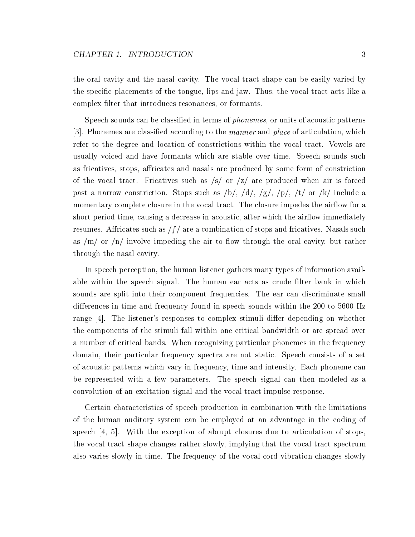the oral cavity and the nasal cavity. The vocal tract shape can be easily varied by the specic placements of the tongue, lips and jaw. Thus, the vocal tract acts like a complex filter that introduces resonances, or formants.

Speech sounds can be classified in terms of *phonemes*, or units of acoustic patterns  $|3|$ . Phonemes are classified according to the *manner* and *place* of articulation, which refer to the degree and location of constrictions within the vocal tract. Vowels are usually voiced and have formants which are stable over time. Speech sounds such as fricatives, stops, affricates and nasals are produced by some form of constriction of the vocal tract. Fricatives such as  $\sqrt{s}$  or  $\sqrt{z}$  are produced when air is forced past a narrow constriction. Stops such as  $/b/$ ,  $/d/$ ,  $/g/$ ,  $/p/$ ,  $/t/$  or  $/k/$  include a momentary complete closure in the vocal tract. The closure impedes the airflow for a short period time, causing a decrease in acoustic, after which the airflow immediately resumes. Affricates such as  $/f$  are a combination of stops and fricatives. Nasals such as  $/m/$  or  $/n/$  involve impeding the air to flow through the oral cavity, but rather through the nasal cavity.

In speech perception, the human listener gathers many types of information available within the speech signal. The human ear acts as crude filter bank in which sounds are split into their component frequencies. The ear can discriminate small differences in time and frequency found in speech sounds within the 200 to 5600 Hz range  $[4]$ . The listener's responses to complex stimuli differ depending on whether the components of the stimuli fall within one critical bandwidth or are spread over a number of critical bands. When recognizing particular phonemes in the frequency domain, their particular frequency spectra are not static. Speech consists of a set of acoustic patterns which vary in frequency, time and intensity. Each phoneme can be represented with a few parameters. The speech signal can then modeled as a convolution of an excitation signal and the vocal tract impulse response.

Certain characteristics of speech production in combination with the limitations of the human auditory system can be employed at an advantage in the coding of speech [4, 5]. With the exception of abrupt closures due to articulation of stops, the vocal tract shape changes rather slowly, implying that the vocal tract spectrum also varies slowly in time. The frequency of the vocal cord vibration changes slowly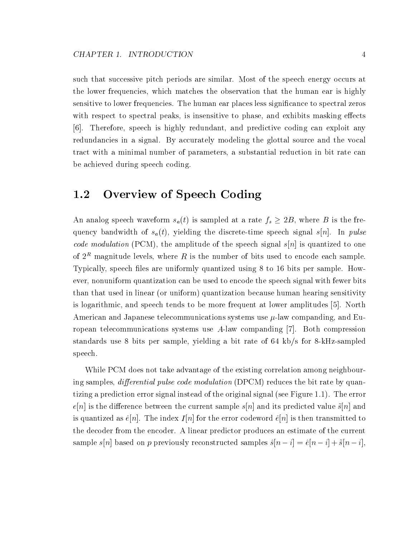such that successive pitch periods are similar. Most of the speech energy occurs at the lower frequencies, which matches the observation that the human ear is highly sensitive to lower frequencies. The human ear places less signicance to spectral zeros with respect to spectral peaks, is insensitive to phase, and exhibits masking effects [6]. Therefore, speech ishighly redundant, and predictive coding can exploit any redundancies in a signal. By accurately modeling the glottal source and the vocal tract with a minimal number of parameters, a substantial reduction in bit rate can be achieved during speech coding.

## 1.2 Overview of Speech Coding

An analog speech waveform  $s_{\theta}(t)$  is sampled at a rate  $fs \leq 2B$ , where B is the frequency bandwidth of  $s_a(t)$ , yielding the discrete-time speech signal s[n]. In pulse *code modulation* (PCM), the amplitude of the speech signal  $s[n]$  is quantized to one of  $2^R$  magnitude levels, where R is the number of bits used to encode each sample. Typically, speech files are uniformly quantized using 8 to 16 bits per sample. However, nonuniform quantization can be used to encode the speech signal with fewer bits than that used in linear (or uniform) quantization because human hearing sensitivity is logarithmic, and speech tends to be more frequent at lower amplitudes [5]. North American and Japanese telecommunications systems use  $\mu$ -law companding, and European telecommunications systems use A-law companding [7]. Both compression standards use 8 bits per sample, yielding a bit rate of 64 kb/s for 8-kHz-sampled speech.

While PCM does not take advantage of the existing correlation among neighbouring samples, *differential pulse code modulation* (DPCM) reduces the bit rate by quantizing a prediction error signal instead of the original signal (see Figure 1.1). The error  $e[n]$  is the difference between the current sample  $s[n]$  and its predicted value  $\tilde{s}[n]$  and is quantized as  $\hat{e}[n]$ . The index  $I[n]$  for the error codeword  $\hat{e}[n]$  is then transmitted to the decoder from the encoder. A linear predictor produces an estimate of the current sample sample spins spins spins spins samples samples samples samples samples samples samples samples samples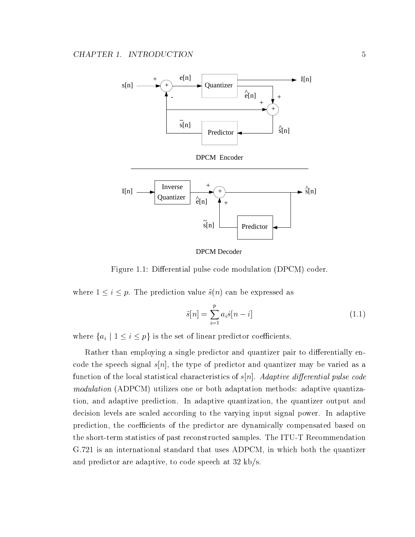

DPCM Decoder

Figure 1.1: Differential pulse code modulation (DPCM) coder.

where  $1 \equiv 1 \equiv 1 \equiv 1$  , the prediction value states of  $\{1,2\}$  cannot be expressed as well as

$$
\tilde{s}[n] = \sum_{i=1}^{p} a_i \hat{s}[n-i] \tag{1.1}
$$

where  $\{a_i \mid 1 \leq i \leq p\}$  is the set of linear predictor coefficients.

Rather than employing a single predictor and quantizer pair to differentially encode the speech signal  $s[n]$ , the type of predictor and quantizer may be varied as a function of the local statistical characteristics of  $s[n]$ . Adaptive differential pulse code modulation (ADPCM) utilizes one or both adaptation methods: adaptive quantization, and adaptive prediction. In adaptive quantization, the quantizer output and decision levels are scaled according to the varying input signal power. In adaptive prediction, the coefficients of the predictor are dynamically compensated based on the short-term statistics of past reconstructed samples. The ITU-T Recommendation G.721 is an international standard that uses ADPCM, in which both the quantizer and predictor are adaptive, to code speech at 32 kb/s.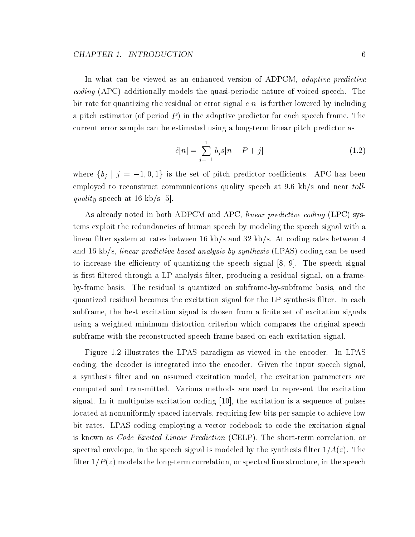#### CHAPTER 1. INTRODUCTION

In what can be viewed as an enhanced version of ADPCM, *adaptive predictive* coding (APC) additionally models the quasi-periodic nature of voiced speech. The bit rate for quantizing the residual or error signal  $e[n]$  is further lowered by including a pitch estimator (of period  $P$ ) in the adaptive predictor for each speech frame. The current error sample can be estimated using a long-term linear pitch predictor as

$$
\tilde{e}[n] = \sum_{j=-1}^{1} b_j s[n - P + j] \tag{1.2}
$$

where  $\{b_j \mid j = -1, 0, 1\}$  is the set of pitch predictor coefficients. APC has been employed to reconstruct communications quality speech at 9.6 kb/s and near toll*quality* speech at 16 kb/s [5].

As already noted in both ADPCM and APC, *linear predictive coding* (LPC) systems exploit the redundancies of human speech by modeling the speech signal with a linear filter system at rates between 16 kb/s and 32 kb/s. At coding rates between 4 and 16 kb/s, linear predictive based analysis-by-synthesis (LPAS) coding can be used to increase the efficiency of quantizing the speech signal  $[8, 9]$ . The speech signal is first filtered through a LP analysis filter, producing a residual signal, on a frameby-frame basis. The residual is quantized on subframe-by-subframe basis, and the quantized residual becomes the excitation signal for the LP synthesis filter. In each subframe, the best excitation signal is chosen from a finite set of excitation signals using a weighted minimum distortion criterion which compares the original speech subframe with the reconstructed speech frame based on each excitation signal.

Figure 1.2 illustrates the LPAS paradigm as viewed in the encoder. In LPAS coding, the decoder is integrated into the encoder. Given the input speech signal, a synthesis filter and an assumed excitation model, the excitation parameters are computed and transmitted. Various methods are used to represent the excitation signal. In it multipulse excitation coding [10], the excitation is a sequence of pulses located at nonuniformly spaced intervals, requiring few bits per sample to achieve low bit rates. LPAS coding employing a vector codebook to code the excitation signal is known as *Code Excited Linear Prediction* (CELP). The short-term correlation, or spectral envelope, in the speech signal is modeled by the synthesis filter  $1/A(z)$ . The filter  $1/P(z)$  models the long-term correlation, or spectral fine structure, in the speech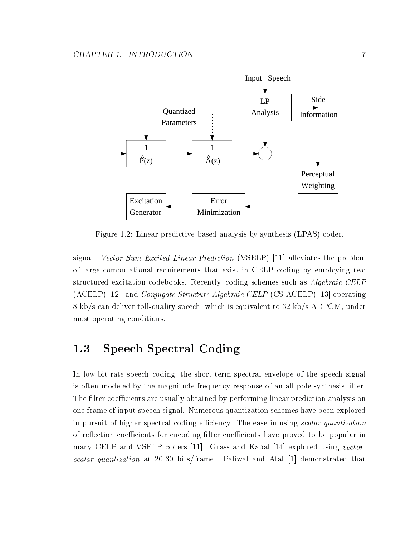

Figure 1.2: Linear predictive based analysis-by-synthesis (LPAS) coder.

signal. Vector Sum Excited Linear Prediction (VSELP) [11] alleviates the problem of large computational requirements that exist in CELP coding by employing two structured excitation codebooks. Recently, coding schemes such as *Algebraic CELP* (ACELP) [12], and Conjugate Structure Algebraic CELP (CS-ACELP) [13] operating 8 kb/s can deliver toll-quality speech, which is equivalent to 32 kb/s ADPCM, under most operating conditions.

## 1.3 Speech Spectral Coding

In low-bit-rate speech coding, the short-term spectral envelope of the speech signal is often modeled by the magnitude frequency response of an all-pole synthesis filter. The filter coefficients are usually obtained by performing linear prediction analysis on one frame of input speech signal. Numerous quantization schemes have been explored in pursuit of higher spectral coding efficiency. The ease in using scalar quantization of reflection coefficients for encoding filter coefficients have proved to be popular in many CELP and VSELP coders [11]. Grass and Kabal [14] explored using vectorscalar quantization at 20-30 bits/frame. Paliwal and Atal [1] demonstrated that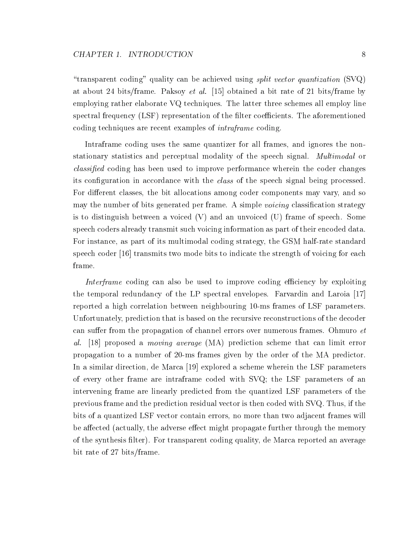"transparent coding" quality can be achieved using *split vector quantization*  $(SVQ)$ at about 24 bits/frame. Paksoy et al. [15] obtained a bit rate of 21 bits/frame by employing rather elaborate VQ techniques. The latter three schemes all employ line spectral frequency  $(LSF)$  representation of the filter coefficients. The aforementioned coding techniques are recent examples of intraframe coding.

Intraframe coding uses the same quantizer for all frames, and ignores the nonstationary statistics and perceptual modality of the speech signal. Multimodal or classied coding has been used to improve performance wherein the coder changes its configuration in accordance with the *class* of the speech signal being processed. For different classes, the bit allocations among coder components may vary, and so may the number of bits generated per frame. A simple *voicing* classification strategy is to distinguish between a voiced (V) and an unvoiced (U) frame of speech. Some speech coders already transmit such voicing information as part of their encoded data. For instance, as part of its multimodal coding strategy, the GSM half-rate standard speech coder [16] transmits two mode bits to indicate the strength of voicing for each frame.

Interframe coding can also be used to improve coding efficiency by exploiting the temporal redundancy of the LP spectral envelopes. Farvardin and Laroia [17] reported a high correlation between neighbouring 10-ms frames of LSF parameters. Unfortunately, prediction that is based on the recursive reconstructions of the decoder can suffer from the propagation of channel errors over numerous frames. Ohmuro  $et$ al. [18] proposed a moving average (MA) prediction scheme that can limit error propagation to a number of 20-ms frames given by the order of the MA predictor. In a similar direction, de Marca [19] explored a scheme wherein the LSF parameters of every other frame are intraframe coded with SVQ; the LSF parameters of an intervening frame are linearly predicted from the quantized LSF parameters of the previous frame and the prediction residual vector is then coded with SVQ. Thus, if the bits of a quantized LSF vector contain errors, no more than two adjacent frames will be affected (actually, the adverse effect might propagate further through the memory of the synthesis filter). For transparent coding quality, de Marca reported an average bit rate of 27 bits/frame.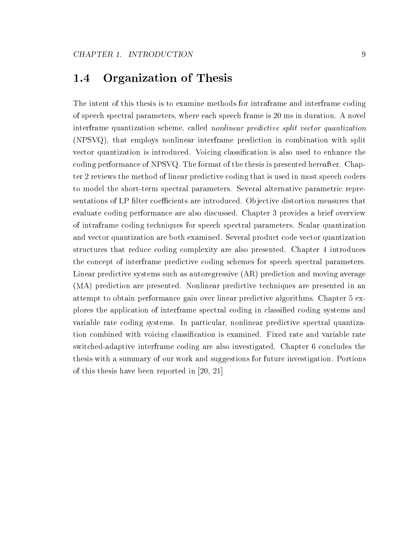#### **Organization of Thesis**  $1.4$

The intent of this thesis is to examine methods for intraframe and interframe coding of speech spectral parameters, where each speech frame is 20 ms in duration. A novel interframe quantization scheme, called nonlinear predictive split vector quantization (NPSVQ), that employs nonlinear interframe prediction in combination with split vector quantization is introduced. Voicing classication is also used to enhance the coding performance of NPSVQ. The format of the thesis is presented hereafter. Chapter 2 reviews the method of linear predictive coding that is used in most speech coders to model the short-term spectral parameters. Several alternative parametric representations of LP filter coefficients are introduced. Objective distortion measures that evaluate coding performance are also discussed. Chapter 3 provides a brief overview of intraframe coding techniques for speech spectral parameters. Scalar quantization and vector quantization are both examined. Several product code vector quantization structures that reduce coding complexity are also presented. Chapter 4 introduces the concept of interframe predictive coding schemes for speech spectral parameters. Linear predictive systems such as autoregressive (AR) prediction and moving average (MA) prediction are presented. Nonlinear predictive techniques are presented in an attempt to obtain performance gain over linear predictive algorithms. Chapter 5 explores the application of interframe spectral coding in classied coding systems and variable rate coding systems. In particular, nonlinear predictive spectral quantization combined with voicing classification is examined. Fixed rate and variable rate switched-adaptive interframe coding are also investigated. Chapter 6 concludes the thesis with a summary of our work and suggestions for future investigation. Portions of this thesis have been reported in [20, 21]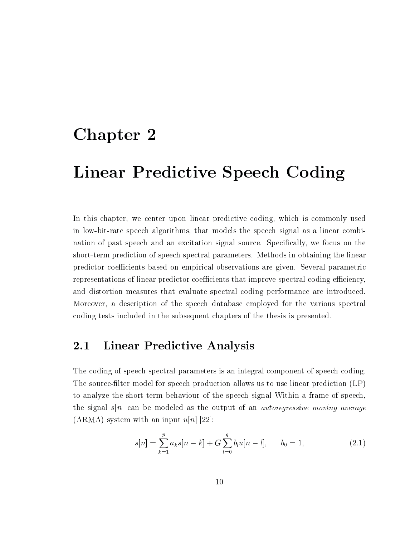# Chapter <sup>2</sup>

# Linear Predictive Speech Coding

In this chapter, we center upon linear predictive coding, which is commonly used in low-bit-rate speech algorithms, that models the speech signal as a linear combination of past speech and an excitation signal source. Specifically, we focus on the short-term prediction of speech spectral parameters. Methods in obtaining the linear predictor coefficients based on empirical observations are given. Several parametric representations of linear predictor coefficients that improve spectral coding efficiency, and distortion measures that evaluate spectral coding performance are introduced. Moreover, a description of the speech database employed for the various spectral coding tests included in the subsequent chapters of the thesis is presented.

#### $2.1$ **Linear Predictive Analysis**

The coding of speech spectral parameters is an integral component of speech coding. The source-filter model for speech production allows us to use linear prediction (LP) to analyze the short-term behaviour of the speech signal Within a frame of speech, the signal s[n] can be modeled as the output of an *autoregressive moving average*  $(ARMA)$  system with an input  $u[n]$  [22]:

$$
s[n] = \sum_{k=1}^{p} a_k s[n-k] + G \sum_{l=0}^{q} b_l u[n-l], \qquad b_0 = 1,
$$
 (2.1)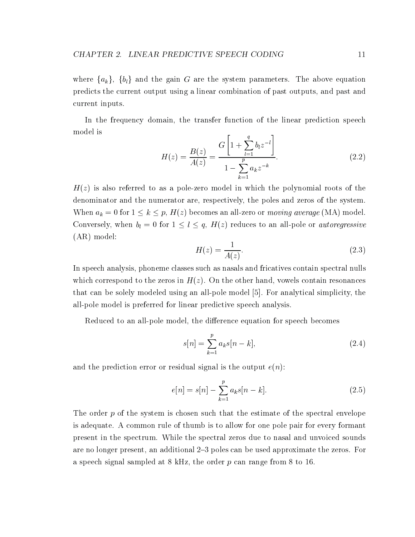where  $\{a_k\}$ ,  $\{b_l\}$  and the gain G are the system parameters. The above equation predicts the current output using a linear combination of past outputs, and past and current inputs.

In the frequency domain, the transfer function of the linear prediction speech model is

$$
H(z) = \frac{B(z)}{A(z)} = \frac{G\left[1 + \sum_{l=1}^{q} b_l z^{-l}\right]}{1 - \sum_{k=1}^{p} a_k z^{-k}}.
$$
\n(2.2)

 $H(z)$  is also referred to as a pole-zero model in which the polynomial roots of the denominator and the numerator are, respectively, the poles and zeros of the system. When  $a_k = 0$  for  $1 \leq k \leq p$ ,  $H(z)$  becomes an an-zero or *moving average* (MA) model. Conversely, when  $\eta = 0$  for  $1 \leq i \leq q$ , H(z) reduces to an all-pole or *autoregressive* (AR) model:

$$
H(z) = \frac{1}{A(z)}.\tag{2.3}
$$

In speech analysis, phoneme classes such as nasals and fricatives contain spectral nulls which correspond to the zeros in  $H(z)$ . On the other hand, vowels contain resonances that can be solely modeled using an all-pole model [5]. For analytical simplicity, the all-pole model is preferred for linear predictive speech analysis.

Reduced to an all-pole model, the difference equation for speech becomes

$$
s[n] = \sum_{k=1}^{p} a_k s[n-k],
$$
\n(2.4)

and the prediction error or residual signal is the output  $e(n)$ :

$$
e[n] = s[n] - \sum_{k=1}^{p} a_k s[n-k].
$$
 (2.5)

The order  $p$  of the system is chosen such that the estimate of the spectral envelope is adequate. A common rule of thumb is to allow for one pole pair for every formant present in the spectrum. While the spectral zeros due to nasal and unvoiced sounds are no longer present, an additional 2{3 poles can be used approximate the zeros. For a speech signal sampled at 8 kHz, the order  $p$  can range from 8 to 16.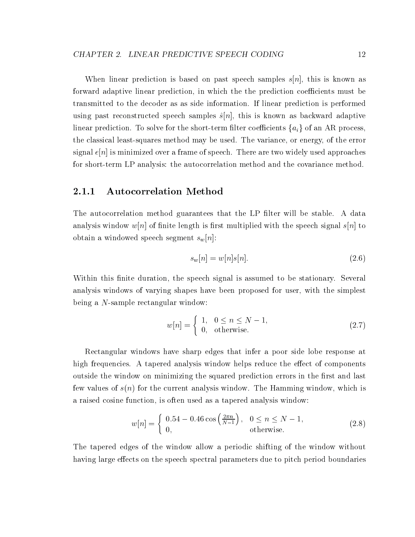When linear prediction is based on past speech samples  $s[n]$ , this is known as forward adaptive linear prediction, in which the the prediction coefficients must be transmitted to the decoder as as side information. If linear prediction is performed using past reconstructed speech samples  $\hat{s}[n]$ , this is known as backward adaptive linear prediction. To solve for the short-term filter coefficients  $\{a_i\}$  of an AR process. the classical least-squares method may be used. The variance, or energy, of the error signal  $e[n]$  is minimized over a frame of speech. There are two widely used approaches for short-term LP analysis: the autocorrelation method and the covariance method.

### 2.1.1 Autocorrelation Method

The autocorrelation method guarantees that the LP filter will be stable. A data analysis window  $w[n]$  of finite length is first multiplied with the speech signal  $s[n]$  to obtain a windowed speech segment  $s_w[n]$ :

$$
s_w[n] = w[n]s[n].\tag{2.6}
$$

Within this finite duration, the speech signal is assumed to be stationary. Several analysis windows of varying shapes have been proposed for user, with the simplest being a N-sample rectangular window:

$$
w[n] = \begin{cases} 1, & 0 \le n \le N - 1, \\ 0, & \text{otherwise.} \end{cases}
$$
 (2.7)

Rectangular windows have sharp edges that infer a poor side lobe response at high frequencies. A tapered analysis window helps reduce the effect of components outside the window on minimizing the squared prediction errors in the first and last few values of  $s(n)$  for the current analysis window. The Hamming window, which is a raised cosine function, is often used asa tapered analysis window:

$$
w[n] = \begin{cases} 0.54 - 0.46 \cos\left(\frac{2\pi n}{N-1}\right), & 0 \le n \le N-1, \\ 0, & \text{otherwise.} \end{cases}
$$
 (2.8)

The tapered edges of the window allow a periodic shifting of the window without having large effects on the speech spectral parameters due to pitch period boundaries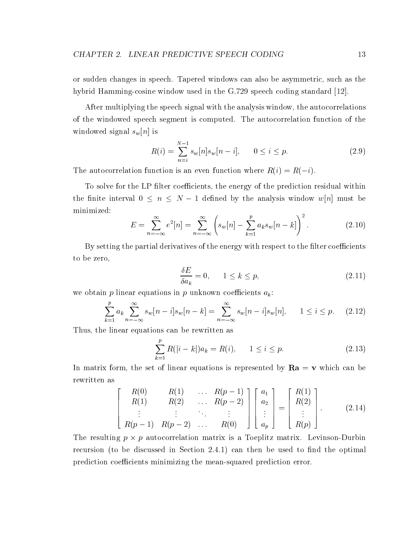or sudden changes in speech. Tapered windows can also be asymmetric, such as the hybrid Hamming-cosine window used in the G.729 speech coding standard [12].

After multiplying the speech signal with the analysis window, the autocorrelations of the windowed speech segment is computed. The autocorrelation function of the windowed signal  $s_w[n]$  is

$$
R(i) = \sum_{n=i}^{N-1} s_w[n] s_w[n-i], \qquad 0 \le i \le p. \tag{2.9}
$$

The autocorrelation function is an even function where  $R(i) = R(-i)$ .

To solve for the LP filter coefficients, the energy of the prediction residual within the interval  $\sim$  1 decree by the analysis window which has been discussed by the analysis window which we have a set of  $\sim$ minimized:

$$
E = \sum_{n=-\infty}^{\infty} e^2[n] = \sum_{n=-\infty}^{\infty} \left( s_w[n] - \sum_{k=1}^p a_k s_w[n-k] \right)^2.
$$
 (2.10)

By setting the partial derivatives of the energy with respect to the filter coefficients to be zero,

$$
\frac{\delta E}{\delta a_k} = 0, \qquad 1 \le k \le p,\tag{2.11}
$$

we obtain p linear equations in p unknown coefficients  $a_k$ :

$$
\sum_{k=1}^{p} a_k \sum_{n=-\infty}^{\infty} s_w[n-i]s_w[n-k] = \sum_{n=-\infty}^{\infty} s_w[n-i]s_w[n], \quad 1 \le i \le p. \tag{2.12}
$$

Thus, the linear equations can be rewritten as

$$
\sum_{k=1}^{p} R(|i-k|)a_k = R(i), \qquad 1 \le i \le p. \tag{2.13}
$$

In matrix form, the set of linear equations is represented by  $Ra = v$  which can be rewritten as

$$
\begin{bmatrix}\nR(0) & R(1) & \dots & R(p-1) \\
R(1) & R(2) & \dots & R(p-2) \\
\vdots & \vdots & \ddots & \vdots \\
R(p-1) & R(p-2) & \dots & R(0)\n\end{bmatrix}\n\begin{bmatrix}\na_1 \\
a_2 \\
\vdots \\
a_p\n\end{bmatrix}\n=\n\begin{bmatrix}\nR(1) \\
R(2) \\
\vdots \\
R(p)\n\end{bmatrix}.
$$
\n(2.14)

The resulting p p autocorrelation matrix is a Toeplitz matrix. Levinson-Durbin recursion (to be discussed in Section 2.4.1) can then be used to find the optimal prediction coefficients minimizing the mean-squared prediction error.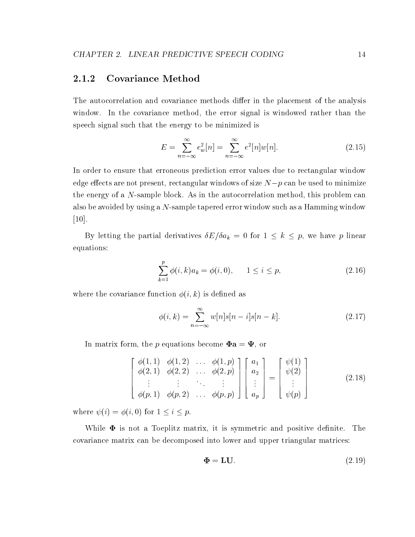#### $2.1.2$ Covariance Method

The autocorrelation and covariance methods differ in the placement of the analysis window. In the covariance method, the error signal is windowed rather than the speech signal such that the energy to be minimized is

$$
E = \sum_{n=-\infty}^{\infty} e_w^2[n] = \sum_{n=-\infty}^{\infty} e^2[n]w[n].
$$
 (2.15)

In order to ensure that erroneous prediction error values due to rectangular window eects are not present, rectangular windows of size  $\Gamma$  present, rectangular windows of  $\Gamma$ the energy of a N-sample block. As in the autocorrelation method, this problem can also be avoided by using a  $N$ -sample tapered error window such as a Hamming window [10].

By letting the partial derivatives  $\sigma E/\sigma a_k = 0$  for  $1 \leq k \leq p$ , we have p linear equations:

$$
\sum_{k=1}^{p} \phi(i,k)a_k = \phi(i,0), \qquad 1 \le i \le p,
$$
\n(2.16)

where the covariance function  $\phi(i, k)$  is defined as

$$
\phi(i,k) = \sum_{n=-\infty}^{\infty} w[n]s[n-i]s[n-k].
$$
\n(2.17)

In matrix form, the p equations become  $\Phi a = \Psi$ , or

$$
\begin{bmatrix}\n\phi(1,1) & \phi(1,2) & \dots & \phi(1,p) \\
\phi(2,1) & \phi(2,2) & \dots & \phi(2,p) \\
\vdots & \vdots & \ddots & \vdots \\
\phi(p,1) & \phi(p,2) & \dots & \phi(p,p)\n\end{bmatrix}\n\begin{bmatrix}\na_1 \\
a_2 \\
\vdots \\
a_p\n\end{bmatrix} =\n\begin{bmatrix}\n\psi(1) \\
\psi(2) \\
\vdots \\
\psi(p)\n\end{bmatrix}
$$
\n(2.18)

where (i) is a form of  $\alpha$  is  $\alpha$  if  $\alpha$  is  $\alpha$  is  $\alpha$  is  $\alpha$  is  $\alpha$  is  $\alpha$  is  $\alpha$  is  $\alpha$  is  $\alpha$  is  $\alpha$  is  $\alpha$  is  $\alpha$  is  $\alpha$  is  $\alpha$  is  $\alpha$  is  $\alpha$  is  $\alpha$  is  $\alpha$  is  $\alpha$  is  $\alpha$  is  $\alpha$  is  $\alpha$  is  $\alpha$  i

While  $\Phi$  is not a Toeplitz matrix, it is symmetric and positive definite. The covariance matrix can be decomposed into lower and upper triangular matrices:

$$
\Phi = LU. \tag{2.19}
$$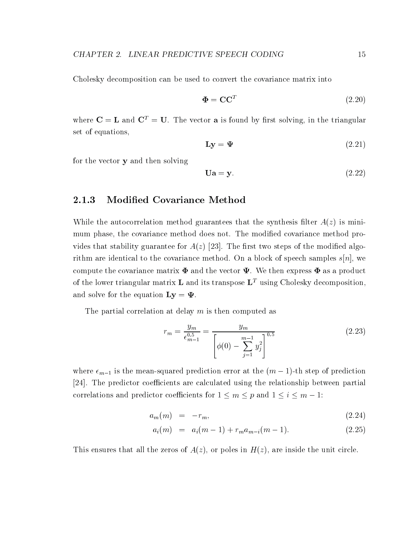Cholesky decomposition can be used to convert the covariance matrix into

$$
\Phi = \mathbf{C}\mathbf{C}^T \tag{2.20}
$$

where  $C = L$  and  $C<sup>T</sup> = U$ . The vector **a** is found by first solving, in the triangular set of equations,

$$
\mathbf{Ly} = \mathbf{\Psi} \tag{2.21}
$$

for the vector y and then solving

$$
Ua = y. \t\t(2.22)
$$

### 2.1.3 Modied Covariance Method

While the autocorrelation method guarantees that the synthesis filter  $A(z)$  is minimum phase, the covariance method does not. The modified covariance method provides that stability guarantee for  $A(z)$  [23]. The first two steps of the modified algorithm are identical to the covariance method. On a block of speech samples  $s[n]$ , we compute the covariance matrix  $\Phi$  and the vector  $\Psi$ . We then express  $\Phi$  as a product of the lower triangular matrix **L** and its transpose  $\mathbf{L}^T$  using Cholesky decomposition. and solve for the equation  $\mathbf{Ly} = \mathbf{\Psi}$ .

The partial correlation at delay  $m$  is then computed as

$$
r_m = \frac{y_m}{\epsilon_{m-1}^{0.5}} = \frac{y_m}{\left[\phi(0) - \sum_{j=1}^{m-1} y_j^2\right]^{0.5}}
$$
(2.23)

where  $\epsilon_{m-1}$  is the mean-squared prediction error at the  $(m-1)$  th step of prediction [24]. The predictor coefficients are calculated using the relationship between partial correlations and predictor coecients for  $\mu$  and  $\mu$  and  $\mu$  and 1  $\mu$  m  $\mu$  and 1  $\mu$  m  $\mu$  and 1  $\mu$  m  $\mu$  and 1  $\mu$ 

$$
a_m(m) = -r_m,\tag{2.24}
$$

$$
a_i(m) = a_i(m-1) + r_m a_{m-i}(m-1). \tag{2.25}
$$

This ensures that all the zeros of  $A(z)$ , or poles in  $H(z)$ , are inside the unit circle.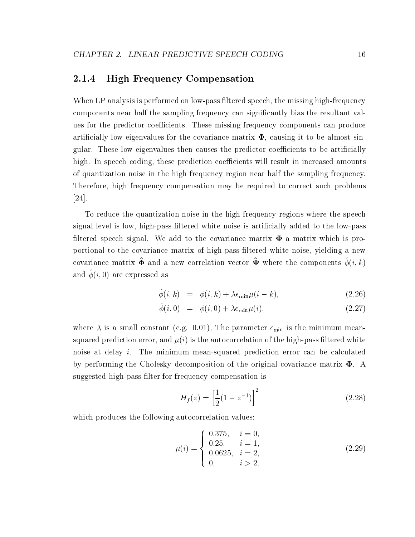### 2.1.4 High Frequency Compensation

When LP analysis is performed on low-pass filtered speech, the missing high-frequency components near half the sampling frequency can signicantly bias the resultant values for the predictor coefficients. These missing frequency components can produce artificially low eigenvalues for the covariance matrix  $\Phi$ , causing it to be almost singular. These low eigenvalues then causes the predictor coefficients to be artificially high. In speech coding, these prediction coefficients will result in increased amounts of quantization noise in the high frequency region near half the sampling frequency. Therefore, high frequency compensation may be required to correct such problems [24].

To reduce the quantization noise in the high frequency regions where the speech signal level is low, high-pass filtered white noise is artificially added to the low-pass filtered speech signal. We add to the covariance matrix  $\Phi$  a matrix which is proportional to the covariance matrix of high-pass ltered white noise, yielding a new covariance matrix  $\mathbf{\Psi}$  and a new correlation vector  $\mathbf{\Psi}$  where the components  $\varphi(i, \kappa)$ and  $\varphi(i, 0)$  are expressed as

$$
\hat{\phi}(i,k) = \phi(i,k) + \lambda \epsilon_{\min} \mu(i-k), \qquad (2.26)
$$

$$
\phi(i,0) = \phi(i,0) + \lambda \epsilon_{\min} \mu(i), \qquad (2.27)
$$

where  $\lambda$  is a small constant (e.g. 0.01), The parameter  $\epsilon_{\min}$  is the minimum meansquared prediction error, and  $\mu(i)$  is the autocorrelation of the high-pass filtered white noise at delay i. The minimum mean-squared prediction error can be calculated by performing the Cholesky decomposition of the original covariance matrix  $\Phi$ . A suggested high-pass filter for frequency compensation is

$$
H_f(z) = \left[\frac{1}{2}(1 - z^{-1})\right]^2\tag{2.28}
$$

which produces the following autocorrelation values:

$$
\mu(i) = \begin{cases}\n0.375, & i = 0, \\
0.25, & i = 1, \\
0.0625, & i = 2, \\
0, & i > 2.\n\end{cases}
$$
\n(2.29)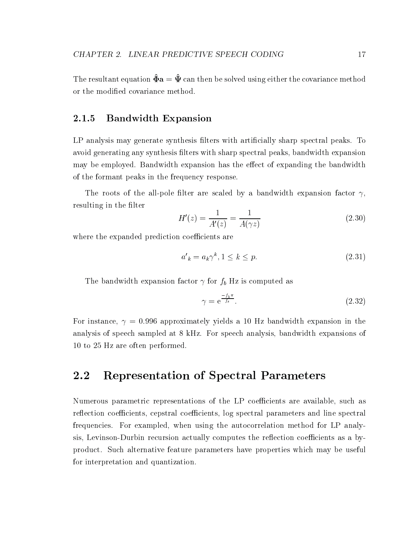The resultant equation  $\hat{\Phi} a = \hat{\Psi}$  can then be solved using either the covariance method or the modied covariance method.

### 2.1.5 Bandwidth Expansion

LP analysis may generate synthesis filters with artificially sharp spectral peaks. To avoid generating any synthesis filters with sharp spectral peaks, bandwidth expansion may be employed. Bandwidth expansion has the effect of expanding the bandwidth of the formant peaks in the frequency response.

The roots of the all-pole filter are scaled by a bandwidth expansion factor  $\gamma$ , resulting in the filter

$$
H'(z) = \frac{1}{A'(z)} = \frac{1}{A(\gamma z)}
$$
\n(2.30)

where the expanded prediction coefficients are

$$
a'_k = a_k \gamma^k, 1 \le k \le p. \tag{2.31}
$$

The bandwidth expansion factor  $\gamma$  for  $f_b$  Hz is computed as

$$
\gamma = e^{\frac{-f_b \pi}{f_s}}.\tag{2.32}
$$

For instance,  $\gamma = 0.996$  approximately yields a 10 Hz bandwidth expansion in the analysis of speech sampled at 8 kHz. For speech analysis, bandwidth expansions of 10 to 25 Hz are often performed.

### 2.2 Representation of Spectral Parameters

Numerous parametric representations of the LP coefficients are available, such as reflection coefficients, cepstral coefficients, log spectral parameters and line spectral frequencies. For exampled, when using the autocorrelation method for LP analysis, Levinson-Durbin recursion actually computes the reflection coefficients as a byproduct. Such alternative feature parameters have properties which may be useful for interpretation and quantization.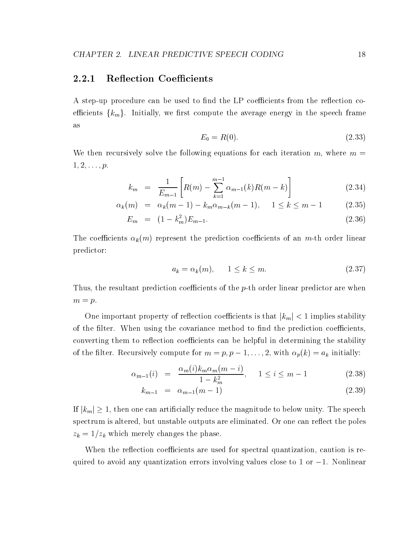#### $2.2.1$ Reflection Coefficients

A step-up procedure can be used to find the LP coefficients from the reflection coefficients  $\{k_m\}$ . Initially, we first compute the average energy in the speech frame as

$$
E_0 = R(0). \t\t(2.33)
$$

We then recursively solve the following equations for each iteration m, where  $m =$  $1, 2, \ldots, p.$ 

$$
k_m = \frac{1}{E_{m-1}} \left[ R(m) - \sum_{k=1}^{m-1} \alpha_{m-1}(k) R(m-k) \right]
$$
 (2.34)

$$
\alpha_k(m) = \alpha_k(m-1) - k_m \alpha_{m-k}(m-1), \quad 1 \le k \le m-1 \tag{2.35}
$$

$$
E_m = (1 - k_m^2) E_{m-1}.
$$
\n(2.36)

The coefficients  $\alpha_k(m)$  represent the prediction coefficients of an m-th order linear predictor:

$$
a_k = \alpha_k(m), \qquad 1 \le k \le m. \tag{2.37}
$$

Thus, the resultant prediction coefficients of the  $p$ -th order linear predictor are when  $m = p$ .

One important property or renection coemercino is that  $\lfloor n_m \rfloor \leq 1$  implies stability of the filter. When using the covariance method to find the prediction coefficients. converting them to reflection coefficients can be helpful in determining the stability of the filter. Recursively compute for  $m = p, p - 1, \ldots, z$ , with  $\alpha_p(\kappa) = a_k$  initially:

$$
\alpha_{m-1}(i) = \frac{\alpha_m(i)k_m \alpha_m(m-i)}{1 - k_m^2}, \quad 1 \le i \le m-1 \tag{2.38}
$$

$$
k_{m-1} = \alpha_{m-1}(m-1) \tag{2.39}
$$

If  $|k_m| \geq 1$ , then one can artificially reduce the magnitude to below unity. The speech  $\lim_{n \to \infty} \frac{1}{n}$  is then one can artificially reduce the magnitude to below unity. The speech speech spectrum is altered, but unstable outputs are eliminated. Or one can reflect the poles  $z_k = 1/z_k$  which merely changes the phase.

When the reflection coefficients are used for spectral quantization, caution is required to avoid any quantization errors involving values close to  $1$  or  $-1$ . Nonlinear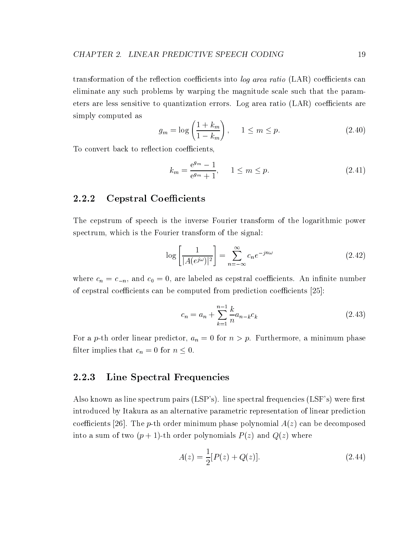transformation of the reflection coefficients into log area ratio  $(LAR)$  coefficients can eliminate any such problems by warping the magnitude scale such that the parameters are less sensitive to quantization errors. Log area ratio  $(LAR)$  coefficients are simply computed as

$$
g_m = \log\left(\frac{1 + k_m}{1 - k_m}\right), \quad 1 \le m \le p. \tag{2.40}
$$

To convert back to reflection coefficients,

$$
k_m = \frac{e^{g_m} - 1}{e^{g_m} + 1}, \quad 1 \le m \le p. \tag{2.41}
$$

### 2.2.2 Cepstral Coefficients

The cepstrum of speech is the inverse Fourier transform of the logarithmic power spectrum, which is the Fourier transform of the signal:

$$
\log\left[\frac{1}{|A(e^{j\omega})|^2}\right] = \sum_{n=-\infty}^{\infty} c_n e^{-jn\omega} \tag{2.42}
$$

where  $c_n = c_{-n}$ , and  $c_0 = 0$ , are labeled as cepstral coefficients. An infinite number of cepstral coefficients can be computed from prediction coefficients  $[25]$ :

$$
c_n = a_n + \sum_{k=1}^{n-1} \frac{k}{n} a_{n-k} c_k
$$
\n(2.43)

For a *p*-th order linear predictor,  $a_n = 0$  for  $n > p$ . Furthermore, a minimum phase must implies that  $c_n = 0$  for  $n \geq 0$ .

### 2.2.3 Line Spectral Frequencies

Also known as line spectrum pairs (LSP's). line spectral frequencies (LSF's) were first introduced by Itakura as an alternative parametric representation of linear prediction coefficients [26]. The p-th order minimum phase polynomial  $A(z)$  can be decomposed into a sum of two  $(p+1)$ -th order polynomials  $P(z)$  and  $Q(z)$  where

$$
A(z) = \frac{1}{2}[P(z) + Q(z)].
$$
\n(2.44)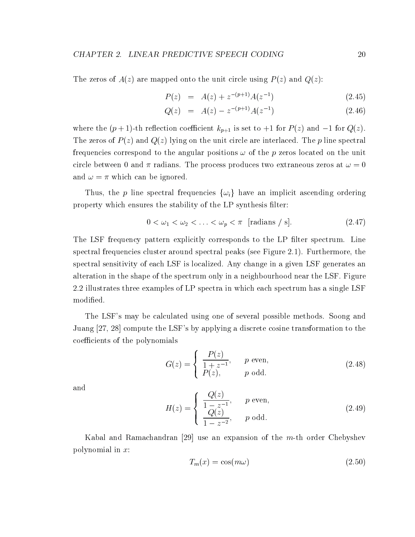The zeros of  $A(z)$  are mapped onto the unit circle using  $P(z)$  and  $Q(z)$ :

$$
P(z) = A(z) + z^{-(p+1)}A(z^{-1})
$$
\n(2.45)

$$
Q(z) = A(z) - z^{-(p+1)}A(z^{-1}) \tag{2.46}
$$

where the  $(p+1)$ -th reflection coefficient  $k_{p+1}$  is set to  $+1$  for  $P(z)$  and  $-1$  for  $Q(z)$ . The zeros of  $P(z)$  and  $Q(z)$  lying on the unit circle are interlaced. The p line spectral frequencies correspond to the angular positions  $\omega$  of the p zeros located on the unit circle between 0 and  $\pi$  radians. The process produces two extraneous zeros at  $\omega = 0$ and  $\omega = \pi$  which can be ignored.

Thus, the p line spectral frequencies  $\{\omega_i\}$  have an implicit ascending ordering property which ensures the stability of the LP synthesis filter:

$$
0 < \omega_1 < \omega_2 < \ldots < \omega_p < \pi \quad \text{[radians / s]}.\tag{2.47}
$$

The LSF frequency pattern explicitly corresponds to the LP filter spectrum. Line spectral frequencies cluster around spectral peaks (see Figure 2.1). Furthermore, the spectral sensitivity of each LSF is localized. Any change in a given LSF generates an alteration in the shape of the spectrum only in a neighbourhood near the LSF. Figure 2.2 illustrates three examples of LP spectra in which each spectrum has a single LSF modied.

The LSF's may be calculated using one of several possible methods. Soong and Juang [27, 28] compute the LSF's by applying a discrete cosine transformation to the coefficients of the polynomials

$$
G(z) = \begin{cases} \frac{P(z)}{1+z^{-1}}, & p \text{ even}, \\ P(z), & p \text{ odd}. \end{cases}
$$
 (2.48)

and

$$
H(z) = \begin{cases} \frac{Q(z)}{1 - z^{-1}}, & p \text{ even,} \\ \frac{Q(z)}{1 - z^{-2}}, & p \text{ odd.} \end{cases}
$$
 (2.49)

Kabal and Ramachandran [29] use an expansion of the  $m$ -th order Chebyshev polynomial in x:

$$
T_m(x) = \cos(m\omega) \tag{2.50}
$$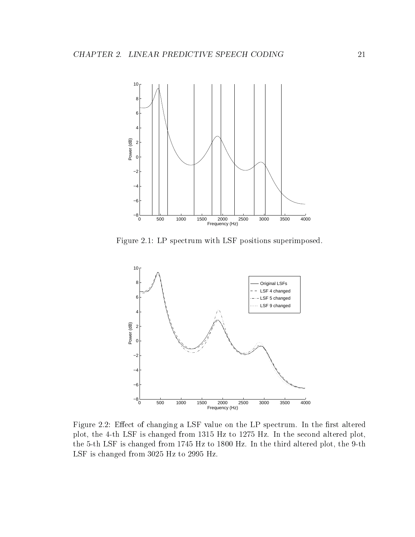

Figure 2.1: LP spectrum with LSF positions superimposed.



Figure 2.2: Effect of changing a LSF value on the LP spectrum. In the first altered plot, the 4-th LSF is changed from 1315 Hz to 1275 Hz. In the second altered plot, the 5-th LSF is changed from 1745 Hz to 1800 Hz. In the third altered plot, the 9-th LSF is changed from 3025 Hz to 2995 Hz.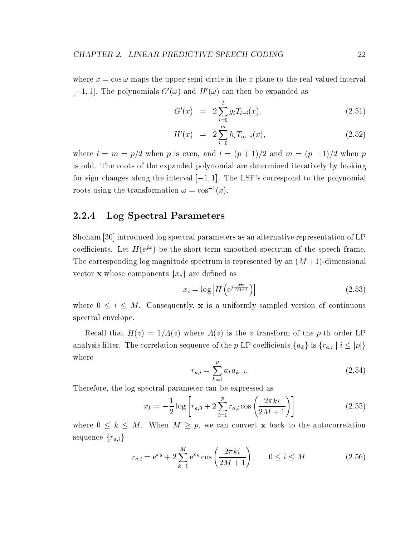where  $x = \cos \omega$  maps the upper semi-circle in the z-plane to the real-valued interval  $[-1, 1]$ . The polynomials  $G'(\omega)$  and  $H'(\omega)$  can then be expanded as

$$
G'(x) = 2\sum_{i=0}^{l} g_i T_{l-i}(x), \qquad (2.51)
$$

$$
H'(x) = 2\sum_{i=0}^{m} h_i T_{m-i}(x), \qquad (2.52)
$$

where is even, and is even, and is even, and must be an anomalous control  $\mathbf{r}$  and  $\mathbf{r}$ is odd. The roots of the expanded polynomial are determined iteratively by looking for sign changes along the interval  $[-1, 1]$ . The LSF's correspond to the polynomial roots using the transformation  $\omega = \cos^{-1}(x)$ .

### 2.2.4 Log Spectral Parameters

Shoham [30] introduced log spectral parameters as an alternative representation of LP coefficients. Let  $H(e^{j\omega})$  be the short-term smoothed spectrum of the speech frame. The corresponding log magnitude spectrum is represented by an  $(M + 1)$ -dimensional vector **x** whose components  $\{x_i\}$  are defined as

$$
x_i = \log \left| H\left(e^{j\frac{2\pi i}{2M+1}}\right) \right| \tag{2.53}
$$

where  $0$  is a uniformly sampled version  $\mu$  , as an uniformly sampled version of continuous and spectral envelope.

Recall that  $H(z) = 1/A(z)$  where  $A(z)$  is the z-transform of the p-th order LP analysis filter. The correlation sequence of the p LP coefficients  $\{a_k\}$  is  $\{r_{a,i} \mid i \leq |p|\}$ where

$$
r_{a,i} = \sum_{k=1}^{p} a_k a_{k-i}.
$$
 (2.54)

Therefore, the log spectral parameter can be expressed as

$$
x_k = -\frac{1}{2}\log\left[r_{a,0} + 2\sum_{i=1}^p r_{a,i}\cos\left(\frac{2\pi ki}{2M+1}\right)\right]
$$
 (2.55)

where  $0 \leq \infty$  is  $\leq$  back to the properties  $\leq$   $\mu$  , we cannot back to the autocorrelation of  $\mu$ sequence  ${r_{a,i}}$ 

$$
r_{a,i} = e^{x_0} + 2\sum_{k=1}^{M} e^{x_k} \cos\left(\frac{2\pi ki}{2M+1}\right), \qquad 0 \le i \le M.
$$
 (2.56)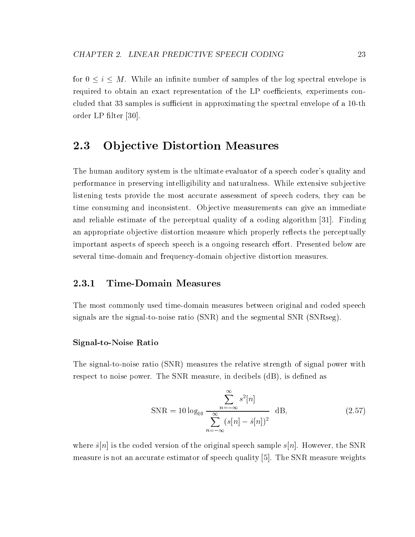for  $\mathbf{r}$  in the log spectral energy in the log spectral energy is a spectral energy is a spectral energy is a spectral energy is a spectral energy is a spectral energy is a spectral energy is a spectral energy is a sp required to obtain an exact representation of the LP coefficients, experiments concluded that 33 samples is sufficient in approximating the spectral envelope of a 10-th order LP filter [30].

#### 2.3 **Objective Distortion Measures**

The human auditory system is the ultimate evaluator of a speech coder's quality and performance in preserving intelligibility and naturalness. While extensive subjective listening tests provide the most accurate assessment of speech coders, they can be time consuming and inconsistent. Objective measurements can give an immediate and reliable estimate of the perceptual quality of a coding algorithm [31]. Finding an appropriate objective distortion measure which properly reflects the perceptually important aspects of speech speech is a ongoing research effort. Presented below are several time-domain and frequency-domain objective distortion measures.

## 2.3.1 Time-Domain Measures

The most commonly used time-domain measures between original and coded speech signals are the signal-to-noise ratio (SNR) and the segmental SNR (SNRseg).

## Signal-to-Noise Ratio

The signal-to-noise ratio (SNR) measures the relative strength of signal power with respect to noise power. The SNR measure, in decibels (dB), is defined as

$$
SNR = 10 \log_{10} \frac{\sum_{n=-\infty}^{\infty} s^2[n]}{\sum_{n=-\infty}^{\infty} (s[n] - \hat{s}[n])^2} dB,
$$
\n(2.57)

where  $\hat{s}[n]$  is the coded version of the original speech sample  $s[n]$ . However, the SNR measure is not an accurate estimator of speech quality [5]. The SNR measure weights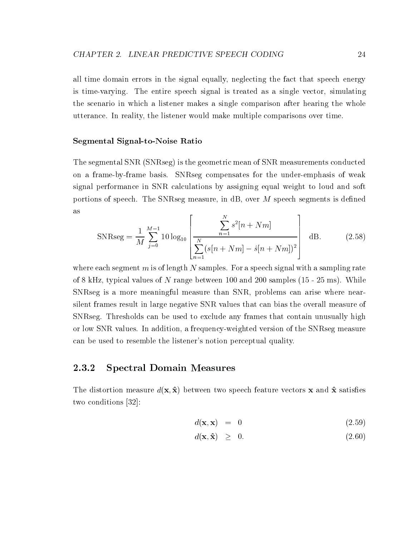all time domain errors in the signal equally, neglecting the fact that speech energy is time-varying. The entire speech signal is treated as a single vector, simulating the scenario in which a listener makes a single comparison after hearing the whole utterance. In reality, the listener would make multiple comparisons over time.

### Segmental Signal-to-Noise Ratio

The segmental SNR (SNRseg) is the geometric mean of SNR measurements conducted on a frame-by-frame basis. SNRseg compensates for the under-emphasis of weak signal performance in SNR calculations by assigning equal weight to loud and soft portions of speech. The SNRseg measure, in  $\text{dB}$ , over M speech segments is defined as  $\Gamma$ N 3

$$
SNRseg = \frac{1}{M} \sum_{j=0}^{M-1} 10 \log_{10} \left[ \frac{\sum_{n=1}^{N} s^2 [n + Nm]}{\sum_{n=1}^{N} (s[n + Nm] - \hat{s}[n + Nm])^2} \right] dB.
$$
 (2.58)

where each segment m is of length N samples. For a speech signal with a sampling rate of 8 kHz, typical values of N range between 100 and 200 samples  $(15 - 25 \text{ ms})$ . While SNRseg is a more meaningful measure than SNR, problems can arise where nearsilent frames result in large negative SNR values that can bias the overall measure of SNRseg. Thresholds can be used to exclude any frames that contain unusually high or low SNR values. In addition, a frequency-weighted version of the SNRseg measure can be used to resemble the listener's notion perceptual quality.

## 2.3.2 Spectral Domain Measures

The distortion measure  $d(\mathbf{x}, \hat{\mathbf{x}})$  between two speech feature vectors x and  $\hat{\mathbf{x}}$  satisfies two conditions [32]:

$$
d(\mathbf{x}, \mathbf{x}) = 0 \tag{2.59}
$$

$$
d(\mathbf{x}, \hat{\mathbf{x}}) \geq 0. \tag{2.60}
$$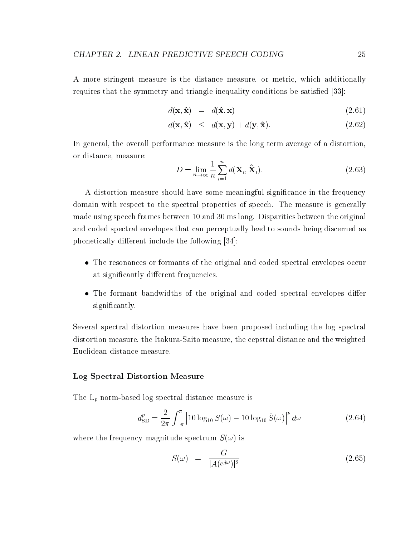A more stringent measure is the distance measure, or metric, which additionally requires that the symmetry and triangle inequality conditions be satisfied [33]:

$$
d(\mathbf{x}, \hat{\mathbf{x}}) = d(\hat{\mathbf{x}}, \mathbf{x}) \tag{2.61}
$$

$$
d(\mathbf{x}, \hat{\mathbf{x}}) \leq d(\mathbf{x}, \mathbf{y}) + d(\mathbf{y}, \hat{\mathbf{x}}). \tag{2.62}
$$

In general, the overall performance measure is the long term average of a distortion, or distance, measure:

$$
D = \lim_{n \to \infty} \frac{1}{n} \sum_{i=1}^{n} d(\mathbf{X}_i, \hat{\mathbf{X}}_i).
$$
 (2.63)

A distortion measure should have some meaningful signicance in the frequency domain with respect to the spectral properties of speech. The measure is generally made using speech frames between 10 and 30 ms long. Disparities between the original and coded spectral envelopes that can perceptually lead to sounds being discerned as phonetically different include the following [34]:

- The resonances or formants of the original and coded spectral envelopes occur at significantly different frequencies.
- The formant bandwidths of the original and coded spectral envelopes differ significantly.

Several spectral distortion measures have been proposed including the log spectral distortion measure, the Itakura-Saito measure, the cepstral distance and the weighted Euclidean distance measure.

## Log Spectral Distortion Measure

The  $L_p$  norm-based log spectral distance measure is

$$
d_{\text{SD}}^p = \frac{2}{2\pi} \int_{-\pi}^{\pi} \left| 10 \log_{10} S(\omega) - 10 \log_{10} \hat{S}(\omega) \right|^p d\omega \tag{2.64}
$$

where the frequency magnitude spectrum  $S(\omega)$  is

$$
S(\omega) = \frac{G}{|A(e^{j\omega})|^2} \tag{2.65}
$$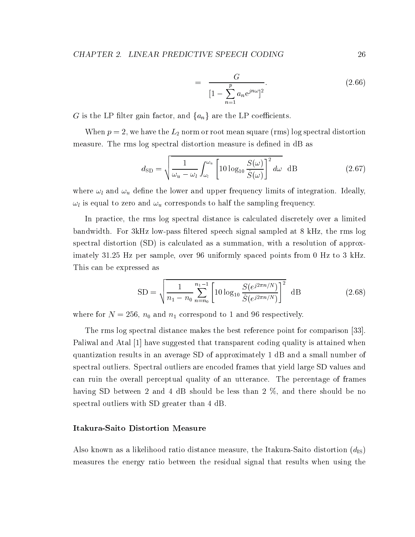$$
= \frac{G}{[1 - \sum_{n=1}^{p} a_n e^{jn\omega}]^2}.
$$
 (2.66)

G is the LP filter gain factor, and  $\{a_n\}$  are the LP coefficients.

When  $p = 2$ , we have the  $L_2$  norm or root mean square (rms) log spectral distortion measure. The rms log spectral distortion measure is defined in dB as

$$
d_{\rm SD} = \sqrt{\frac{1}{\omega_u - \omega_l} \int_{\omega_l}^{\omega_u} \left[ 10 \log_{10} \frac{S(\omega)}{\hat{S}(\omega)} \right]^2 d\omega} \quad \text{dB}
$$
 (2.67)

where  $\omega_l$  and  $\omega_u$  define the lower and upper frequency limits of integration. Ideally,  $\omega_l$  is equal to zero and  $\omega_u$  corresponds to half the sampling frequency.

In practice, the rms log spectral distance is calculated discretely over a limited bandwidth. For 3kHz low-pass filtered speech signal sampled at 8 kHz, the rms log spectral distortion (SD) is calculated as a summation, with a resolution of approximately 31.25 Hz per sample, over 96 uniformly spaced points from 0 Hz to 3 kHz. This can be expressed as

$$
SD = \sqrt{\frac{1}{n_1 - n_0} \sum_{n=n_0}^{n_1 - 1} \left[ 10 \log_{10} \frac{S(e^{j2\pi n/N})}{\hat{S}(e^{j2\pi n/N})} \right]^2} dB
$$
 (2.68)

where for  $N = 256$ ,  $n_0$  and  $n_1$  correspond to 1 and 96 respectively.

The rms log spectral distance makes the best reference point for comparison [33]. Paliwal and Atal [1] have suggested that transparent coding quality is attained when quantization results in an average SD of approximately 1 dB and a small number of spectral outliers. Spectral outliers are encoded frames that yield large SD values and can ruin the overall perceptual quality of an utterance. The percentage of frames having SD between 2 and 4 dB should be less than 2 %, and there should be no spectral outliers with SD greater than 4 dB.

### Itakura-Saito Distortion Measure

Also known as a likelihood ratio distance measure, the Itakura-Saito distortion  $(d_{\text{IS}})$ measures the energy ratio between the residual signal that results when using the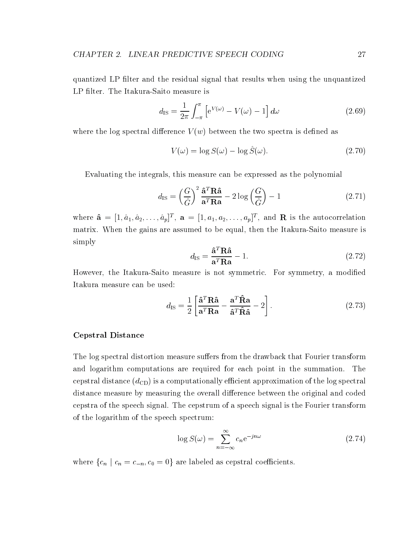quantized LP filter and the residual signal that results when using the unquantized LP filter. The Itakura-Saito measure is

$$
d_{\rm IS} = \frac{1}{2\pi} \int_{-\pi}^{\pi} \left[ e^{V(\omega)} - V(\omega) - 1 \right] d\omega \tag{2.69}
$$

where the log spectral difference  $V(w)$  between the two spectra is defined as

$$
V(\omega) = \log S(\omega) - \log \hat{S}(\omega). \tag{2.70}
$$

Evaluating the integrals, this measure can be expressed asthe polynomial

$$
d_{\rm IS} = \left(\frac{G}{\hat{G}}\right)^2 \frac{\hat{\mathbf{a}}^T \mathbf{R} \hat{\mathbf{a}}}{\mathbf{a}^T \mathbf{R} \hat{\mathbf{a}}} - 2 \log \left(\frac{G}{\hat{G}}\right) - 1
$$
 (2.71)

where  $\hat{\mathbf{a}} = [1, \hat{a}_1, \hat{a}_2, \ldots, \hat{a}_p]^T$ ,  $\mathbf{a} = [1, a_1, a_2, \ldots, a_p]^T$ , and  $\mathbf{R}$  is the autocorrelation matrix. When the gains are assumed to be equal, then the Itakura-Saito measure is simply

$$
d_{\rm IS} = \frac{\hat{\mathbf{a}}^T \mathbf{R} \hat{\mathbf{a}}}{\mathbf{a}^T \mathbf{R} \mathbf{a}} - 1. \tag{2.72}
$$

However, the Itakura-Saito measure is not symmetric. For symmetry, a modied Itakura measure can be used:

$$
d_{\rm IS} = \frac{1}{2} \left[ \frac{\hat{\mathbf{a}}^T \mathbf{R} \hat{\mathbf{a}}}{\mathbf{a}^T \mathbf{R} \mathbf{a}} - \frac{\mathbf{a}^T \hat{\mathbf{R}} \mathbf{a}}{\hat{\mathbf{a}}^T \hat{\mathbf{R}} \hat{\mathbf{a}}} - 2 \right].
$$
 (2.73)

## Cepstral Distance

The log spectral distortion measure suffers from the drawback that Fourier transform and logarithm computations are required for each point in the summation. The cepstral distance  $(d_{CD})$  is a computationally efficient approximation of the log spectral distance measure by measuring the overall difference between the original and coded cepstra of the speech signal. The cepstrum of a speech signal is the Fourier transform of the logarithm of the speech spectrum:

$$
\log S(\omega) = \sum_{n = -\infty}^{\infty} c_n e^{-jn\omega} \tag{2.74}
$$

where  $\{c_n \mid c_n = c_{-n}, c_0 = 0\}$  are labeled as cepstral coefficients.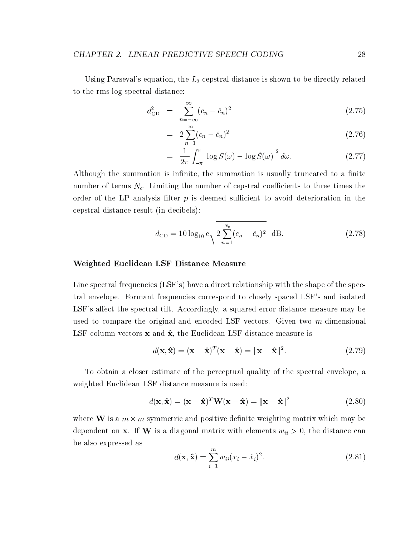Using Parseval's equation, the  $L_2$  cepstral distance is shown to be directly related to the rms log spectral distance:

$$
d_{\rm CD}^2 = \sum_{n=-\infty}^{\infty} (c_n - \hat{c}_n)^2
$$
 (2.75)

$$
= 2\sum_{n=1}^{\infty} (c_n - \hat{c}_n)^2 \tag{2.76}
$$

$$
= \frac{1}{2\pi} \int_{-\pi}^{\pi} \left| \log S(\omega) - \log \hat{S}(\omega) \right|^2 d\omega. \tag{2.77}
$$

Although the summation is infinite, the summation is usually truncated to a finite number of terms  $N_c$ . Limiting the number of cepstral coefficients to three times the order of the LP analysis filter  $p$  is deemed sufficient to avoid deterioration in the cepstral distance result (in decibels):

$$
d_{\rm CD} = 10 \log_{10} e \sqrt{2 \sum_{n=1}^{N_c} (c_n - \hat{c}_n)^2} \text{ dB.}
$$
 (2.78)

### Weighted Euclidean LSF Distance Measure

Line spectral frequencies (LSF's) have a direct relationship with the shape of the spectral envelope. Formant frequencies correspond to closely spaced LSF's and isolated LSF's affect the spectral tilt. Accordingly, a squared error distance measure may be used to compare the original and encoded LSF vectors. Given two m-dimensional LSF column vectors  $x$  and  $\hat{x}$ , the Euclidean LSF distance measure is

$$
d(\mathbf{x}, \hat{\mathbf{x}}) = (\mathbf{x} - \hat{\mathbf{x}})^T (\mathbf{x} - \hat{\mathbf{x}}) = ||\mathbf{x} - \hat{\mathbf{x}}||^2.
$$
 (2.79)

To obtain a closer estimate of the perceptual quality of the spectral envelope, a weighted Euclidean LSF distance measure is used:

$$
d(\mathbf{x}, \hat{\mathbf{x}}) = (\mathbf{x} - \hat{\mathbf{x}})^T \mathbf{W} (\mathbf{x} - \hat{\mathbf{x}}) = ||\mathbf{x} - \hat{\mathbf{x}}||^2
$$
 (2.80)

where  $\mathbf{w}$  is a m symmetric density density which may be  $\mathbf{w}$ dependent on x. If W is a diagonal matrix with elements  $w_{ii} > 0$ , the distance can be also expressed as

$$
d(\mathbf{x}, \hat{\mathbf{x}}) = \sum_{i=1}^{m} w_{ii} (x_i - \hat{x}_i)^2.
$$
 (2.81)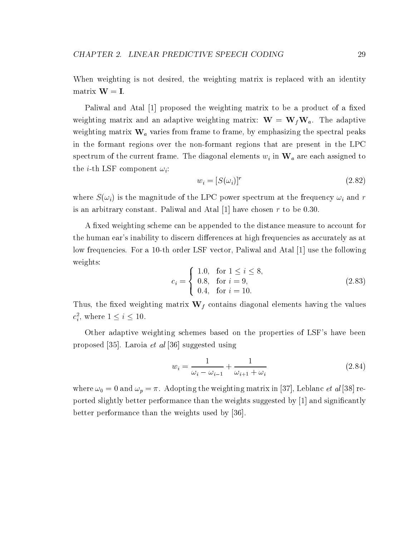When weighting is not desired, the weighting matrix is replaced with an identity matrix  $W = I$ .

Paliwal and Atal [1] proposed the weighting matrix to be a product of a fixed weighting matrix and an adaptive weighting matrix:  $\mathbf{W} = \mathbf{W}_f \mathbf{W}_a$ . The adaptive weighting matrix  $\mathbf{W}_a$  varies from frame to frame, by emphasizing the spectral peaks in the formant regions over the non-formant regions that are present in the LPC spectrum of the current frame. The diagonal elements  $w_i$  in  $\mathbf{W}_a$  are each assigned to the *i*-th LSF component  $\omega_i$ :

$$
w_i = [S(\omega_i)]^r \tag{2.82}
$$

where  $S(\omega_i)$  is the magnitude of the LPC power spectrum at the frequency  $\omega_i$  and r is an arbitrary constant. Paliwal and Atal  $[1]$  have chosen r to be 0.30.

A fixed weighting scheme can be appended to the distance measure to account for the human ear's inability to discern differences at high frequencies as accurately as at low frequencies. For a 10-th order LSF vector, Paliwal and Atal [1] use the following weights:

$$
c_i = \begin{cases} 1.0, & \text{for } 1 \le i \le 8, \\ 0.8, & \text{for } i = 9, \\ 0.4, & \text{for } i = 10. \end{cases}
$$
 (2.83)

Thus, the fixed weighting matrix  $\mathbf{W}_f$  contains diagonal elements having the values  $c_i^-,$  where  $1 \leq i \leq 10$ .

Other adaptive weighting schemes based on the properties of LSF's have been proposed [35]. Laroia et al [36] suggested using

$$
w_i = \frac{1}{\omega_i - \omega_{i-1}} + \frac{1}{\omega_{i+1} + \omega_i} \tag{2.84}
$$

where  $\omega_0 = 0$  and  $\omega_p = \pi$ . Adopting the weighting matrix in [37], Leblanc *et al* [38] reported slightly better performance than the weights suggested by [1] and signicantly better performance than the weights used by [36].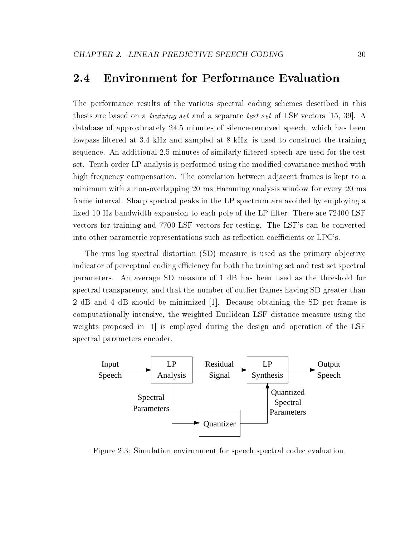#### $2.4$ **Environment for Performance Evaluation**

The performance results of the various spectral coding schemes described in this thesis are based on a training set and a separate test set of LSF vectors [15, 39]. A database of approximately 24.5 minutes of silence-removed speech, which has been lowpass filtered at 3.4 kHz and sampled at 8 kHz, is used to construct the training sequence. An additional 2.5 minutes of similarly filtered speech are used for the test set. Tenth order LP analysis is performed using the modied covariance method with high frequency compensation. The correlation between adjacent frames is kept to a minimum with a non-overlapping 20 ms Hamming analysis window for every 20 ms frame interval. Sharp spectral peaks in the LP spectrum are avoided by employing a fixed 10 Hz bandwidth expansion to each pole of the LP filter. There are 72400 LSF vectors for training and 7700 LSF vectors for testing. The LSF's can be converted into other parametric representations such as reflection coefficients or LPC's.

The rms log spectral distortion (SD) measure is used as the primary objective indicator of perceptual coding efficiency for both the training set and test set spectral parameters. An average SD measure of 1 dB has been used as the threshold for spectral transparency, and that the number of outlier frames having SD greater than 2 dB and 4 dB should be minimized [1]. Because obtaining the SD per frame is computationally intensive, the weighted Euclidean LSF distance measure using the weights proposed in [1] is employed during the design and operation of the LSF spectral parameters encoder.



Figure 2.3: Simulation environment for speech spectral codec evaluation.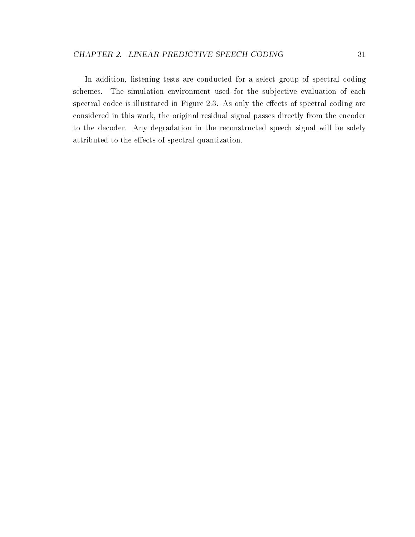In addition, listening tests are conducted for a select group of spectral coding schemes. The simulation environment used for the subjective evaluation of each spectral codec is illustrated in Figure 2.3. As only the effects of spectral coding are considered in this work, the original residual signal passes directly from the encoder to the decoder. Any degradation in the reconstructed speech signal will be solely attributed to the effects of spectral quantization.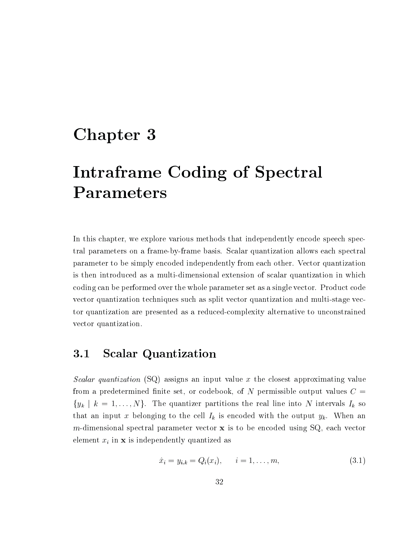# Chapter <sup>3</sup>

# Interaction of  $\mathcal{S}$  , we have  $\mathcal{S}$  and  $\mathcal{S}$  are  $\mathcal{S}$  of  $\mathcal{S}$  . If  $\mathcal{S}$  is the set of  $\mathcal{S}$ Parameters

In this chapter, we explore various methods that independently encode speech spectral parameters on a frame-by-frame basis. Scalar quantization allows each spectral parameter to be simply encoded independently from each other. Vector quantization is then introduced as a multi-dimensional extension of scalar quantization in which coding can be performed over the whole parameter set as a single vector. Product code vector quantization techniques such as split vector quantization and multi-stage vector quantization are presented as a reduced-complexity alternative to unconstrained vector quantization.

## 3.1 Scalar Quantization

Scalar quantization (SQ) assigns an input value x the closest approximating value from a predetermined finite set, or codebook, of N permissible output values  $C =$  $\{y_k \mid k = 1,\ldots,N\}$ . The quantizer partitions the real line into N intervals  $I_k$  so that an input x belonging to the cell  $I_k$  is encoded with the output  $y_k$ . When an m-dimensional spectral parameter vector  $x$  is to be encoded using SQ, each vector element  $x_i$  in  $x$  is independently quantized as

$$
\hat{x}_i = y_{i,k} = Q_i(x_i), \qquad i = 1, \dots, m,
$$
\n(3.1)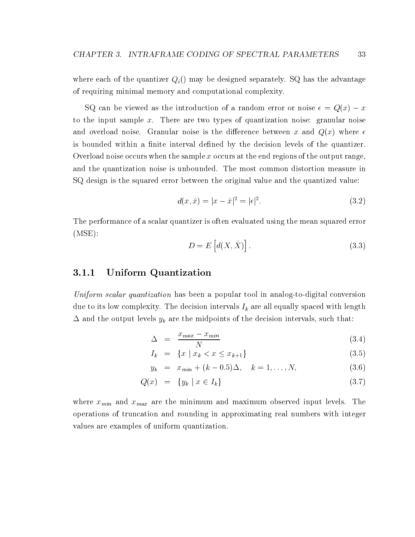where each of the quantizer  $Q_i()$  may be designed separately. SQ has the advantage of requiring minimal memory and computational complexity.

SQ can be viewed as the introduction of a random error or noise  $\sim$   $\sim$   $\sim$   $\sim$ to the input sample x. There are two types of quantization noise: granular noise and overload noise. Granular noise is the difference between x and  $Q(x)$  where  $\epsilon$ is bounded within a finite interval defined by the decision levels of the quantizer. Overload noise occurs when the sample  $x$  occurs at the end regions of the output range, and the quantization noise is unbounded. The most common distortion measure in SQ design is the squared error between the original value and the quantized value:

$$
d(x, \hat{x}) = |x - \hat{x}|^2 = |\epsilon|^2.
$$
 (3.2)

The performance of a scalar quantizer is often evaluated using the mean squared error (MSE):

$$
D = E\left[d(X, \hat{X})\right].\tag{3.3}
$$

#### $3.1.1$ Uniform Quantization

Uniform scalar quantization has been a popular tool in analog-to-digital conversion due to its low complexity. The decision intervals  $I_k$  are all equally spaced with length  $\Delta$  and the output levels  $y_k$  are the midpoints of the decision intervals, such that:

$$
\Delta = \frac{x_{max} - x_{min}}{N} \tag{3.4}
$$

$$
I_k = \{x \mid x_k < x \le x_{k+1}\} \tag{3.5}
$$

$$
y_k = x_{min} + (k - 0.5)\Delta, \quad k = 1, ..., N,
$$
 (3.6)

$$
Q(x) = \{y_k \mid x \in I_k\} \tag{3.7}
$$

where  $x_{min}$  and  $x_{max}$  are the minimum and maximum observed input levels. The operations of truncation and rounding in approximating real numbers with integer values are examples of uniform quantization.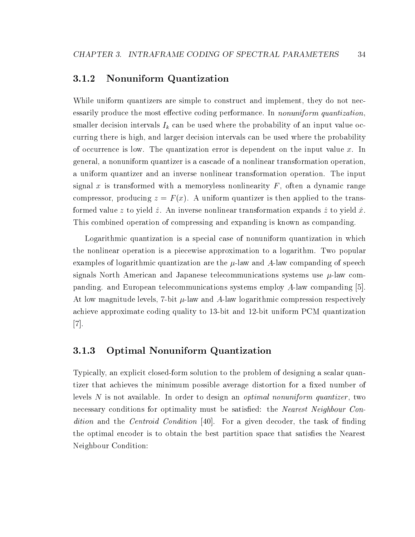#### $3.1.2$ Nonuniform Quantization

While uniform quantizers are simple to construct and implement, they do not necessarily produce the most effective coding performance. In *nonuniform quantization*, smaller decision intervals  $I_k$  can be used where the probability of an input value occurring there is high, and larger decision intervals can be used where the probability of occurrence is low. The quantization error is dependent on the input value  $x$ . In general, a nonuniform quantizer is a cascade of a nonlinear transformation operation, a uniform quantizer and an inverse nonlinear transformation operation. The input signal x is transformed with a memoryless nonlinearity  $F$ , often a dynamic range compressor, producing  $z = F(x)$ . A uniform quantizer is then applied to the transformed value z to yield  $\hat{z}$ . An inverse nonlinear transformation expands  $\hat{z}$  to yield  $\hat{x}$ . This combined operation of compressing and expanding is known ascompanding.

Logarithmic quantization is a special case of nonuniform quantization in which the nonlinear operation is a piecewise approximation to a logarithm. Two popular examples of logarithmic quantization are the  $\mu$ -law and A-law companding of speech signals North American and Japanese telecommunications systems use  $\mu$ -law companding. and European telecommunications systems employ A-law companding [5]. At low magnitude levels, 7-bit  $\mu$ -law and A-law logarithmic compression respectively achieve approximate coding quality to 13-bit and 12-bit uniform PCM quantization [7].

## 3.1.3 Optimal Nonuniform Quantization

Typically, an explicit closed-form solution to the problem of designing a scalar quantizer that achieves the minimum possible average distortion for a fixed number of levels N is not available. In order to design an *optimal nonuniform quantizer*, two necessary conditions for optimality must be satisfied: the *Nearest Neighbour Con*dition and the *Centroid Condition* [40]. For a given decoder, the task of finding the optimal encoder is to obtain the best partition space that satisfies the Nearest Neighbour Condition: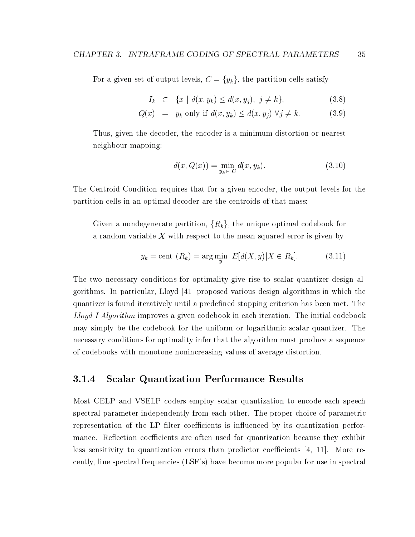For a given set of output levels,  $C = \{y_k\}$ , the partition cells satisfy

$$
I_k \quad \subset \quad \{x \mid d(x, y_k) \le d(x, y_j), \ j \ne k\},\tag{3.8}
$$

$$
Q(x) = y_k \text{ only if } d(x, y_k) \le d(x, y_j) \,\forall j \ne k. \tag{3.9}
$$

Thus, given the decoder, the encoder is a minimum distortion or nearest neighbour mapping:

$$
d(x, Q(x)) = \min_{y_k \in C} d(x, y_k).
$$
 (3.10)

The Centroid Condition requires that for a given encoder, the output levels for the partition cells in an optimal decoder are the centroids of that mass:

Given a nondegenerate partition,  $\{R_k\}$ , the unique optimal codebook for a random variable X with respect to the mean squared error is given by

$$
y_k = \text{cent } (R_k) = \arg\min_y \ E[d(X, y) | X \in R_k]. \tag{3.11}
$$

The two necessary conditions for optimality give rise to scalar quantizer design algorithms. In particular, Lloyd [41] proposed various design algorithms in which the quantizer is found iteratively until a predefined stopping criterion has been met. The Lloyd I Algorithm improves a given codebook in each iteration. The initial codebook may simply be the codebook for the uniform or logarithmic scalar quantizer. The necessary conditions for optimality infer that the algorithm must produce a sequence of codebooks with monotone nonincreasing values of average distortion.

## 3.1.4 Scalar Quantization Performance Results

Most CELP and VSELP coders employ scalar quantization to encode each speech spectral parameter independently from each other. The proper choice of parametric representation of the LP filter coefficients is influenced by its quantization performance. Reflection coefficients are often used for quantization because they exhibit less sensitivity to quantization errors than predictor coefficients  $[4, 11]$ . More recently, line spectral frequencies (LSF's) have become more popular for use in spectral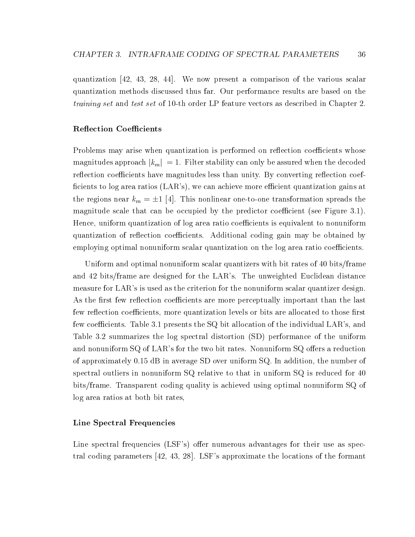quantization [42,43, 28, 44]. We now present a comparison of the various scalar quantization methods discussed thus far. Our performance results are based on the training set and test set of 10-th order LP feature vectors as described in Chapter 2.

## Reflection Coefficients

Problems may arise when quantization is performed on reflection coefficients whose magnitudes approach  $|k_m| = 1$ . Filter stability can only be assured when the decoded reflection coefficients have magnitudes less than unity. By converting reflection coefficients to log area ratios  $(LAR)$ , we can achieve more efficient quantization gains at the regions near  $k_m = \pm 1$  [4]. This nonlinear one-to-one transformation spreads the magnitude scale that can be occupied by the predictor coefficient (see Figure 3.1). Hence, uniform quantization of log area ratio coefficients is equivalent to nonuniform quantization of reflection coefficients. Additional coding gain may be obtained by employing optimal nonuniform scalar quantization on the log area ratio coefficients.

Uniform and optimal nonuniform scalar quantizers with bit rates of 40 bits/frame and 42 bits/frame are designed for the LAR's. The unweighted Euclidean distance measure for LAR's is used as the criterion for the nonuniform scalar quantizer design. As the first few reflection coefficients are more perceptually important than the last few reflection coefficients, more quantization levels or bits are allocated to those first few coefficients. Table 3.1 presents the  $SQ$  bit allocation of the individual LAR's, and Table 3.2 summarizes the log spectral distortion (SD) performance of the uniform and nonuniform  $SQ$  of LAR's for the two bit rates. Nonuniform  $SQ$  offers a reduction of approximately 0.15 dB in average SD over uniform SQ. In addition, the number of spectral outliers in nonuniform SQ relative to that in uniform SQ is reduced for 40 bits/frame. Transparent coding quality is achieved using optimal nonuniform SQ of log area ratios at both bit rates,

## Line Spectral Frequencies

Line spectral frequencies (LSF's) offer numerous advantages for their use as spectral coding parameters [42, 43, 28]. LSF's approximate the locations of the formant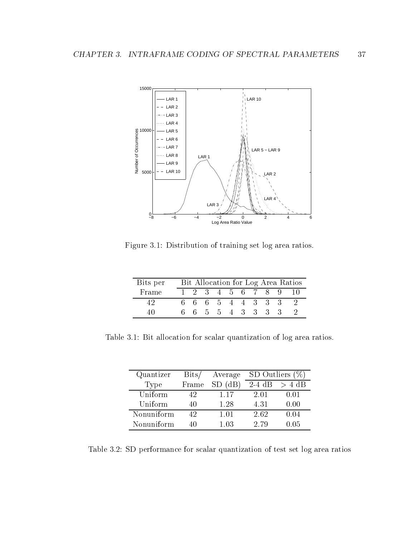

Figure 3.1: Distribution of training set log area ratios.

| Bits per | Bit Allocation for Log Area Ratios |                   |  |                 |  |  |  |  |  |  |
|----------|------------------------------------|-------------------|--|-----------------|--|--|--|--|--|--|
| Frame    |                                    | 1 2 3 4 5 6 7 8 9 |  |                 |  |  |  |  |  |  |
| 49       |                                    | 6 6 6 5 4 4 3 3 3 |  |                 |  |  |  |  |  |  |
| 40.      |                                    |                   |  | 6 5 5 4 3 3 3 3 |  |  |  |  |  |  |

Table 3.1: Bit allocation for scalar quantization of log area ratios.

| Quantizer  | $_{\rm{Bits/}}$ | Average   | SD Outliers (%) |          |
|------------|-----------------|-----------|-----------------|----------|
| Type       | Frame           | $SD$ (dB) | $2-4$ dB        | $> 4$ dB |
| Uniform    | 42              | 1 17      | 2.01            | 0.01     |
| Uniform    | 40              | 1 28      | 4.31            | 0.00     |
| Nonuniform | 42              | 1.01      | 2.62            | 0.04     |
| Nonuniform | 40              | 1.03      | 2.79            | 0.05     |

Table 3.2: SD performance for scalar quantization of test set log area ratios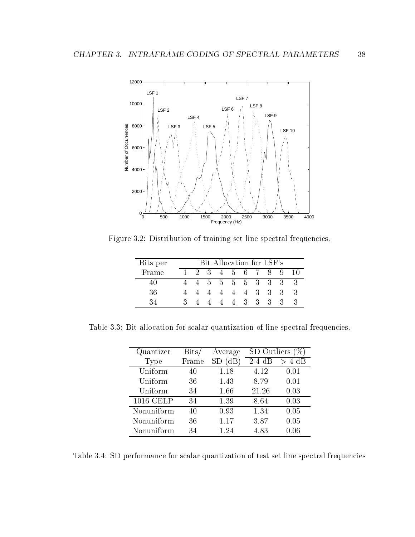

Figure 3.2: Distribution of training set line spectral frequencies.

| Bits per |   | Bit Allocation for LSF's |    |           |   |         |                |                             |                             |    |
|----------|---|--------------------------|----|-----------|---|---------|----------------|-----------------------------|-----------------------------|----|
| Frame    |   | $-2$                     | -3 |           |   | 4 5 6 7 |                | 8.                          | 9                           | 10 |
|          |   |                          |    | 5 5 5 5 3 |   |         |                | $\mathbf{3}$                | -3-                         |    |
| 36       |   |                          |    | 4         | 4 | 4       | 3 <sup>3</sup> | $3 -$                       | $\mathcal{S}_{\mathcal{S}}$ | -3 |
| 34       | 3 |                          |    | 4         | 4 | $-3$    | $\mathcal{S}$  | $\mathcal{S}_{\mathcal{S}}$ |                             |    |

Table 3.3: Bit allocation for scalar quantization of line spectral frequencies.

| Quantizer  | $_{\rm{Bits}}$ | Average | SD Outliers |           |
|------------|----------------|---------|-------------|-----------|
| Type       | Frame          | (dB)    | $2-4$ dB    | 4 dB<br>ゝ |
| Uniform    | 40             | 1.18    | 4.12        | 0.01      |
| Uniform    | 36             | 1.43    | 8.79        | 0.01      |
| Uniform    | 34             | 1.66    | 21.26       | 0.03      |
| 1016 CELP  | 34             | 1.39    | 8.64        | 0.03      |
| Nonuniform | 40             | 0.93    | 1.34        | 0.05      |
| Nonuniform | 36             | 1.17    | 3.87        | 0.05      |
| Nonuniform | 34             | 1.24    | 4.83        | 0.06      |

Table 3.4: SD performance for scalar quantization of test set line spectral frequencies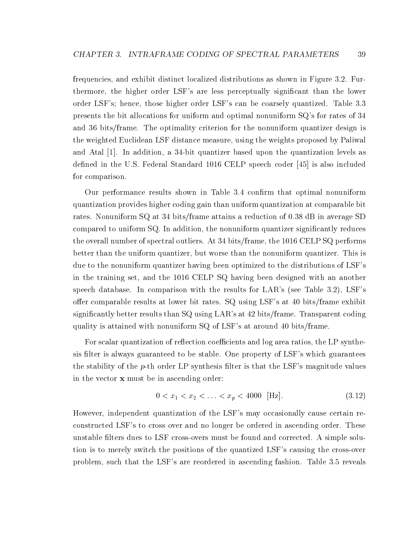frequencies, and exhibit distinct localized distributions as shown in Figure 3.2. Furthermore, the higher order LSF's are less perceptually signicant than the lower order LSF's; hence, those higher order LSF's can be coarsely quantized. Table 3.3 presents the bit allocations for uniform and optimal nonuniform SQ's for rates of 34 and 36 bits/frame. The optimality criterion for the nonuniform quantizer design is the weighted Euclidean LSF distance measure, using the weights proposed by Paliwal and Atal [1]. In addition, a 34-bit quantizer based upon the quantization levels as defined in the U.S. Federal Standard 1016 CELP speech coder [45] is also included for comparison.

Our performance results shown in Table 3.4 confirm that optimal nonuniform quantization provides higher coding gain than uniform quantization at comparable bit rates. Nonuniform SQ at 34 bits/frame attains a reduction of 0.38 dB in average SD compared to uniform SQ. In addition, the nonuniform quantizer signicantly reduces the overall number of spectral outliers. At 34 bits/frame, the 1016 CELP SQ performs better than the uniform quantizer, but worse than the nonuniform quantizer. This is due to the nonuniform quantizer having been optimized to the distributions of LSF's in the training set, and the 1016 CELP SQ having been designed with an another speech database. In comparison with the results for LAR's (see Table 3.2), LSF's offer comparable results at lower bit rates.  $SQ$  using LSF's at 40 bits/frame exhibit signicantly better results than SQ using LAR's at 42 bits/frame. Transparent coding quality is attained with nonuniform SQ of LSF's at around 40 bits/frame.

For scalar quantization of reflection coefficients and log area ratios, the LP synthesis filter is always guaranteed to be stable. One property of LSF's which guarantees the stability of the  $p$ -th order LP synthesis filter is that the LSF's magnitude values in the vector x must be in ascending order:

$$
0 < x_1 < x_2 < \ldots < x_p < 4000 \quad \text{[Hz]}.\tag{3.12}
$$

However, independent quantization of the LSF's may occasionally cause certain reconstructed LSF's to cross over and no longer be ordered in ascending order. These unstable filters dues to LSF cross-overs must be found and corrected. A simple solution is to merely switch the positions of the quantized LSF's causing the cross-over problem, such that the LSF's are reordered in ascending fashion. Table 3.5 reveals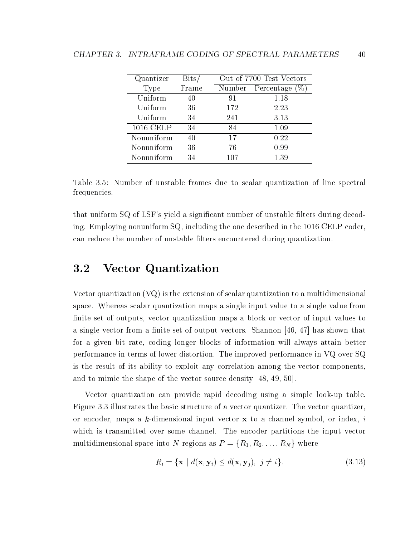| Quantizer  | $_{\rm{Bits}}$ |        | Out of 7700 Test Vectors |
|------------|----------------|--------|--------------------------|
| Type       | Frame          | Number | Percentage               |
| Uniform    | 40             | 91     | 1.18                     |
| Uniform    | 36             | 172    | 2.23                     |
| Uniform    | 34             | 241    | 3.13                     |
| 1016 CELP  | 34             | 84     | 1.09                     |
| Nonuniform | 40             | 17     | 0.22                     |
| Nonuniform | 36             | 76     | 0.99                     |
| Nonuniform | 34             | 107    | 1.39                     |

Table 3.5: Number of unstable frames due to scalar quantization of line spectral frequencies.

that uniform SQ of LSF's yield a significant number of unstable filters during decoding. Employing nonuniform SQ, including the one described in the 1016 CELP coder, can reduce the number of unstable lters encountered during quantization.

#### **Vector Quantization**  $3.2$

Vector quantization (VQ) is the extension of scalar quantization to a multidimensional space. Whereas scalar quantization maps a single input value to a single value from finite set of outputs, vector quantization maps a block or vector of input values to a single vector from a finite set of output vectors. Shannon  $[46, 47]$  has shown that for a given bit rate, coding longer blocks of information will always attain better performance in terms of lower distortion. The improved performance in VQ over SQ is the result of its ability to exploit any correlation among the vector components, and to mimic the shape of the vector source density [48, 49, 50].

Vector quantization can provide rapid decoding using a simple look-up table. Figure 3.3 illustrates the basic structure of a vector quantizer. The vector quantizer, or encoder, maps a k-dimensional input vector  $x$  to a channel symbol, or index, i which is transmitted over some channel. The encoder partitions the input vector multidimensional space into N regions as  $P = \{R_1, R_2, \ldots, R_N\}$  where

$$
R_i = \{ \mathbf{x} \mid d(\mathbf{x}, \mathbf{y}_i) \le d(\mathbf{x}, \mathbf{y}_j), \ j \ne i \}. \tag{3.13}
$$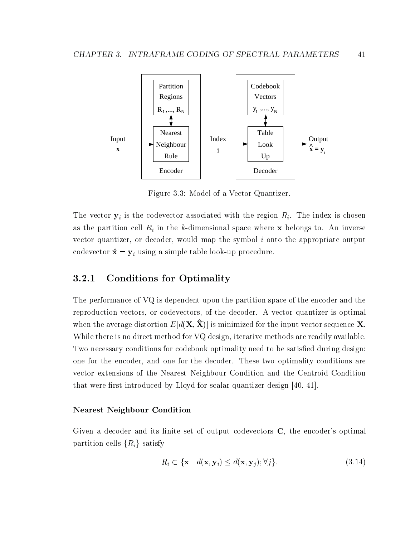

Figure 3.3: Model of a Vector Quantizer.

The vector  $y_i$  is the codevector associated with the region  $R_i$ . The index is chosen as the partition cell  $R_i$  in the k-dimensional space where x belongs to. An inverse vector quantizer, or decoder, would map the symbol  $i$  onto the appropriate output codevector  $\hat{\mathbf{x}} = \mathbf{y}_i$  using a simple table look-up procedure.

## 3.2.1 Conditions for Optimality

The performance of VQ is dependent upon the partition space of the encoder and the reproduction vectors, or codevectors, of the decoder. A vector quantizer is optimal when the average distortion  $E[d(X, \hat{X})]$  is minimized for the input vector sequence X. While there is no direct method for VQ design, iterative methods are readily available. Two necessary conditions for codebook optimality need to be satisfied during design: one for the encoder, and one for the decoder. These two optimality conditions are vector extensions of the Nearest Neighbour Condition and the Centroid Condition that were first introduced by Lloyd for scalar quantizer design  $[40, 41]$ .

## Nearest Neighbour Condition

Given a decoder and its finite set of output codevectors  $C$ , the encoder's optimal partition cells  $\{R_i\}$  satisfy

$$
R_i \subset \{ \mathbf{x} \mid d(\mathbf{x}, \mathbf{y}_i) \leq d(\mathbf{x}, \mathbf{y}_j); \forall j \}.
$$
 (3.14)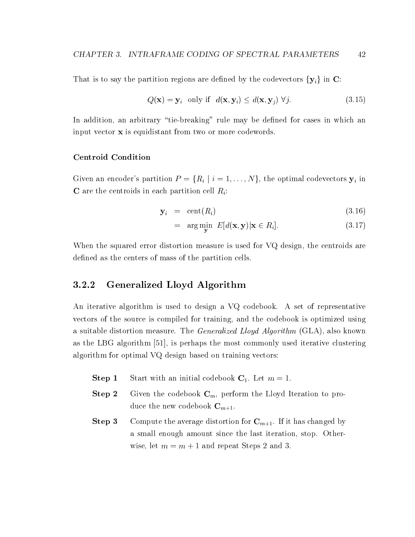That is to say the partition regions are defined by the codevectors  $\{y_i\}$  in C:

$$
Q(\mathbf{x}) = \mathbf{y}_i \quad \text{only if} \quad d(\mathbf{x}, \mathbf{y}_i) \le d(\mathbf{x}, \mathbf{y}_j) \ \forall j. \tag{3.15}
$$

In addition, an arbitrary "tie-breaking" rule may be defined for cases in which an input vector x is equidistant from two or more codewords.

### Centroid Condition

Given an encoder's partition  $P = \{R_i \mid i = 1,\ldots,N\}$ , the optimal codevectors  $y_i$  in **C** are the centroids in each partition cell  $R_i$ :

$$
\mathbf{y}_i = \text{cent}(R_i) \tag{3.16}
$$

$$
= \arg\min_{\mathbf{y}} \ E[d(\mathbf{x}, \mathbf{y}) | \mathbf{x} \in R_i]. \tag{3.17}
$$

When the squared error distortion measure is used for VQ design, the centroids are defined as the centers of mass of the partition cells.

<sup>y</sup>

## 3.2.2 Generalized Lloyd Algorithm

An iterative algorithm is used to design a VQ codebook. A set of representative vectors of the source is compiled for training, and the codebook is optimized using a suitable distortion measure. The *Generalized Lloyd Algorithm* (GLA), also known as the LBG algorithm [51], is perhaps the most commonly used iterative clustering algorithm for optimal VQ design based on training vectors:

- **Step 1** Start with an initial codebook  $C_1$ . Let  $m = 1$ .
- **Step 2** Given the codebook  $\mathbf{C}_m$ , perform the Lloyd Iteration to produce the new codebook  $\mathbf{C}_{m+1}$ .
- **Step 3** Compute the average distortion for  $\mathbf{C}_{m+1}$ . If it has changed by a small enough amount since the last iteration, stop. Otherwise, let  $m = m + 1$  and repeat Steps 2 and 3.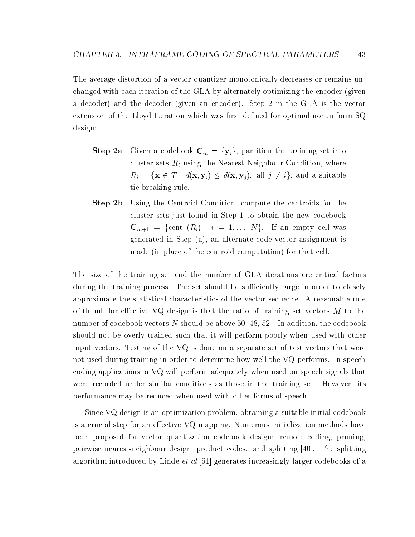The average distortion of a vector quantizer monotonically decreases or remains unchanged with each iteration of the GLA by alternately optimizing the encoder (given a decoder) and the decoder (given an encoder). Step 2 in the GLA is the vector extension of the Lloyd Iteration which was first defined for optimal nonuniform  $SQ$ design:

- **Step 2a** Given a codebook  $\mathbf{C}_m = {\mathbf{y}_i}$ , partition the training set into cluster sets  $R_i$  using the Nearest Neighbour Condition, where  $R_i = \{ \mathbf{x} \in T \mid d(\mathbf{x}, \mathbf{y}_i) \leq d(\mathbf{x}, \mathbf{y}_j), \text{ all } j \neq i \}, \text{ and a suitable}$ tie-breaking rule.
- **Step 2b** Using the Centroid Condition, compute the centroids for the cluster sets just found in Step 1 to obtain the new codebook  $\mathbf{C}_{m+1} = \{ \text{cent } (R_i) \mid i = 1,\ldots,N \}.$  If an empty cell was generated in Step (a), an alternate code vector assignment is made (in place of the centroid computation) for that cell.

The size of the training set and the number of GLA iterations are critical factors during the training process. The set should be sufficiently large in order to closely approximate the statistical characteristics of the vector sequence. A reasonable rule of thumb for effective VQ design is that the ratio of training set vectors  $M$  to the number of codebook vectors  $N$  should be above 50 [48, 52]. In addition, the codebook should not be overly trained such that it will perform poorly when used with other input vectors. Testing of the VQ is done on a separate set of test vectors that were not used during training in order to determine how well the VQ performs. In speech coding applications, a VQ will perform adequately when used on speech signals that were recorded under similar conditions as those in the training set. However, its performance may be reduced when used with other forms of speech.

Since VQ design is an optimization problem, obtaining a suitable initial codebook is a crucial step for an effective VQ mapping. Numerous initialization methods have been proposed for vector quantization codebook design: remote coding, pruning, pairwise nearest-neighbour design, product codes. and splitting [40]. The splitting algorithm introduced by Linde *et al*  $|51|$  generates increasingly larger codebooks of a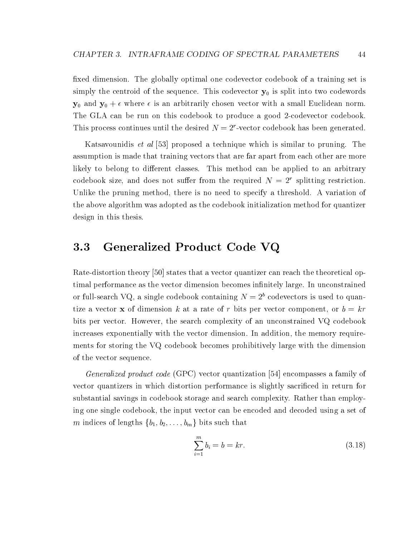fixed dimension. The globally optimal one codevector codebook of a training set is simply the centroid of the sequence. This codevector  $y_0$  is split into two codewords  $y_0$  and  $y_0 + \epsilon$  where  $\epsilon$  is an arbitrarily chosen vector with a small Euclidean norm. The GLA can be run on this codebook to produce a good 2-codevector codebook. This process continues until the desired  $N = 2<sup>r</sup>$ -vector codebook has been generated.

Katsavounidis et al [53] proposed a technique which is similar to pruning. The assumption is made that training vectors that are far apart from each other are more likely to belong to different classes. This method can be applied to an arbitrary codebook size, and does not suffer from the required  $N = 2<sup>r</sup>$  splitting restriction. Unlike the pruning method, there is no need to specify a threshold. A variation of the above algorithm was adopted as the codebook initialization method for quantizer design in this thesis.

## 3.3 Generalized Product Code VQ

Rate-distortion theory [50] states that a vector quantizer can reach the theoretical optimal performance as the vector dimension becomes infinitely large. In unconstrained or full-search VQ, a single codebook containing  $N = 2<sup>b</sup>$  codevectors is used to quantize a vector **x** of dimension k at a rate of r bits per vector component, or  $b = kr$ bits per vector. However, the search complexity of an unconstrained VQ codebook increases exponentially with the vector dimension. In addition, the memory requirements for storing the VQ codebook becomes prohibitively large with the dimension of the vector sequence.

Generalized product code (GPC) vector quantization [54] encompasses a family of vector quantizers in which distortion performance is slightly sacriced in return for substantial savings in codebook storage and search complexity. Rather than employing one single codebook, the input vector can be encoded and decoded using a set of m indices of lengths  $\{b_1, b_2, \ldots, b_m\}$  bits such that

$$
\sum_{i=1}^{m} b_i = b = kr.
$$
\n(3.18)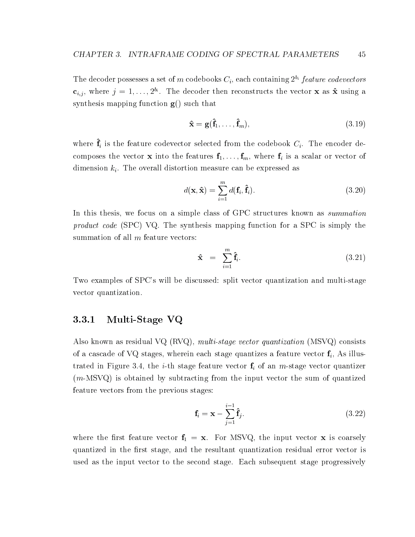The decoder possesses a set of m codebooks  $C_i$ , each containing  $2^{b_i}$  feature codevectors  $c_{i,j}$ , where  $j = 1, \ldots, 2^{b_i}$ . The decoder then reconstructs the vector **x** as  $\hat{\mathbf{x}}$  using a synthesis mapping function  $g()$  such that

$$
\hat{\mathbf{x}} = \mathbf{g}(\hat{\mathbf{f}}_1, \dots, \hat{\mathbf{f}}_m),\tag{3.19}
$$

where  $\hat{\mathbf{f}}_i$  is the feature codevector selected from the codebook  $C_i$ . The encoder decomposes the vector **x** into the features  $f_1$ , ...,  $f_m$ , where  $f_i$  is a scalar or vector of dimension  $k_i$ . The overall distortion measure can be expressed as

$$
d(\mathbf{x}, \hat{\mathbf{x}}) = \sum_{i=1}^{m} d(\mathbf{f}_i, \hat{\mathbf{f}}_i).
$$
 (3.20)

In this thesis, we focus on a simple class of GPC structures known as summation product code (SPC) VQ. The synthesis mapping function for a SPC is simply the summation of all  $m$  feature vectors:

$$
\hat{\mathbf{x}} = \sum_{i=1}^{m} \hat{\mathbf{f}}_i.
$$
 (3.21)

Two examples of SPC's will be discussed: split vector quantization and multi-stage vector quantization.

## 3.3.1 Multi-Stage VQ

Also known as residual  $VQ$  (RVQ), multi-stage vector quantization (MSVQ) consists of a cascade of VQ stages, wherein each stage quantizes a feature vector  $f_i$ , As illustrated in Figure 3.4, the *i*-th stage feature vector  $f_i$  of an *m*-stage vector quantizer (m-MSVQ) is obtained by subtracting from the input vector the sum of quantized feature vectors from the previous stages:

$$
\mathbf{f}_i = \mathbf{x} - \sum_{j=1}^{i-1} \hat{\mathbf{f}}_j.
$$
 (3.22)

where the first feature vector  $f_1 = x$ . For MSVQ, the input vector x is coarsely quantized in the first stage, and the resultant quantization residual error vector is used as the input vector to the second stage. Each subsequent stage progressively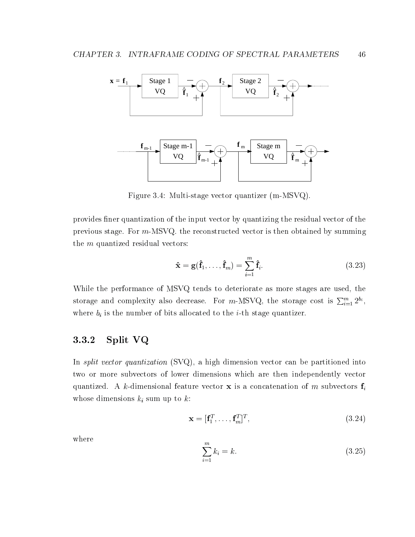

Figure 3.4: Multi-stage vector quantizer (m-MSVQ).

provides finer quantization of the input vector by quantizing the residual vector of the previous stage. For m-MSVQ. the reconstructed vector is then obtained by summing the  $m$  quantized residual vectors:

$$
\hat{\mathbf{x}} = \mathbf{g}(\hat{\mathbf{f}}_1, \dots, \hat{\mathbf{f}}_m) = \sum_{i=1}^m \hat{\mathbf{f}}_i.
$$
 (3.23)

While the performance of MSVQ tends to deteriorate as more stages are used, the storage and complexity also decrease. For m-MSVQ, the storage cost is  $\sum_{i=1}^{m} 2^{b_i}$ , where  $b_i$  is the number of bits allocated to the *i*-th stage quantizer.

## 3.3.2 Split VQ

In *split vector quantization* (SVQ), a high dimension vector can be partitioned into two or more subvectors of lower dimensions which are then independently vector quantized. A k-dimensional feature vector **x** is a concatenation of m subvectors  $f_i$ whose dimensions  $k_i$  sum up to  $k$ :

$$
\mathbf{x} = [\mathbf{f}_1^T, \dots, \mathbf{f}_m^T]^T, \tag{3.24}
$$

where

$$
\sum_{i=1}^{m} k_i = k.
$$
\n(3.25)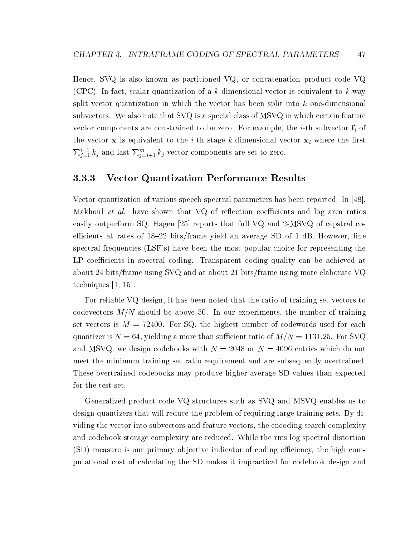Hence, SVQ is also known as partitioned VQ, or concatenation product code VQ (CPC). In fact, scalar quantization of a k-dimensional vector is equivalent to  $k$ -way split vector quantization in which the vector has been split into  $k$  one-dimensional subvectors. We also note that SVQ is a special class of MSVQ in which certain feature vector components are constrained to be zero. For example, the *i*-th subvector  $f_i$  of the vector **x** is equivalent to the *i*-th stage k-dimensional vector  $x_i$  where the first  $\sum_{j=1}^{i-1} k_j$  and last  $\sum_{j=i+1}^{m} k_j$  vector components are set to zero.

## 3.3.3 Vector Quantization Performance Results

Vector quantization of various speech spectral parameters has been reported. In [48], Makhoul *et al.* have shown that  $VQ$  of reflection coefficients and log area ratios easily outperform SQ. Hagen [25] reports that full VQ and 2-MSVQ of cepstral coefficients at rates of  $18{-}22$  bits/frame yield an average SD of 1 dB. However, line spectral frequencies (LSF's) have been the most popular choice for representing the LP coefficients in spectral coding. Transparent coding quality can be achieved at about 24 bits/frame using SVQ and at about 21 bits/frame using more elaborate VQ techniques [1, 15].

For reliable VQ design, it has been noted that the ratio of training set vectors to codevectors  $M/N$  should be above 50. In our experiments, the number of training set vectors is  $M = 72400$ . For SQ, the highest number of codewords used for each quantizer is  $N = 64$ , yielding a more than sufficient ratio of  $M/N = 1131.25$ . For SVQ and MSVQ, we design codebooks with  $N = 2048$  or  $N = 4096$  entries which do not meet the minimum training set ratio requirement and are subsequently overtrained. These overtrained codebooks may produce higher average SD values than expected for the test set.

Generalized product code VQ structures such as SVQ and MSVQ enables us to design quantizers that will reduce the problem of requiring large training sets. By dividing the vector into subvectors and feature vectors, the encoding search complexity and codebook storage complexity are reduced. While the rms log spectral distortion (SD) measure is our primary objective indicator of coding efficiency, the high computational cost of calculating the SD makes it impractical for codebook design and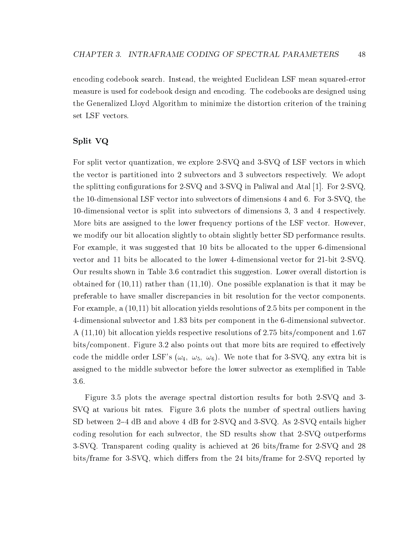encoding codebook search. Instead, the weighted Euclidean LSF mean squared-error measure is used for codebook design and encoding. The codebooks are designed using the Generalized Lloyd Algorithm to minimize the distortion criterion of the training set LSF vectors.

## Split VQ

For split vector quantization, we explore 2-SVQ and 3-SVQ of LSF vectors in which the vector is partitioned into 2 subvectors and 3 subvectors respectively. We adopt the splitting configurations for 2-SVQ and 3-SVQ in Paliwal and Atal [1]. For 2-SVQ. the 10-dimensional LSF vector into subvectors of dimensions 4 and 6. For 3-SVQ, the 10-dimensional vector is split into subvectors of dimensions 3, 3 and 4 respectively. More bits are assigned to the lower frequency portions of the LSF vector. However, we modify our bit allocation slightly to obtain slightly better SD performance results. For example, it was suggested that 10 bits be allocated to the upper 6-dimensional vector and 11 bits be allocated to the lower 4-dimensional vector for 21-bit 2-SVQ. Our results shown in Table 3.6 contradict this suggestion. Lower overall distortion is obtained for (10,11) rather than (11,10). One possible explanation is that it may be preferable to have smaller discrepancies in bit resolution for the vector components. For example, a (10,11) bit allocation yields resolutions of 2.5 bits per component in the 4-dimensional subvector and 1.83 bits per component in the 6-dimensional subvector. A (11,10) bit allocation yields respective resolutions of 2.75 bits/component and 1.67 bits/component. Figure 3.2 also points out that more bits are required to effectively code the middle order LSF's ( $\omega_4$ ,  $\omega_5$ ,  $\omega_6$ ). We note that for 3-SVQ, any extra bit is assigned to the middle subvector before the lower subvector as exemplified in Table 3.6.

Figure 3.5 plots the average spectral distortion results for both 2-SVQ and 3- SVQ at various bit rates. Figure 3.6 plots the number of spectral outliers having SD between 2–4 dB and above 4 dB for 2-SVQ and 3-SVQ. As 2-SVQ entails higher coding resolution for each subvector, the SD results show that 2-SVQ outperforms 3-SVQ. Transparent coding quality is achieved at 26 bits/frame for 2-SVQ and 28 bits/frame for 3-SVQ, which differs from the 24 bits/frame for 2-SVQ reported by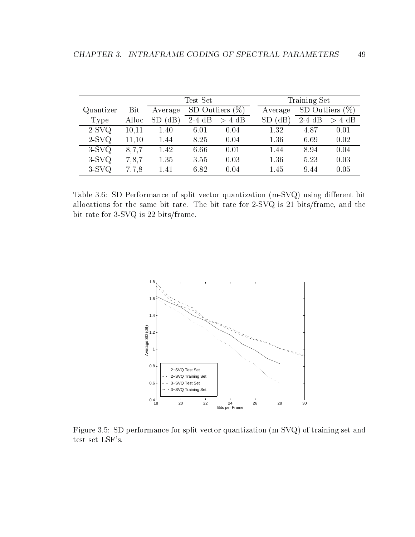|           |       |                   | Test Set            |          | Training Set |                    |          |          |
|-----------|-------|-------------------|---------------------|----------|--------------|--------------------|----------|----------|
| Quantizer | Bit   | Average           | SD Outliers<br>$\%$ |          | Average      | SD Outliers<br>(9) |          |          |
| Type      | Alloc | (dB)<br><b>SD</b> | $2-4$ dB            | $> 4$ dB |              | $\rm dB$           | $2-4$ dB | $> 4$ dB |
| $2-SVQ$   | 10,11 | 1.40              | 6.01                | 0.04     |              | 1.32               | 4.87     | 0.01     |
| $2-SVQ$   | 11.10 | 1.44              | 8.25                | 0.04     |              | 1.36               | 6.69     | 0.02     |
| $3-SVQ$   | 8,7,7 | 1.42              | 6.66                | 0.01     |              | 1.44               | 8.94     | 0.04     |
| $3-SVQ$   | 7,8,7 | 1.35              | 3.55                | 0.03     |              | 1.36               | 5.23     | 0.03     |
| $3-SVQ$   | 7,7,8 | 1.41              | 6.82                | 0.04     |              | 1.45               | 9.44     | 0.05     |

Table 3.6: SD Performance of split vector quantization (m-SVQ) using different bit allocations for the same bit rate. The bit rate for 2-SVQ is 21 bits/frame, and the bit rate for 3-SVQ is 22 bits/frame.



Figure 3.5: SD performance for split vector quantization (m-SVQ) of training set and test set LSF's.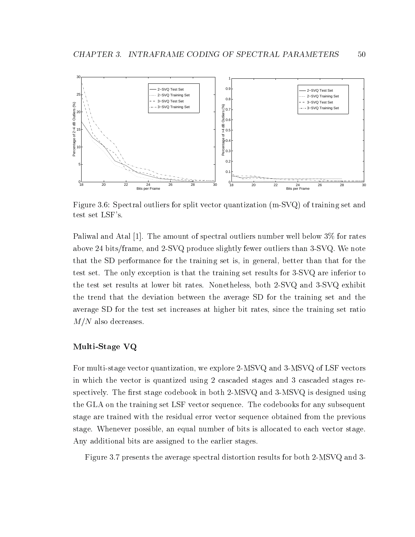

Figure 3.6: Spectral outliers for split vector quantization (m-SVQ) of training set and test set LSF's.

Paliwal and Atal [1]. The amount of spectral outliers number well below 3% for rates above 24 bits/frame, and 2-SVQ produce slightly fewer outliers than 3-SVQ. We note that the SD performance for the training set is, in general, better than that for the test set. The only exception is that the training set results for 3-SVQ are inferior to the test set results at lower bit rates. Nonetheless, both 2-SVQ and 3-SVQ exhibit the trend that the deviation between the average SD for the training set and the average SD for the test set increases at higher bit rates, since the training set ratio  $M/N$  also decreases.

## Multi-Stage VQ

For multi-stage vector quantization, we explore 2-MSVQ and 3-MSVQ of LSF vectors in which the vector is quantized using 2 cascaded stages and 3 cascaded stages respectively. The first stage codebook in both 2-MSVQ and 3-MSVQ is designed using the GLA on the training set LSF vector sequence. The codebooks for any subsequent stage are trained with the residual error vector sequence obtained from the previous stage. Whenever possible, an equal number of bits is allocated to each vector stage. Any additional bits are assigned to the earlier stages.

Figure 3.7 presents the average spectral distortion results for both 2-MSVQ and 3-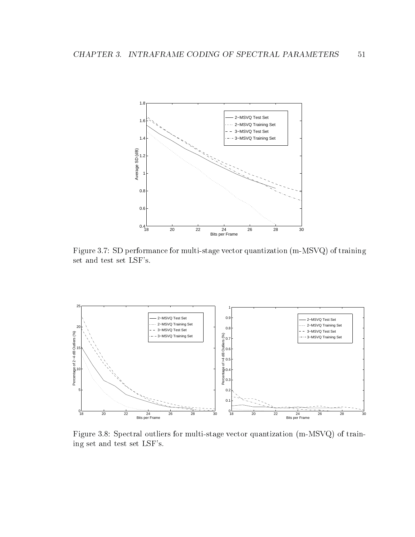

Figure 3.7: SD performance for multi-stage vector quantization (m-MSVQ) of training set and test set LSF's.



Figure 3.8: Spectral outliers for multi-stage vector quantization (m-MSVQ) of training set and test set LSF's.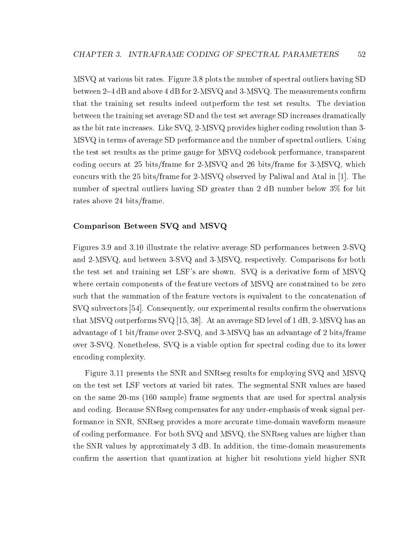MSVQ at various bit rates. Figure 3.8 plots the number of spectral outliers having SD between 2–4 dB and above 4 dB for 2-MSVQ and 3-MSVQ. The measurements confirm that the training set results indeed outperform the test set results. The deviation between the training set average SD and the test set average SD increases dramatically as the bit rate increases. Like SVQ, 2-MSVQ provides higher coding resolution than 3- MSVQ in terms of average SD performance and the number of spectral outliers. Using the test set results as the prime gauge for MSVQ codebook performance, transparent coding occurs at 25 bits/frame for 2-MSVQ and 26 bits/frame for 3-MSVQ, which concurs with the 25 bits/frame for 2-MSVQ observed by Paliwal and Atal in [1]. The number of spectral outliers having SD greater than 2 dB number below 3% for bit rates above 24 bits/frame.

### Comparison Between SVQ and MSVQ

Figures 3.9 and 3.10 illustrate the relative average SD performances between 2-SVQ and 2-MSVQ, and between 3-SVQ and 3-MSVQ, respectively. Comparisons for both the test set and training set LSF's are shown. SVQ is a derivative form of MSVQ where certain components of the feature vectors of MSVQ are constrained to be zero such that the summation of the feature vectors is equivalent to the concatenation of  ${\rm SVQ}$  subvectors [54]. Consequently, our experimental results confirm the observations that MSVQ outperforms SVQ [15, 38]. At an average SD level of 1 dB, 2-MSVQ has an advantage of 1 bit/frame over 2-SVQ, and 3-MSVQ has an advantage of 2 bits/frame over 3-SVQ. Nonetheless, SVQ is a viable option for spectral coding due to its lower encoding complexity.

Figure 3.11 presents the SNR and SNRseg results for employing SVQ and MSVQ on the test set LSF vectors at varied bit rates. The segmental SNR values are based on the same 20-ms (160 sample) frame segments that are used for spectral analysis and coding. Because SNRseg compensates for any under-emphasis of weak signal performance in SNR, SNRseg provides a more accurate time-domain waveform measure of coding performance. For both SVQ and MSVQ, the SNRseg values are higher than the SNR values by approximately 3 dB. In addition, the time-domain measurements confirm the assertion that quantization at higher bit resolutions yield higher SNR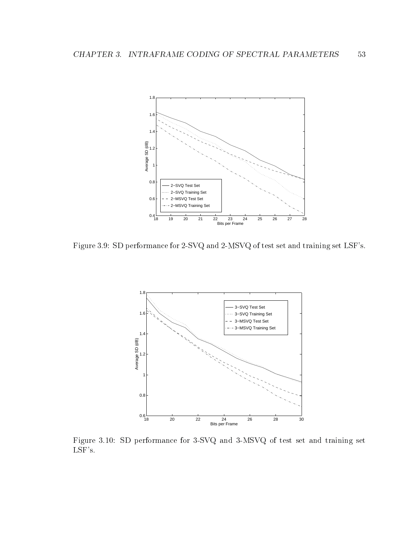

Figure 3.9: SD performance for 2-SVQ and 2-MSVQ of test set and training set LSF's.



Figure 3.10: SD performance for 3-SVQ and 3-MSVQ of test set and training set LSF's.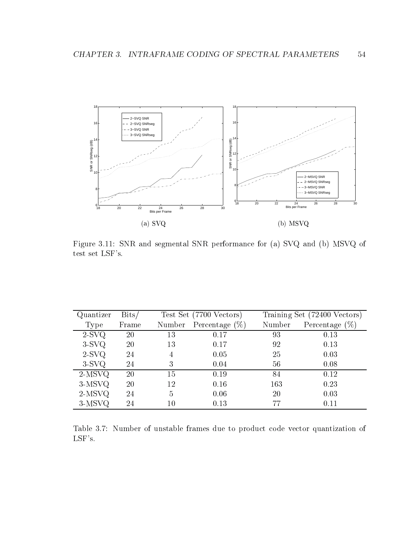

Figure 3.11: SNR and segmental SNR performance for (a) SVQ and (b) MSVQ of test set LSF's.

| Quantizer   | $_{\rm{Bits/}}$ |        | Test Set (7700 Vectors)  |        | Training Set (72400 Vectors) |
|-------------|-----------------|--------|--------------------------|--------|------------------------------|
| <b>Type</b> | Frame           |        | Number Percentage $(\%)$ | Number | Percentage $(\%)$            |
| $2-SVQ$     | 20              | 13     | 0.17                     | 93     | 0.13                         |
| $3-SVQ$     | 20              | 13     | 0.17                     | 92     | 0.13                         |
| $2-SVQ$     | 24              | 4      | 0.05                     | 25     | 0.03                         |
| $3-SVQ$     | 24              | 3      | 0.04                     | 56     | 0.08                         |
| $2-MSVQ$    | 20              | 15     | 0.19                     | 84     | 0.12                         |
| $3-MSVQ$    | 20              | 12     | 0.16                     | 163    | 0.23                         |
| $2-MSVQ$    | 24              | 5      | 0.06                     | 20     | 0.03                         |
| $3-MSVQ$    | 24              | $10\,$ | 0.13                     | 77     | 0.11                         |

Table 3.7: Number of unstable frames due to product code vector quantization of  $\operatorname{LSF's}.$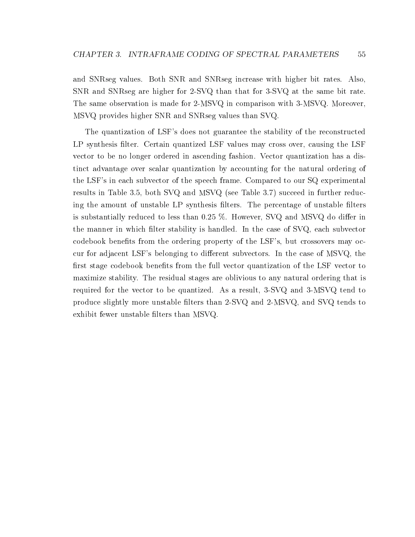and SNRseg values. Both SNR and SNRseg increase with higher bit rates. Also, SNR and SNRseg are higher for 2-SVQ than that for 3-SVQ at the same bit rate. The same observation is made for 2-MSVQ in comparison with 3-MSVQ. Moreover, MSVQ provides higher SNR and SNRseg values than SVQ.

The quantization of LSF's does not guarantee the stability of the reconstructed LP synthesis filter. Certain quantized LSF values may cross over, causing the LSF vector to be no longer ordered in ascending fashion. Vector quantization has a distinct advantage over scalar quantization by accounting for the natural ordering of the LSF's in each subvector of the speech frame. Compared to our SQ experimental results in Table 3.5, both SVQ and MSVQ (see Table 3.7) succeed in further reducing the amount of unstable LP synthesis filters. The percentage of unstable filters is substantially reduced to less than  $0.25\%$ . However, SVQ and MSVQ do differ in the manner in which filter stability is handled. In the case of SVQ, each subvector codebook benets from the ordering property of the LSF's, but crossovers may occur for adjacent LSF's belonging to different subvectors. In the case of  $MSVQ$ , the first stage codebook benefits from the full vector quantization of the LSF vector to maximize stability. The residual stages are oblivious to any natural ordering that is required for the vector to be quantized. As a result, 3-SVQ and 3-MSVQ tend to produce slightly more unstable filters than 2-SVQ and 2-MSVQ, and SVQ tends to exhibit fewer unstable filters than MSVQ.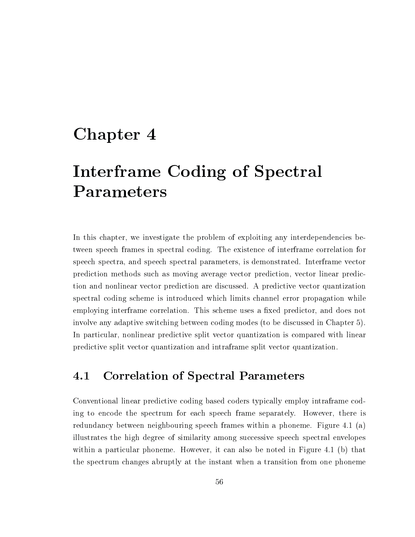# chapter 4 chapter 4 chapter 4 chapter 4 chapter 4 chapter 4 chapter 4 chapter 4 chapter 4 chapter 4 chapter 4 c

# Interframe Coding of Spectral Parameters

In this chapter, we investigate the problem of exploiting any interdependencies between speech frames in spectral coding. The existence of interframe correlation for speech spectra, and speech spectral parameters, is demonstrated. Interframe vector prediction methods such as moving average vector prediction, vector linear prediction and nonlinear vector prediction are discussed. A predictive vector quantization spectral coding scheme is introduced which limits channel error propagation while employing interframe correlation. This scheme uses a fixed predictor, and does not involve any adaptive switching between coding modes (to be discussed in Chapter 5). In particular, nonlinear predictive split vector quantization is compared with linear predictive split vector quantization and intraframe split vector quantization.

## 4.1 Correlation of Spectral Parameters

Conventional linear predictive coding based coders typically employ intraframe coding to encode the spectrum for each speech frame separately. However, there is redundancy between neighbouring speech frames within a phoneme. Figure 4.1 (a) illustrates the high degree of similarity among successive speech spectral envelopes within a particular phoneme. However, it can also be noted in Figure 4.1 (b) that the spectrum changes abruptly at the instant when a transition from one phoneme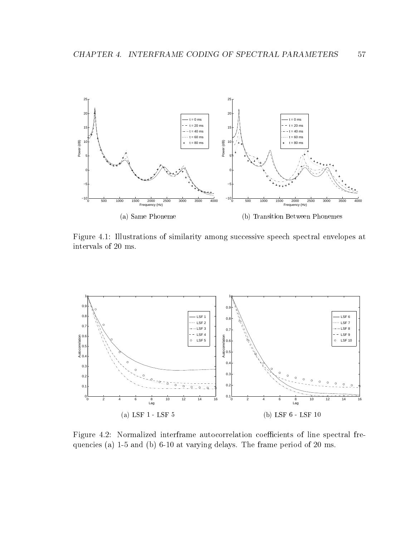

Figure 4.1: Illustrations of similarity among successive speech spectral envelopes at intervals of 20 ms.



Figure 4.2: Normalized interframe autocorrelation coefficients of line spectral frequencies (a) 1-5 and (b) 6-10 at varying delays. The frame period of 20 ms.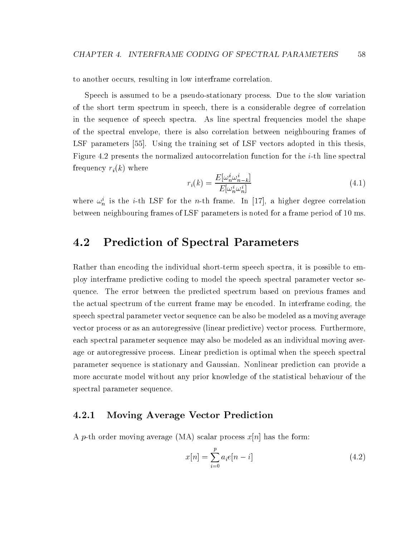to another occurs, resulting in low interframe correlation.

Speech is assumed to be a pseudo-stationary process. Due to the slow variation of the short term spectrum in speech, there is a considerable degree of correlation in the sequence of speech spectra. As line spectral frequencies model the shape of the spectral envelope, there is also correlation between neighbouring frames of LSF parameters [55]. Using the training set of LSF vectors adopted in this thesis, Figure 4.2 presents the normalized autocorrelation function for the  $i$ -th line spectral frequency  $r_i(k)$  where

$$
r_i(k) = \frac{E[\omega_n^i \omega_{n-k}^i]}{E[\omega_n^i \omega_n^i]}
$$
\n(4.1)

where  $\omega_n^i$  is the *i*-th LSF for the *n*-th frame. In [17], a higher degree correlation between neighbouring frames of LSF parameters is noted for a frame period of 10 ms.

## 4.2 Prediction of Spectral Parameters

Rather than encoding the individual short-term speech spectra, it is possible to employ interframe predictive coding to model the speech spectral parameter vector sequence. The error between the predicted spectrum based on previous frames and the actual spectrum of the current frame may be encoded. In interframe coding, the speech spectral parameter vector sequence can be also be modeled as a moving average vector process or as an autoregressive (linear predictive) vector process. Furthermore, each spectral parameter sequence may also be modeled as an individual moving average or autoregressive process. Linear prediction is optimal when the speech spectral parameter sequence is stationary and Gaussian. Nonlinear prediction can provide a more accurate model without any prior knowledge of the statistical behaviour of the spectral parameter sequence.

#### $4.2.1$ Moving Average Vector Prediction

A p-th order moving average (MA) scalar process  $x[n]$  has the form:

$$
x[n] = \sum_{i=0}^{p} a_i e[n-i]
$$
 (4.2)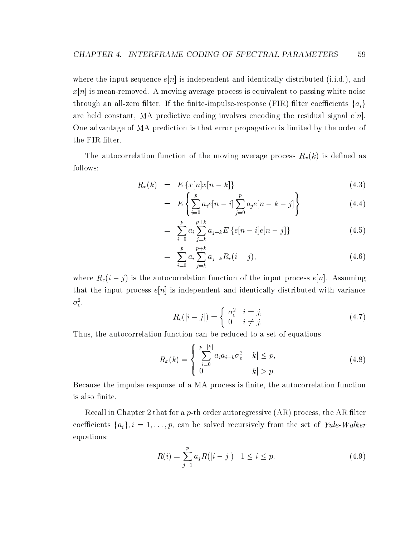where the input sequence  $e[n]$  is independent and identically distributed (i.i.d.), and  $x[n]$  is mean-removed. A moving average process is equivalent to passing white noise through an all-zero filter. If the finite-impulse-response (FIR) filter coefficients  $\{a_i\}$ are held constant, MA predictive coding involves encoding the residual signal  $e[n]$ . One advantage of MA prediction is that error propagation is limited by the order of the FIR filter.

The autocorrelation function of the moving average process  $R_x(k)$  is defined as follows:

$$
R_x(k) = E\left\{x[n]x[n-k]\right\} \tag{4.3}
$$

$$
= E\left\{\sum_{i=0}^{p} a_i e[n-i] \sum_{j=0}^{p} a_j e[n-k-j] \right\} \tag{4.4}
$$

$$
= \sum_{i=0}^{p} a_i \sum_{j=k}^{p+k} a_{j+k} E\left\{e[n-i]e[n-j]\right\} \tag{4.5}
$$

$$
= \sum_{i=0}^{p} a_i \sum_{j=k}^{p+k} a_{j+k} R_e(i-j), \qquad (4.6)
$$

where  $\mathcal{I}(\ell_1, \ell_2)$  is the autocorrelation function of the input process e $[n]$ . Assuming that the input process  $e[n]$  is independent and identically distributed with variance  $\sigma_{e}$ ,

$$
R_e(|i-j|) = \begin{cases} \sigma_e^2 & i = j, \\ 0 & i \neq j. \end{cases} \tag{4.7}
$$

Thus, the autocorrelation function can be reduced to a set of equations

$$
R_x(k) = \begin{cases} \sum_{i=0}^{p-|k|} a_i a_{i+k} \sigma_e^2 & |k| \le p, \\ 0 & |k| > p. \end{cases}
$$
 (4.8)

Because the impulse response of a MA process is finite, the autocorrelation function is also finite.

Recall in Chapter 2 that for a  $p$ -th order autoregressive (AR) process, the AR filter coefficients  $\{a_i\}, i = 1, \ldots, p$ , can be solved recursively from the set of Yule-Walker equations:

$$
R(i) = \sum_{j=1}^{p} a_j R(|i-j|) \quad 1 \le i \le p. \tag{4.9}
$$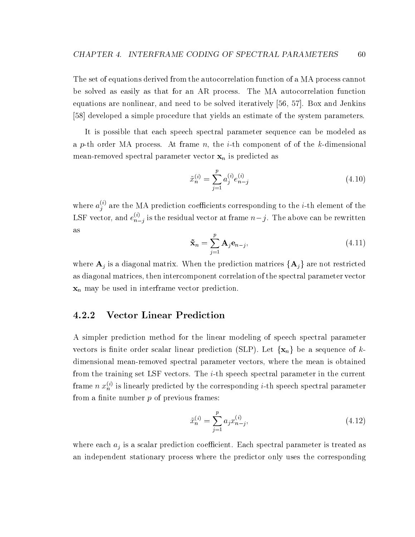The set of equations derived from the autocorrelation function of a MA process cannot be solved as easily as that for an AR process. The MA autocorrelation function equations are nonlinear, and need to be solved iteratively [56, 57]. Box and Jenkins [58] developed a simple procedure that yields an estimate of the system parameters.

It is possible that each speech spectral parameter sequence can be modeled as a p-th order MA process. At frame n, the *i*-th component of of the k-dimensional mean-removed spectral parameter vector  $x_n$  is predicted as

$$
\tilde{x}_n^{(i)} = \sum_{j=1}^p a_j^{(i)} e_{n-j}^{(i)}
$$
\n(4.10)

where  $a_i^{(i)}$  are the  $j$  are the MA prediction coefficients corresponding to the  $i$ -th element of the LSF vector, and  $e_{n-i}^{(i)}$  is the  $n-j$  is the residual vector at frame  $n-j$ . The above can be rewritten as

$$
\tilde{\mathbf{x}}_n = \sum_{j=1}^p \mathbf{A}_j \mathbf{e}_{n-j},\tag{4.11}
$$

where  $\mathbf{A}_j$  is a diagonal matrix. When the prediction matrices  $\{\mathbf{A}_j\}$  are not restricted as diagonal matrices, then intercomponent correlation of the spectral parameter vector  $\mathbf{x}_n$  may be used in interframe vector prediction.

#### $4.2.2$ Vector Linear Prediction

A simpler prediction method for the linear modeling of speech spectral parameter vectors is finite order scalar linear prediction (SLP). Let  $\{x_n\}$  be a sequence of kdimensional mean-removed spectral parameter vectors, where the mean is obtained from the training set LSF vectors. The i-th speech spectral parameter in the current frame n  $x_n^{(i)}$  is linearly predicted by the corresponding *i*-th speech spectral parameter from a finite number  $p$  of previous frames:

$$
\tilde{x}_n^{(i)} = \sum_{j=1}^p a_j x_{n-j}^{(i)},\tag{4.12}
$$

where each  $a_i$  is a scalar prediction coefficient. Each spectral parameter is treated as an independent stationary process where the predictor only uses the corresponding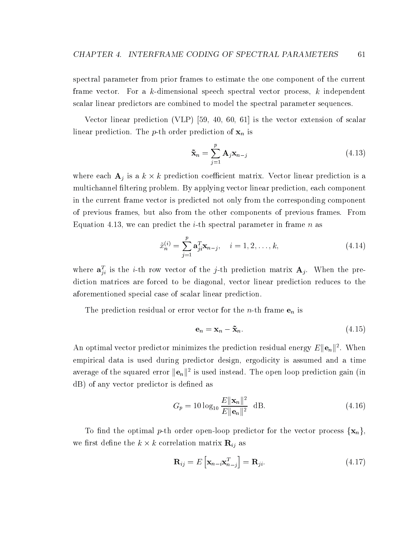spectral parameter from prior frames to estimate the one component of the current frame vector. For a k-dimensional speech spectral vector process, k independent scalar linear predictors are combined to model the spectral parameter sequences.

Vector linear prediction (VLP) [59, 40, 60, 61] is the vector extension of scalar linear prediction. The *p*-th order prediction of  $\mathbf{x}_n$  is

$$
\tilde{\mathbf{x}}_n = \sum_{j=1}^p \mathbf{A}_j \mathbf{x}_{n-j} \tag{4.13}
$$

where each  $A_j$  is a  $\kappa \times \kappa$  prediction coefficient matrix. Vector finear prediction is a multichannel filtering problem. By applying vector linear prediction, each component in the current frame vector is predicted not only from the corresponding component of previous frames, but also from the other components of previous frames. From Equation 4.13, we can predict the *i*-th spectral parameter in frame n as

$$
\tilde{x}_n^{(i)} = \sum_{j=1}^p \mathbf{a}_{ji}^T \mathbf{x}_{n-j}, \quad i = 1, 2, \dots, k,
$$
\n(4.14)

where  $a_{ji}^T$  is the *i*-th row vector of the *j*-th prediction matrix  $A_j$ . When the prediction matrices are forced to be diagonal, vector linear prediction reduces to the aforementioned special case of scalar linear prediction.

The prediction residual or error vector for the *n*-th frame  $e_n$  is

$$
\mathbf{e}_n = \mathbf{x}_n - \tilde{\mathbf{x}}_n. \tag{4.15}
$$

An optimal vector predictor minimizes the prediction residual energy  $E\left\Vert \mathbf{e}_{n}\right\Vert$  . When empirical data is used during predictor design, ergodicity is assumed and a time average of the squared error  $\|\mathbf{e}_n\|$  is used instead. The open loop prediction gain (in dB) of any vector predictor is defined as

$$
G_p = 10 \log_{10} \frac{E \|\mathbf{x}_n\|^2}{E \|\mathbf{e}_n\|^2} \text{ dB.}
$$
 (4.16)

To find the optimal p-th order open-loop predictor for the vector process  $\{x_n\}$ , we mst denne the  $\kappa \times \kappa$  correlation matrix  $\mathbf{r}_{ij}$  as

$$
\mathbf{R}_{ij} = E\left[\mathbf{x}_{n-i}\mathbf{x}_{n-j}^T\right] = \mathbf{R}_{ji}.
$$
 (4.17)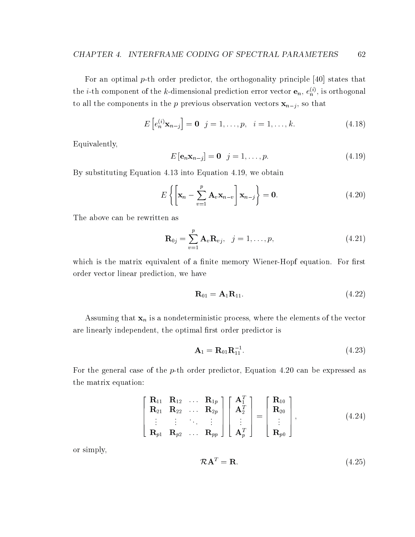For an optimal  $p$ -th order predictor, the orthogonality principle [40] states that the *i*-th component of the *k*-dimensional prediction error vector  $e_n$ ,  $e_n^{(i)}$ , is orthogonal to all the components in the p previous observation vectors  $x_{n-j}$ , so that

$$
E\left[e_n^{(i)}\mathbf{x}_{n-j}\right] = \mathbf{0} \quad j = 1,\dots,p, \quad i = 1,\dots,k. \tag{4.18}
$$

Equivalently,

$$
E\left[\mathbf{e}_n \mathbf{x}_{n-j}\right] = \mathbf{0} \quad j = 1, \dots, p. \tag{4.19}
$$

By substituting Equation 4.13 into Equation 4.19, we obtain

$$
E\left\{ \left[ \mathbf{x}_{n} - \sum_{v=1}^{p} \mathbf{A}_{v} \mathbf{x}_{n-v} \right] \mathbf{x}_{n-j} \right\} = \mathbf{0}.
$$
 (4.20)

The above can be rewritten as

$$
\mathbf{R}_{0j} = \sum_{v=1}^{p} \mathbf{A}_v \mathbf{R}_{vj}, \quad j = 1, \dots, p,
$$
\n(4.21)

which is the matrix equivalent of a finite memory Wiener-Hopf equation. For first order vector linear prediction, we have

$$
\mathbf{R}_{01} = \mathbf{A}_1 \mathbf{R}_{11}. \tag{4.22}
$$

Assuming that  $x_n$  is a nondeterministic process, where the elements of the vector are linearly independent, the optimal first order predictor is

$$
\mathbf{A}_1 = \mathbf{R}_{01} \mathbf{R}_{11}^{-1}.
$$
 (4.23)

For the general case of the  $p$ -th order predictor, Equation 4.20 can be expressed as the matrix equation:

$$
\begin{bmatrix}\n\mathbf{R}_{11} & \mathbf{R}_{12} & \dots & \mathbf{R}_{1p} \\
\mathbf{R}_{21} & \mathbf{R}_{22} & \dots & \mathbf{R}_{2p} \\
\vdots & \vdots & \ddots & \vdots \\
\mathbf{R}_{p1} & \mathbf{R}_{p2} & \dots & \mathbf{R}_{pp}\n\end{bmatrix}\n\begin{bmatrix}\n\mathbf{A}_1^T \\
\mathbf{A}_2^T \\
\vdots \\
\mathbf{A}_p^T\n\end{bmatrix} =\n\begin{bmatrix}\n\mathbf{R}_{10} \\
\mathbf{R}_{20} \\
\vdots \\
\mathbf{R}_{p0}\n\end{bmatrix},
$$
\n(4.24)

or simply,

$$
\mathcal{R}\mathbf{A}^T = \mathbf{R}.\tag{4.25}
$$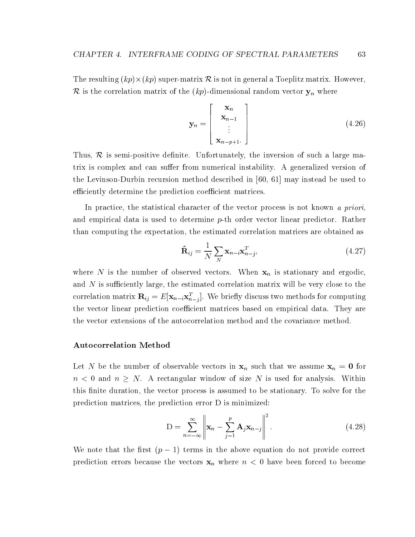$\text{Cov}(k) = \text{Cov}(k) - \text{Cov}(k)$  is not in general and in general and in general and in general and in general and in general and in general and in general and in general and in general and in general and in general and in ge R is the correlation matrix of the  $(kp)$ -dimensional random vector  $y_n$  where

$$
\mathbf{y}_n = \begin{bmatrix} \mathbf{x}_n \\ \mathbf{x}_{n-1} \\ \vdots \\ \mathbf{x}_{n-p+1} \end{bmatrix}
$$
 (4.26)

63

Thus, R is semi-positive density density density density of such a large mass  $\mathcal{O}$ trix is complex and can suffer from numerical instability. A generalized version of the Levinson-Durbin recursion method described in [60, 61] may instead be used to efficiently determine the prediction coefficient matrices.

In practice, the statistical character of the vector process is not known a priori, and empirical data is used to determine p-th order vector linear predictor. Rather than computing the expectation, the estimated correlation matrices are obtained as

$$
\hat{\mathbf{R}}_{ij} = \frac{1}{N} \sum_{N} \mathbf{x}_{n-i} \mathbf{x}_{n-j}^T,
$$
\n(4.27)

where N is the number of observed vectors. When  $x_n$  is stationary and ergodic, and  $N$  is sufficiently large, the estimated correlation matrix will be very close to the correlation matrix  $\mathbf{R}_{ij} = E[\mathbf{x}_{n-i}\mathbf{x}_{n-j}^T]$ . We briefly discuss two methods for computing the vector linear prediction coefficient matrices based on empirical data. They are the vector extensions of the autocorrelation method and the covariance method.

#### Autocorrelation Method

Let N be the number of observable vectors in  $x_n$  such that we assume  $x_n = 0$  for n and n  $\equiv$  0 and 10 and 10 and 10 and 10 and 10 and 10 and 10 and 10 and 10 and 10 and 10 and 10 and 10 and 1 this finite duration, the vector process is assumed to be stationary. To solve for the prediction matrices, the prediction error D is minimized:

$$
D = \sum_{n=-\infty}^{\infty} \left\| \mathbf{x}_n - \sum_{j=1}^{p} \mathbf{A}_j \mathbf{x}_{n-j} \right\|^2.
$$
 (4.28)

which interest that the state  $\lambda$  (p  $\lambda$  ) terms in the above extends of the above provided corrects. prediction errors because the vectors  $x_n$  where  $n < 0$  have been forced to become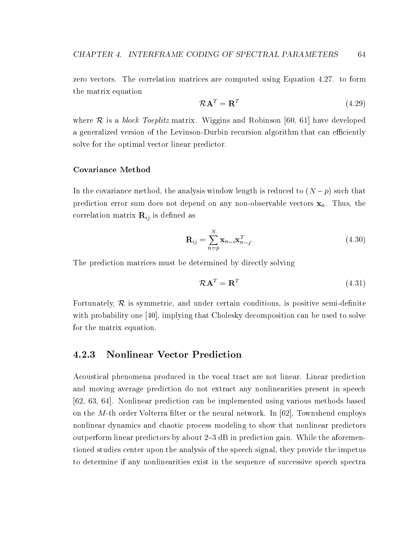zero vectors. The correlation matrices are computed using Equation 4.27. to form the matrix equation

$$
\mathcal{R}\mathbf{A}^T = \mathbf{R}^T \tag{4.29}
$$

where  $\alpha$  is a block Toeplitz matrix. We construct matrix and  $\alpha$  and  $\alpha$  for  $\alpha$ a generalized version of the Levinson-Durbin recursion algorithm that can efficiently solve for the optimal vector linear predictor.

#### Covariance Method

In the covariance method, the analysis window length is reduced to  $\alpha$  (n  $\beta$  ) such that that prediction error sum does not depend on any non-observable vectors  $x_n$ . Thus, the correlation matrix  $\mathbf{R}_{ij}$  is defined as

$$
\mathbf{R}_{ij} = \sum_{n=p}^{N} \mathbf{x}_{n-i} \mathbf{x}_{n-j}^T.
$$
 (4.30)

The prediction matrices must be determined by directly solving

$$
\mathcal{R}\mathbf{A}^T = \mathbf{R}^T \tag{4.31}
$$

For an isommetric, and under certain conditions, is positive semi-der certain conditions, is positive semi-der certain conditions, is positive semi-der certain conditions, in the certain conditions, is positive semi-der c with probability one [40], implying that Cholesky decomposition can be used to solve for the matrix equation.

#### 4.2.3 Nonlinear Vector Prediction

Acoustical phenomena produced in the vocal tract are not linear. Linear prediction and moving average prediction do not extract any nonlinearities present in speech [62, 63, 64]. Nonlinear prediction can be implemented using various methods based on the M-th order Volterra filter or the neural network. In  $[62]$ , Townshend employs nonlinear dynamics and chaotic process modeling to show that nonlinear predictors outperform linear predictors by about  $2-3$  dB in prediction gain. While the aforementioned studies center upon the analysis of the speech signal, they provide the impetus to determine if any nonlinearities exist in the sequence of successive speech spectra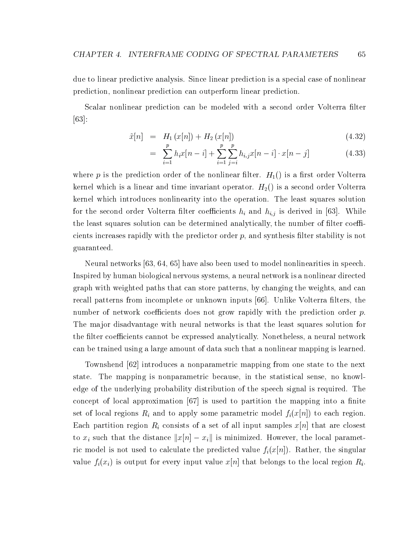due to linear predictive analysis. Since linear prediction is a special case of nonlinear prediction, nonlinear prediction can outperform linear prediction.

Scalar nonlinear prediction can be modeled with a second order Volterra filter [63]:

$$
\tilde{x}[n] = H_1(x[n]) + H_2(x[n]) \tag{4.32}
$$

$$
= \sum_{i=1}^{p} h_i x[n-i] + \sum_{i=1}^{p} \sum_{j=i}^{p} h_{i,j} x[n-i] \cdot x[n-j] \tag{4.33}
$$

where p is the prediction order of the nonlinear filter.  $H_1()$  is a first order Volterra kernel which is a linear and time invariant operator.  $H_2()$  is a second order Volterra kernel which introduces nonlinearity into the operation. The least squares solution for the second order Volterra filter coefficients  $h_i$  and  $h_{i,j}$  is derived in [63]. While the least squares solution can be determined analytically, the number of filter coefficients increases rapidly with the predictor order  $p$ , and synthesis filter stability is not guaranteed.

Neural networks [63, 64, 65] have also been used to model nonlinearities in speech. Inspired by human biological nervous systems, a neural network is a nonlinear directed graph with weighted paths that can store patterns, by changing the weights, and can recall patterns from incomplete or unknown inputs [66]. Unlike Volterra filters, the number of network coefficients does not grow rapidly with the prediction order  $p$ . The major disadvantage with neural networks is that the least squares solution for the filter coefficients cannot be expressed analytically. Nonetheless, a neural network can be trained using a large amount of data such that a nonlinear mapping is learned.

Townshend [62] introduces a nonparametric mapping from one state to the next state. The mapping is nonparametric because, in the statistical sense, no knowledge of the underlying probability distribution of the speech signal is required. The concept of local approximation  $|67|$  is used to partition the mapping into a finite set of local regions  $R_i$  and to apply some parametric model  $f_i(x[n])$  to each region. Each partition region  $R_i$  consists of a set of all input samples  $x[n]$  that are closest to  $x_i$  such that the distance  $||x[n] - x_i||$  is minimized. However, the local parametric model is not used to calculate the predicted value  $f_i(x[n])$ . Rather, the singular value  $f_i(x_i)$  is output for every input value  $x[n]$  that belongs to the local region  $R_i$ .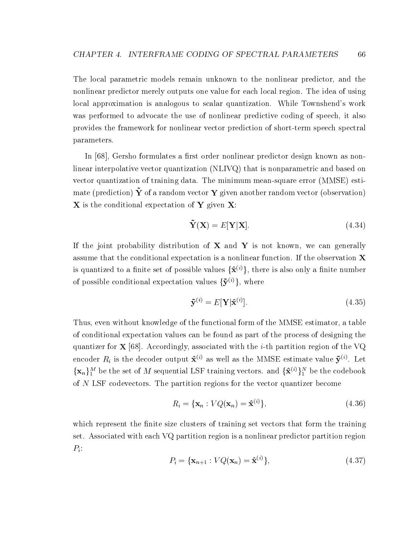The local parametric models remain unknown to the nonlinear predictor, and the nonlinear predictor merely outputs one value for each local region. The idea of using local approximation is analogous to scalar quantization. While Townshend's work was performed to advocate the use of nonlinear predictive coding of speech, it also provides the framework for nonlinear vector prediction of short-term speech spectral parameters.

In [68], Gersho formulates a first order nonlinear predictor design known as nonlinear interpolative vector quantization (NLIVQ) that is nonparametric and based on vector quantization of training data. The minimum mean-square error (MMSE) estimate (prediction) Y of a random vector Y given another random vector (observation) X is the conditional expectation of Y given X:

$$
\tilde{\mathbf{Y}}(\mathbf{X}) = E[\mathbf{Y}|\mathbf{X}]. \tag{4.34}
$$

If the joint probability distribution of  $X$  and  $Y$  is not known, we can generally assume that the conditional expectation is a nonlinear function. If the observation X is quantized to a finite set of possible values  $\{\hat{\mathbf{x}}^{(i)}\}$ , there is also only a finite number of possible conditional expectation values  $\{\tilde{\mathbf{y}}^{(i)}\}$ , where

$$
\tilde{\mathbf{y}}^{(i)} = E[\mathbf{Y}|\hat{\mathbf{x}}^{(i)}].\tag{4.35}
$$

Thus, even without knowledge of the functional form of the MMSE estimator, a table of conditional expectation values can be found as part of the process of designing the quantizer for **X** [68]. Accordingly, associated with the *i*-th partition region of the VQ encoder  $R_i$  is the decoder output  $\mathbf{\hat{x}}^{(i)}$  as well as the MMSE estimate value  $\mathbf{\tilde{y}}^{(i)}$ . Let  $\{\mathbf x_n\}_1^M$  be the set of M sequential LSF training vectors. and  $\{\hat{\mathbf x}^{(i)}\}_1^N$  be the codebook of N LSF codevectors. The partition regions for the vector quantizer become

$$
R_i = \{ \mathbf{x}_n : VQ(\mathbf{x}_n) = \hat{\mathbf{x}}^{(i)} \},\tag{4.36}
$$

which represent the finite size clusters of training set vectors that form the training set. Associated with each VQ partition region is a nonlinear predictor partition region  $P_i$ :

$$
P_i = {\mathbf{x}_{n+1} : VQ(\mathbf{x}_n) = \hat{\mathbf{x}}^{(i)}},\tag{4.37}
$$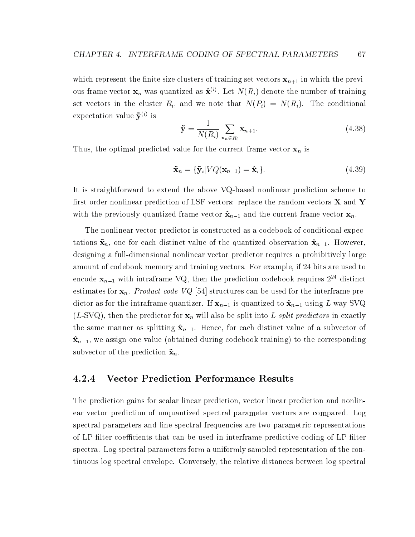which represent the finite size clusters of training set vectors  $x_{n+1}$  in which the previous frame vector  $\mathbf{x}_n$  was quantized as  $\mathbf{\hat{x}}^{(i)}$ . Let  $N(R_i)$  denote the number of training set vectors in the cluster  $R_i$ , and we note that  $N(P_i) = N(R_i)$ . The conditional expectation value  $\tilde{\mathbf{y}}^{(i)}$  is

$$
\tilde{\mathbf{y}} = \frac{1}{N(R_i)} \sum_{\mathbf{x}_n \in R_i} \mathbf{x}_{n+1}.
$$
\n(4.38)

Thus, the optimal predicted value for the current frame vector  $x_n$  is

$$
\tilde{\mathbf{x}}_n = \{\tilde{\mathbf{y}}_i | VQ(\mathbf{x}_{n-1}) = \hat{\mathbf{x}}_i\}.
$$
\n(4.39)

It is straightforward to extend the above VQ-based nonlinear prediction scheme to first order nonlinear prediction of LSF vectors: replace the random vectors  $X$  and Y with the previously quantized frame vector  $\hat{\mathbf{x}}_{n-1}$  and the current frame vector  $\mathbf{x}_n$ .

The nonlinear vector predictor is constructed as a codebook of conditional expectations  $\tilde{\mathbf{x}}_n$ , one for each distinct value of the quantized observation  $\hat{\mathbf{x}}_{n-1}$ . However, designing a full-dimensional nonlinear vector predictor requires a prohibitively large amount of codebook memory and training vectors. For example, if 24 bits are used to encode  $x_{n-1}$  with intraframe VQ, then the prediction codebook requires  $2^{24}$  distinct estimates for  $x_n$ . *Product code VQ* [54] structures can be used for the interframe predictor as for the intraframe quantizer. If  $x_{n-1}$  is quantized to  $\hat{x}_{n-1}$  using L-way SVQ  $(L-SVQ)$ , then the predictor for  $\mathbf{x}_n$  will also be split into L split predictors in exactly the same manner as splitting  $\hat{\mathbf{x}}_{n-1}$ . Hence, for each distinct value of a subvector of  $\hat{\mathbf{x}}_{n-1}$ , we assign one value (obtained during codebook training) to the corresponding subvector of the prediction  $\tilde{\mathbf{x}}_n$ .

#### 4.2.4 Vector Prediction Performance Results

The prediction gains for scalar linear prediction, vector linear prediction and nonlinear vector prediction of unquantized spectral parameter vectors are compared. Log spectral parameters and line spectral frequencies are two parametric representations of LP filter coefficients that can be used in interframe predictive coding of LP filter spectra. Log spectral parameters form a uniformly sampled representation of the continuous log spectral envelope. Conversely, the relative distances between log spectral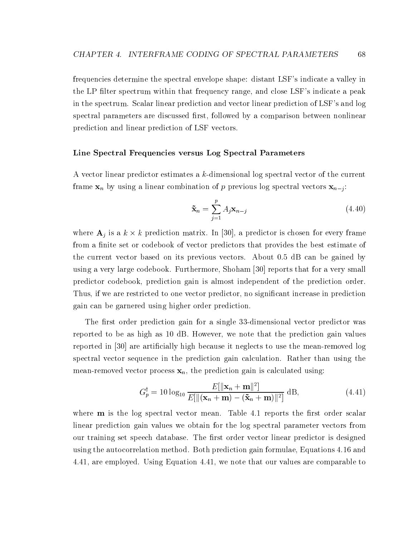frequencies determine the spectral envelope shape: distant LSF's indicate a valley in the LP filter spectrum within that frequency range, and close LSF's indicate a peak in the spectrum. Scalar linear prediction and vector linear prediction of LSF's and log spectral parameters are discussed first, followed by a comparison between nonlinear prediction and linear prediction of LSF vectors.

#### Line Spectral Frequencies versus Log Spectral Parameters

A vector linear predictor estimates a k-dimensional log spectral vector of the current frame  $x_n$  by using a linear combination of p previous log spectral vectors  $x_{n-j}$ :

$$
\tilde{\mathbf{x}}_n = \sum_{j=1}^p A_j \mathbf{x}_{n-j} \tag{4.40}
$$

where  $A_j$  is a  $\kappa \times \kappa$  prediction matrix. In [50], a predictor is chosen for every frame from a finite set or codebook of vector predictors that provides the best estimate of the current vector based on its previous vectors. About 0.5 dB can be gained by using a very large codebook. Furthermore, Shoham [30] reports that for a very small predictor codebook, prediction gain is almost independent of the prediction order. Thus, if we are restricted to one vector predictor, no signicant increase in prediction gain can be garnered using higher order prediction.

The first order prediction gain for a single 33-dimensional vector predictor was reported to be as high as10 dB. However, we note that the prediction gain values reported in [30] are articially high because it neglects to use the mean-removed log spectral vector sequence in the prediction gain calculation. Rather than using the mean-removed vector process  $x_n$ , the prediction gain is calculated using:

$$
G_p^{\dagger} = 10 \log_{10} \frac{E[\|\mathbf{x}_n + \mathbf{m}\|^2]}{E[\|(\mathbf{x}_n + \mathbf{m}) - (\tilde{\mathbf{x}}_n + \mathbf{m})\|^2]} \text{ dB}, \qquad (4.41)
$$

where  $\bf{m}$  is the log spectral vector mean. Table 4.1 reports the first order scalar linear prediction gain values we obtain for the log spectral parameter vectors from our training set speech database. The first order vector linear predictor is designed using the autocorrelation method. Both prediction gain formulae, Equations 4.16 and 4.41, are employed. Using Equation 4.41, we note that our values are comparable to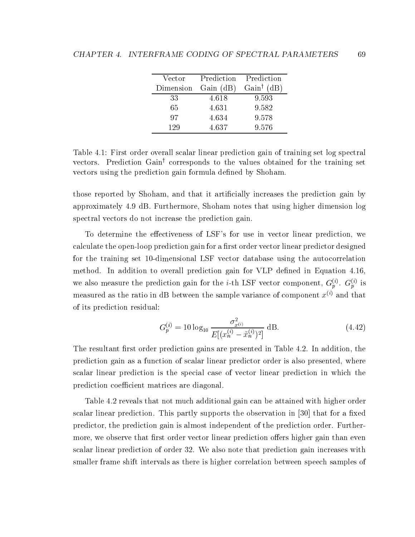| Vector    |           | Prediction Prediction  |
|-----------|-----------|------------------------|
| Dimension | Gain (dB) | Gain <sup>†</sup> (dB) |
| 33        | 4.618     | 9.593                  |
| 65        | 4.631     | 9.582                  |
| 97        | 4.634     | 9.578                  |
| 129       | 4.637     | 9.576                  |

Table 4.1: First order overall scalar linear prediction gain of training set log spectral vectors. Prediction Gain<sup>†</sup> corresponds to the values obtained for the training set vectors using the prediction gain formula defined by Shoham.

those reported by Shoham, and that it articially increases the prediction gain by approximately 4.9 dB. Furthermore, Shoham notes that using higher dimension log spectral vectors do not increase the prediction gain.

To determine the effectiveness of LSF's for use in vector linear prediction, we calculate the open-loop prediction gain for a first order vector linear predictor designed for the training set 10-dimensional LSF vector database using the autocorrelation method. In addition to overall prediction gain for VLP defined in Equation 4.16, we also measure the prediction gain for the *i*-th LSF vector component,  $G_p^{(i)}$ .  $G_p^{(i)}$  is measured as the ratio in dB between the sample variance of component  $x^{(i)}$  and that of its prediction residual:

$$
G_p^{(i)} = 10 \log_{10} \frac{\sigma_{x^{(i)}}^2}{E[(x_n^{(i)} - \tilde{x}_n^{(i)})^2]} \text{ dB.}
$$
 (4.42)

The resultant first order prediction gains are presented in Table 4.2. In addition, the prediction gain as a function of scalar linear predictor order is also presented, where scalar linear prediction is the special case of vector linear prediction in which the prediction coefficient matrices are diagonal.

Table 4.2 reveals that not much additional gain can be attained with higher order scalar linear prediction. This partly supports the observation in  $[30]$  that for a fixed predictor, the prediction gain is almost independent of the prediction order. Furthermore, we observe that first order vector linear prediction offers higher gain than even scalar linear prediction of order 32. We also note that prediction gain increases with smaller frame shift intervals as there is higher correlation between speech samples of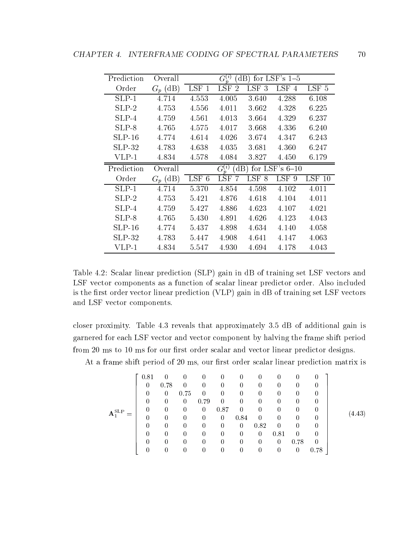| Prediction | Overall    |         | $G_n^{(i)}$          |                  | $dB$ ) for LSF's 1-5 |                  |
|------------|------------|---------|----------------------|------------------|----------------------|------------------|
| Order      | $G_p$ (dB) | $LSF$ 1 | LSF<br>$\mathcal{P}$ | LSF <sub>3</sub> | LSF 4                | LSF <sub>5</sub> |
| $SLP-1$    | 4.714      | 4.553   | 4.005                | 3.640            | 4.288                | 6.108            |
| $SLP-2$    | 4.753      | 4.556   | 4.011                | 3.662            | 4.328                | 6.225            |
| $SLP-4$    | 4.759      | 4.561   | 4.013                | 3.664            | 4.329                | 6.237            |
| $SLP-8$    | 4.765      | 4.575   | 4.017                | 3.668            | 4.336                | 6.240            |
| $SLP-16$   | 4.774      | 4.614   | 4.026                | 3.674            | 4.347                | 6.243            |
| $SLP-32$   | 4.783      | 4.638   | 4.035                | 3.681            | 4.360                | 6.247            |
| $VLP-1$    | 4.834      | 4.578   | 4.084                | 3.827            | 4.450                | 6.179            |
|            |            |         |                      |                  |                      |                  |
| Prediction | Overall    |         | $G_n^{(i)}$<br>dB)   |                  | for LSF's $6-10$     |                  |
| Order      | $G_p$ (dB) | $LSF$ 6 | LSF<br>-7            | LSF 8            | LSF 9                | $LSF$ 10         |
| $SLP-1$    | 4.714      | 5.370   | 4.854                | 4.598            | 4.102                | 4.011            |
| $SLP-2$    | 4.753      | 5.421   | 4.876                | 4.618            | 4.104                | 4.011            |
| $SLP-4$    | 4.759      | 5.427   | 4.886                | 4.623            | 4.107                | 4.021            |
| $SLP-8$    | 4.765      | 5.430   | 4.891                | 4.626            | 4.123                | 4.043            |
| $SLP-16$   | 4.774      | 5.437   | 4.898                | 4.634            | 4.140                | 4.058            |
| $SLP-32$   | 4.783      | 5.447   | 4.908                | 4.641            | 4.147                | 4.063            |

Table 4.2: Scalar linear prediction (SLP) gain in dB of training set LSF vectors and LSF vector components as a function of scalar linear predictor order. Also included is the first order vector linear prediction (VLP) gain in dB of training set LSF vectors and LSF vector components.

closer proximity. Table 4.3 reveals that approximately 3.5 dB of additional gain is garnered for each LSF vector and vector component by halving the frame shift period from 20 ms to 10 ms for our first order scalar and vector linear predictor designs.

At a frame shift period of 20 ms, our first order scalar linear prediction matrix is

$$
\mathbf{A}_{1}^{\text{SLP}} = \left[ \begin{array}{cccccccccccc} 0.81 & 0 & 0 & 0 & 0 & 0 & 0 & 0 & 0 & 0 & 0 \\ 0 & 0.78 & 0 & 0 & 0 & 0 & 0 & 0 & 0 & 0 & 0 \\ 0 & 0 & 0.75 & 0 & 0 & 0 & 0 & 0 & 0 & 0 & 0 \\ 0 & 0 & 0 & 0.79 & 0 & 0 & 0 & 0 & 0 & 0 & 0 \\ 0 & 0 & 0 & 0.87 & 0 & 0 & 0 & 0 & 0 & 0 \\ 0 & 0 & 0 & 0 & 0.84 & 0 & 0 & 0 & 0 & 0 \\ 0 & 0 & 0 & 0 & 0 & 0 & 0.82 & 0 & 0 & 0 \\ 0 & 0 & 0 & 0 & 0 & 0 & 0 & 0.81 & 0 & 0 \\ 0 & 0 & 0 & 0 & 0 & 0 & 0 & 0 & 0.78 & 0 \\ 0 & 0 & 0 & 0 & 0 & 0 & 0 & 0 & 0 & 0.78 \end{array} \right] (4.43)
$$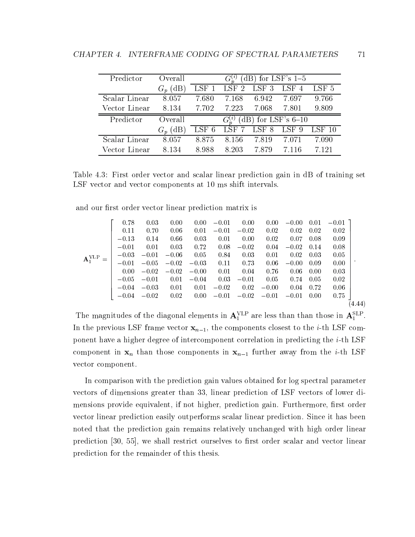| Predictor     | Overall       |       |                  | $(dB)$ for LSF's 1-5  |       |          |
|---------------|---------------|-------|------------------|-----------------------|-------|----------|
|               | (dB)<br>$G_n$ | LSF 1 | LSF <sub>2</sub> | LSF 3                 | LSF 4 | LSF 5    |
| Scalar Linear | 8.057         | 7.680 | 7.168            | 6.942                 | 7.697 | 9.766    |
| Vector Linear | 8.134         | 7.702 | 7.223            | 7.068                 | 7.801 | 9.809    |
|               |               |       |                  |                       |       |          |
| Predictor     | Overall       |       |                  | (dB) for LSF's $6-10$ |       |          |
|               | (dB           | LSF 6 | LSF 7            | LSF 8                 | LSF 9 | $LSF$ 10 |
| Scalar Linear | 8.057         | 8.875 | 8.156            | 7.819                 | 7.071 | 7.090    |

Table 4.3: First order vector and scalar linear prediction gain in dB of training set LSF vector and vector components at 10 ms shift intervals.

and our first order vector linear prediction matrix is

$$
\mathbf{A}_{1}^{\text{VLP}} = \begin{bmatrix} 0.78 & 0.03 & 0.00 & 0.00 & -0.01 & 0.00 & 0.00 & -0.00 & 0.01 & -0.01 \\ 0.11 & 0.70 & 0.06 & 0.01 & -0.01 & -0.02 & 0.02 & 0.02 & 0.02 & 0.02 \\ -0.13 & 0.14 & 0.66 & 0.03 & 0.01 & 0.00 & 0.02 & 0.07 & 0.08 & 0.09 \\ -0.01 & 0.01 & 0.03 & 0.72 & 0.08 & -0.02 & 0.04 & -0.02 & 0.14 & 0.08 \\ -0.03 & -0.01 & -0.06 & 0.05 & 0.84 & 0.03 & 0.01 & 0.02 & 0.03 & 0.05 \\ 0.00 & -0.02 & -0.02 & -0.03 & 0.11 & 0.73 & 0.06 & -0.00 & 0.09 & 0.00 \\ 0.00 & -0.02 & -0.02 & -0.00 & 0.01 & 0.04 & 0.76 & 0.06 & 0.00 & 0.03 \\ -0.05 & -0.01 & 0.01 & -0.04 & 0.03 & -0.01 & 0.05 & 0.74 & 0.05 & 0.02 \\ -0.04 & -0.03 & 0.01 & 0.01 & -0.02 & 0.02 & -0.00 & 0.04 & 0.72 & 0.06 \\ -0.04 & -0.02 & 0.02 & 0.00 & -0.01 & -0.02 & -0.01 & -0.01 & 0.00 & 0.75 \end{bmatrix} . \tag{4.44}
$$

The magnitudes of the diagonal elements in  $A_1^+$  are less than than those in  $A_1^+$ . In the previous LSF frame vector  $x_{n-1}$ , the components closest to the *i*-th LSF component have a higher degree of intercomponent correlation in predicting the i-th LSF component in  $x_n$  than those components in  $x_{n-1}$  further away from the *i*-th LSF vector component.

In comparison with the prediction gain values obtained for log spectral parameter vectors of dimensions greater than 33, linear prediction of LSF vectors of lower dimensions provide equivalent, if not higher, prediction gain. Furthermore, first order vector linear prediction easily outperforms scalar linear prediction. Since it has been noted that the prediction gain remains relatively unchanged with high order linear prediction  $[30, 55]$ , we shall restrict ourselves to first order scalar and vector linear prediction for the remainder of this thesis.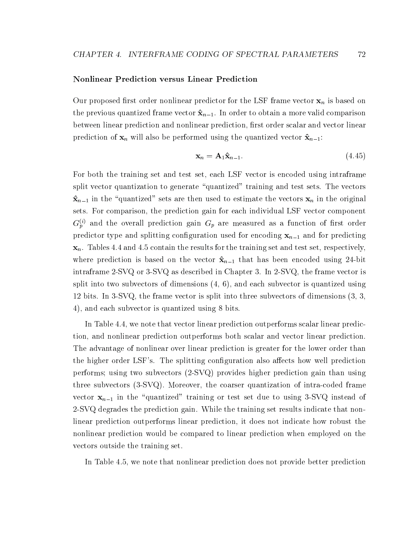#### Nonlinear Prediction versus Linear Prediction

Our proposed first order nonlinear predictor for the LSF frame vector  $x_n$  is based on the previous quantized frame vector  $\hat{\mathbf{x}}_{n-1}$ . In order to obtain a more valid comparison between linear prediction and nonlinear prediction, first order scalar and vector linear prediction of  $x_n$  will also be performed using the quantized vector  $\hat{x}_{n-1}$ :

$$
\mathbf{x}_n = \mathbf{A}_1 \hat{\mathbf{x}}_{n-1}.\tag{4.45}
$$

For both the training set and test set, each LSF vector is encoded using intraframe split vector quantization to generate "quantized" training and test sets. The vectors  $\hat{\mathbf{x}}_{n-1}$  in the "quantized" sets are then used to estimate the vectors  $\mathbf{x}_n$  in the original sets. For comparison, the prediction gain for each individual LSF vector component  $G_p^{(i)}$  and the overall prediction gain  $G_p$  are measured as a function of first order predictor type and splitting configuration used for encoding  $x_{n-1}$  and for predicting  $\mathbf{x}_n$ . Tables 4.4 and 4.5 contain the results for the training set and test set, respectively, where prediction is based on the vector  $\hat{\mathbf{x}}_{n-1}$  that has been encoded using 24-bit intraframe 2-SVQ or 3-SVQ as described in Chapter 3. In 2-SVQ, the frame vector is split into two subvectors of dimensions  $(4, 6)$ , and each subvector is quantized using 12 bits. In 3-SVQ, the frame vector is split into three subvectors of dimensions (3, 3, 4), and each subvector is quantized using 8 bits.

In Table 4.4, we note that vector linear prediction outperforms scalar linear prediction, and nonlinear prediction outperforms both scalar and vector linear prediction. The advantage of nonlinear over linear prediction is greater for the lower order than the higher order LSF's. The splitting configuration also affects how well prediction performs; using two subvectors (2-SVQ) provides higher prediction gain than using three subvectors (3-SVQ). Moreover, the coarser quantization of intra-coded frame vector  $x_{n-1}$  in the "quantized" training or test set due to using 3-SVQ instead of 2-SVQ degrades the prediction gain. While the training set results indicate that nonlinear prediction outperforms linear prediction, it does not indicate how robust the nonlinear prediction would be compared to linear prediction when employed on the vectors outside the training set.

In Table 4.5, we note that nonlinear prediction does not provide better prediction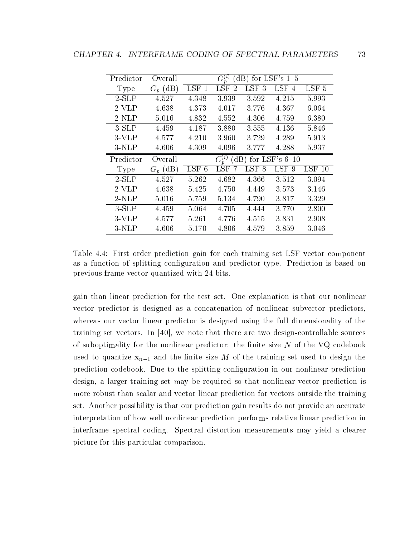| Predictor   | Overall    |         | $G_n^{(i)}$                |           | $(dB)$ for LSF's 1-5 |                  |
|-------------|------------|---------|----------------------------|-----------|----------------------|------------------|
| <b>Type</b> | $G_n$ (dB) | $LSF$ 1 | LSF<br>$\mathcal{D}$       | LSF<br>-3 | LSF<br>4             | LSF <sub>5</sub> |
| $2-SLP$     | 4.527      | 4.348   | 3.939                      | 3.592     | 4.215                | 5.993            |
| $2$ -VLP    | 4.638      | 4.373   | 4.017                      | 3.776     | 4.367                | 6.064            |
| $2-NLP$     | 5.016      | 4.832   | 4.552                      | 4.306     | 4.759                | 6.380            |
| $3-SLP$     | 4.459      | 4.187   | 3.880                      | 3.555     | 4.136                | 5.846            |
| $3-VLP$     | 4.577      | 4.210   | 3.960                      | 3.729     | 4.289                | 5.913            |
| $3-NLP$     | 4.606      | 4.309   | 4.096                      | 3.777     | 4.288                | 5.937            |
| Predictor   |            |         | $G^{(i)}_*$<br>$\text{dB}$ |           | for LSF's $6-10$     |                  |
|             | Overall    |         |                            |           |                      |                  |
| <b>Type</b> | $G_p$ (dB) | LSF 6   | <b>LSF</b>                 | LSF 8     | LSF <sub>9</sub>     | $LSF$ 10         |
| $2-SLP$     | 4.527      | 5.262   | 4.682                      | 4.366     | 3.512                | 3.094            |
| $2$ -VLP    | 4.638      | 5.425   | 4.750                      | 4.449     | 3.573                | 3.146            |
| $2-NLP$     | 5.016      | 5.759   | 5.134                      | 4.790     | 3.817                | 3.329            |
| $3-SLP$     | 4.459      | 5.064   | 4.705                      | 4.444     | 3.770                | 2.800            |
| $3-VLP$     | 4.577      | 5.261   | 4.776                      | 4.515     | 3.831                | 2.908            |

Table 4.4: First order prediction gain for each training set LSF vector component as a function of splitting configuration and predictor type. Prediction is based on previous frame vector quantized with 24 bits.

gain than linear prediction for the test set. One explanation is that our nonlinear vector predictor is designed as a concatenation of nonlinear subvector predictors, whereas our vector linear predictor is designed using the full dimensionality of the training set vectors. In [40], we note that there are two design-controllable sources of suboptimality for the nonlinear predictor: the finite size  $N$  of the VQ codebook used to quantize  $x_{n-1}$  and the finite size M of the training set used to design the prediction codebook. Due to the splitting configuration in our nonlinear prediction design, a larger training set may be required so that nonlinear vector prediction is more robust than scalar and vector linear prediction for vectors outside the training set. Another possibility is that our prediction gain results do not provide an accurate interpretation of how well nonlinear prediction performs relative linear prediction in interframe spectral coding. Spectral distortion measurements may yield a clearer picture for this particular comparison.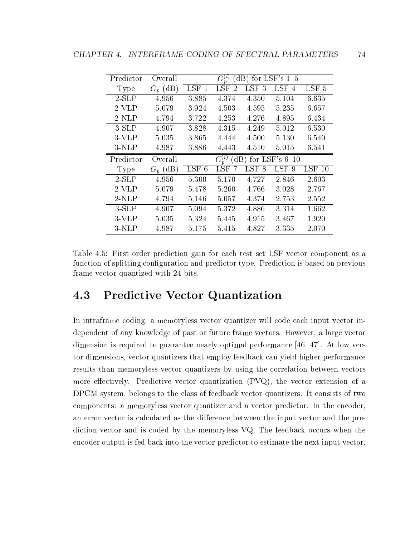| Predictor   | Overall    |         | $G_n^{(i)}$ | $\rm dB$ )       | for LSF's $1-5$         |          |
|-------------|------------|---------|-------------|------------------|-------------------------|----------|
| <b>Type</b> | $G_n$ (dB) | $LSF$ 1 | LSF<br>2    | LSF 3            | LSF 4                   | LSF 5    |
| $2-SLP$     | 4.956      | 3.885   | 4.374       | 4.350            | 5.104                   | 6.635    |
| $2$ -VLP    | 5.079      | 3.924   | 4.503       | 4.595            | 5.235                   | 6.657    |
| $2-NLP$     | 4.794      | 3.722   | 4.253       | 4.276            | 4.895                   | 6.434    |
| $3-SLP$     | 4.907      | 3.828   | 4.315       | 4.249            | 5.012                   | 6.530    |
| $3-VLP$     | 5.035      | 3.865   | 4.444       | 4.500            | 5.130                   | 6.540    |
| $3-NLP$     | 4.987      | 3.886   | 4.443       | 4.510            | 5.015                   | 6.541    |
| Predictor   | Overall    |         | $G_n^{(i)}$ |                  | $(dB)$ for LSF's $6-10$ |          |
|             |            |         |             |                  |                         |          |
| <b>Type</b> | $G_p$ (dB) | $LSF$ 6 | LSF         | LSF <sub>8</sub> | LSF <sub>9</sub>        | $LSF$ 10 |
| $2-SLP$     | 4.956      | 5.300   | 5.170       | 4.727            | 2.846                   | 2.603    |
| $2$ -VLP    | 5.079      | 5.478   | 5.260       | 4.766            | 3.028                   | 2.767    |
| $2-NLP$     | 4.794      | 5.146   | 5.057       | 4.374            | 2.753                   | 2.552    |
| $3-SLP$     | 4.907      | 5.094   | 5.372       | 4.886            | 3.314                   | 1.662    |
| $3-VLP$     | 5.035      | 5.324   | 5.445       | 4.915            | 3.467                   | 1.920    |

Table 4.5: First order prediction gain for each test set LSF vector component as a function of splitting configuration and predictor type. Prediction is based on previous frame vector quantized with 24 bits.

## 4.3 Predictive Vector Quantization

In intraframe coding, a memoryless vector quantizer will code each input vector independent of any knowledge of past or future frame vectors. However, a large vector dimension is required to guarantee nearly optimal performance [46, 47]. At low vector dimensions, vector quantizers that employ feedback can yield higher performance results than memoryless vector quantizers by using the correlation between vectors more effectively. Predictive vector quantization  $(PVQ)$ , the vector extension of a DPCM system, belongs to the class of feedback vector quantizers. It consists of two components: a memoryless vector quantizer and a vector predictor. In the encoder, an error vector is calculated as the difference between the input vector and the prediction vector and is coded by the memoryless VQ. The feedback occurs when the encoder output is fed back into the vector predictor to estimate the next input vector.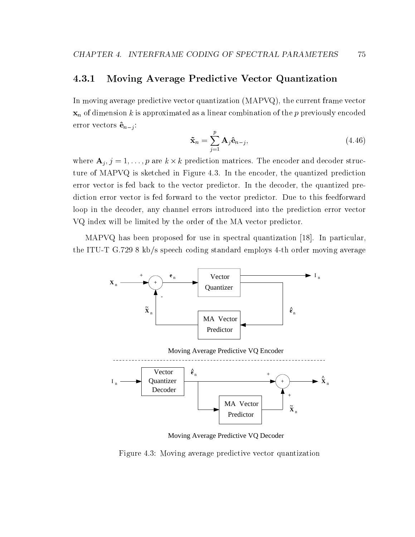#### Moving Average Predictive Vector Quantization 4.3.1

In moving average predictive vector quantization (MAPVQ), the current frame vector  $x_n$  of dimension k is approximated as a linear combination of the p previously encoded error vectors  $\hat{\mathbf{e}}_{n-j}$ :

$$
\tilde{\mathbf{x}}_n = \sum_{j=1}^p \mathbf{A}_j \hat{\mathbf{e}}_{n-j},
$$
\n(4.46)

where  $A_j$ ,  $j = 1, \ldots, p$  are  $\kappa \times \kappa$  prediction matrices. The encoder and decoder structure of MAPVQ is sketched in Figure 4.3. In the encoder, the quantized prediction error vector is fed back to the vector predictor. In the decoder, the quantized prediction error vector is fed forward to the vector predictor. Due to this feedforward loop in the decoder, any channel errors introduced into the prediction error vector VQ index will be limited by the order of the MA vector predictor.

MAPVQ has been proposed for use in spectral quantization [18]. In particular, the ITU-T G.729 8 kb/s speech coding standard employs 4-th order moving average



Moving Average Predictive VQ Decoder

Figure 4.3: Moving average predictive vector quantization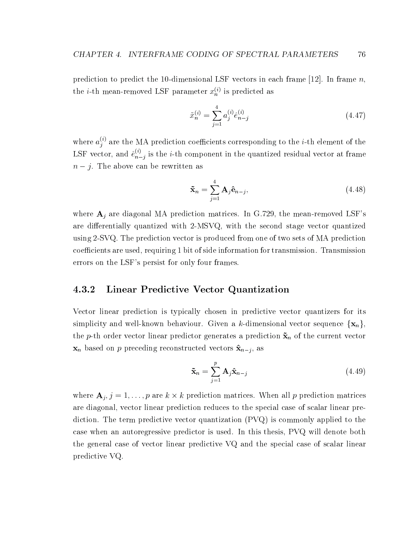prediction to predict the 10-dimensional LSF vectors in each frame [12]. In frame *n*, the *i*-th mean-removed LSF parameter  $x_n^{(i)}$  is predicted as

$$
\tilde{x}_n^{(i)} = \sum_{j=1}^4 a_j^{(i)} \hat{e}_{n-j}^{(i)}
$$
\n(4.47)

where  $a_i^{(i)}$  are the  $j$  are the MA prediction coefficients corresponding to the  $i$ -th element of the LSF vector, and  $\hat{e}_{n-i}^{(i)}$  is the  $n-j$  is the  $i$ -th component in the quantized residual vector at frame  $\bm{J}$ 

$$
\tilde{\mathbf{x}}_n = \sum_{j=1}^4 \mathbf{A}_j \hat{\mathbf{e}}_{n-j},\tag{4.48}
$$

where  $A_i$  are diagonal MA prediction matrices. In G.729, the mean-removed LSF's are differentially quantized with 2-MSVQ, with the second stage vector quantized using 2-SVQ. The prediction vector is produced from one of two sets of MA prediction coefficients are used, requiring 1 bit of side information for transmission. Transmission errors on the LSF's persist for only four frames.

### 4.3.2 Linear Predictive Vector Quantization

Vector linear prediction is typically chosen in predictive vector quantizers for its simplicity and well-known behaviour. Given a k-dimensional vector sequence  $\{x_n\}$ , the p-th order vector linear predictor generates a prediction  $\tilde{\mathbf{x}}_n$  of the current vector  $\mathbf{x}_n$  based on p preceding reconstructed vectors  $\mathbf{\hat{x}}_{n-j}$ , as

$$
\tilde{\mathbf{x}}_n = \sum_{j=1}^p \mathbf{A}_j \hat{\mathbf{x}}_{n-j} \tag{4.49}
$$

where  $A_j, j = 1, \ldots, p$  are  $\kappa \times \kappa$  prediction matrices. When all p prediction matrices are diagonal, vector linear prediction reduces to the special case of scalar linear prediction. The term predictive vector quantization (PVQ) is commonly applied to the case when an autoregressive predictor is used. In this thesis, PVQ will denote both the general case of vector linear predictive VQ and the special case of scalar linear predictive VQ.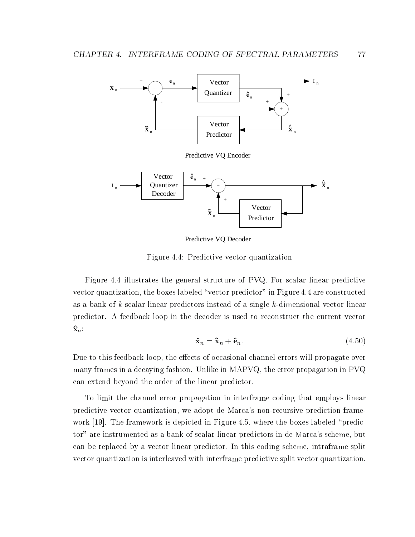

Predictive VQ Decoder

Figure 4.4: Predictive vector quantization

Figure 4.4 illustrates the general structure of PVQ. For scalar linear predictive vector quantization, the boxes labeled "vector predictor" in Figure 4.4 are constructed as a bank of k scalar linear predictors instead of a single k-dimensional vector linear predictor. A feedback loop in the decoder is used to reconstruct the current vector  $\mathbf{\hat{x}}_n$ :

$$
\hat{\mathbf{x}}_n = \tilde{\mathbf{x}}_n + \hat{\mathbf{e}}_n. \tag{4.50}
$$

Due to this feedback loop, the effects of occasional channel errors will propagate over many frames in a decaying fashion. Unlike in MAPVQ, the error propagation in PVQ can extend beyond the order of the linear predictor.

To limit the channel error propagation in interframe coding that employs linear predictive vector quantization, we adopt de Marca's non-recursive prediction framework  $[19]$ . The framework is depicted in Figure 4.5, where the boxes labeled "predictor" are instrumented as a bank of scalar linear predictors in de Marca's scheme, but can be replaced by a vector linear predictor. In this coding scheme, intraframe split vector quantization is interleaved with interframe predictive split vector quantization.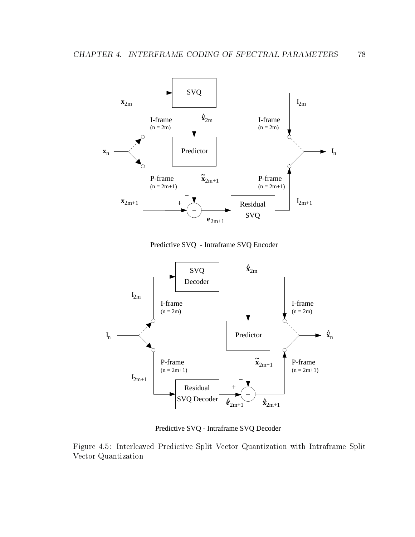

Predictive SVQ - Intraframe SVQ Encoder



Predictive SVQ - Intraframe SVQ Decoder

Figure 4.5: Interleaved Predictive Split Vector Quantization with Intraframe Split Vector Quantization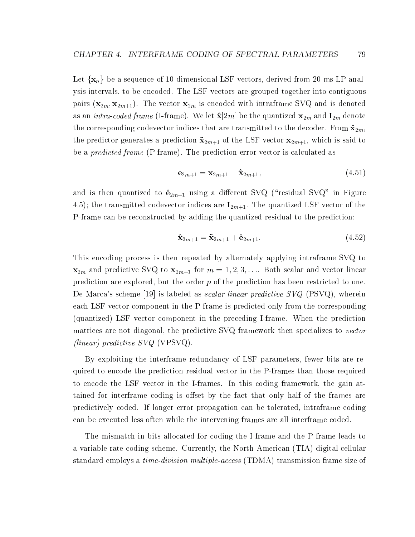Let  $\{x_n\}$  be a sequence of 10-dimensional LSF vectors, derived from 20-ms LP analysis intervals, to be encoded. The LSF vectors are grouped together into contiguous pairs  $(\mathbf{x}_{2m}, \mathbf{x}_{2m+1})$ . The vector  $\mathbf{x}_{2m}$  is encoded with intraframe SVQ and is denoted as an *intra-coded frame* (I-frame). We let  $\hat{\mathbf{x}}[2m]$  be the quantized  $\mathbf{x}_{2m}$  and  $\mathbf{I}_{2m}$  denote the corresponding codevector indices that are transmitted to the decoder. From  $\mathbf{\hat{x}}_{2m}$ , the predictor generates a prediction  $\tilde{\mathbf{x}}_{2m+1}$  of the LSF vector  $\mathbf{x}_{2m+1}$ , which is said to be a *predicted frame* (P-frame). The prediction error vector is calculated as

$$
\mathbf{e}_{2m+1} = \mathbf{x}_{2m+1} - \tilde{\mathbf{x}}_{2m+1},\tag{4.51}
$$

and is then quantized to  $\hat{\mathbf{e}}_{2m+1}$  using a different SVQ ("residual SVQ" in Figure 4.5); the transmitted codevector indices are  $\mathbf{I}_{2m+1}$ . The quantized LSF vector of the P-frame can be reconstructed by adding the quantized residual to the prediction:

$$
\hat{\mathbf{x}}_{2m+1} = \tilde{\mathbf{x}}_{2m+1} + \hat{\mathbf{e}}_{2m+1}.
$$
\n(4.52)

This encoding process is then repeated by alternately applying intraframe SVQ to  $\mathbf{x}_{2m}$  and predictive SVQ to  $\mathbf{x}_{2m+1}$  for  $m = 1, 2, 3, \ldots$  Both scalar and vector linear prediction are explored, but the order p of the prediction has been restricted to one. De Marca's scheme [19] is labeled as *scalar linear predictive SVQ* (PSVQ), wherein each LSF vector component in the P-frame is predicted only from the corresponding (quantized) LSF vector component in the preceding I-frame. When the prediction matrices are not diagonal, the predictive SVQ framework then specializes to vector (linear) predictive SVQ (VPSVQ).

By exploiting the interframe redundancy of LSF parameters, fewer bits are required to encode the prediction residual vector in the P-frames than those required to encode the LSF vector in the I-frames. In this coding framework, the gain attained for interframe coding is offset by the fact that only half of the frames are predictively coded. If longer error propagation can be tolerated, intraframe coding can be executed less often while the intervening frames are all interframe coded.

The mismatch in bits allocated for coding the I-frame and the P-frame leads to a variable rate coding scheme. Currently, the North American (TIA) digital cellular standard employs a time-division multiple-access (TDMA) transmission frame size of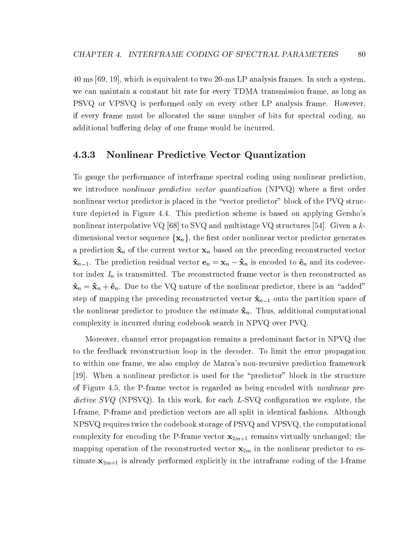40 ms [69, 19], which is equivalent to two 20-ms LP analysis frames. In such a system, we can maintain a constant bit rate for every TDMA transmission frame, as long as PSVQ or VPSVQ is performed only on every other LP analysis frame. However, if every frame must be allocated the same number of bits for spectral coding, an additional buffering delay of one frame would be incurred.

#### 4.3.3 Nonlinear Predictive Vector Quantization

To gauge the performance of interframe spectral coding using nonlinear prediction, we introduce *nonlinear predictive vector quantization*  $(NPVQ)$  where a first order nonlinear vector predictor is placed in the "vector predictor" block of the PVQ structure depicted in Figure 4.4. This prediction scheme is based on applying Gersho's nonlinear interpolative VQ [68] to SVQ and multistage VQ structures [54]. Given a k dimensional vector sequence  $\{x_n\}$ , the first order nonlinear vector predictor generates a prediction  $\tilde{\mathbf{x}}_n$  of the current vector  $\mathbf{x}_n$  based on the preceding reconstructed vector  $\mathbf{x}_{n-1}$ . The prediction residual vector  $\mathbf{c}_n = \mathbf{x}_n$   $\mathbf{x}_n$  is encoded to  $\mathbf{c}_n$  and its codevector index  $I_n$  is transmitted. The reconstructed frame vector is then reconstructed as  $\mathbf{\hat{x}}_n = \mathbf{\tilde{x}}_n + \mathbf{\hat{e}}_n$ . Due to the VQ nature of the nonlinear predictor, there is an "added" step of mapping the preceding reconstructed vector  $\hat{\mathbf{x}}_{n-1}$  onto the partition space of the nonlinear predictor to produce the estimate  $\tilde{\mathbf{x}}_n$ . Thus, additional computational complexity is incurred during codebook search in NPVQ over PVQ.

Moreover, channel error propagation remains a predominant factor in NPVQ due to the feedback reconstruction loop in the decoder. To limit the error propagation to within one frame, we also employ de Marca's non-recursive prediction framework [19]. When a nonlinear predictor is used for the \predictor" block in the structure of Figure 4.5, the P-frame vector is regarded as being encoded with nonlinear predictive  $SVQ$  (NPSVQ). In this work, for each  $L$ -SVQ configuration we explore, the I-frame, P-frame and prediction vectors are all split in identical fashions. Although NPSVQ requires twice the codebook storage of PSVQ and VPSVQ, the computational complexity for encoding the P-frame vector  $\mathbf{x}_{2m+1}$  remains virtually unchanged; the mapping operation of the reconstructed vector  $\mathbf{x}_{2m}$  in the nonlinear predictor to estimate  $x_{2m+1}$  is already performed explicitly in the intraframe coding of the I-frame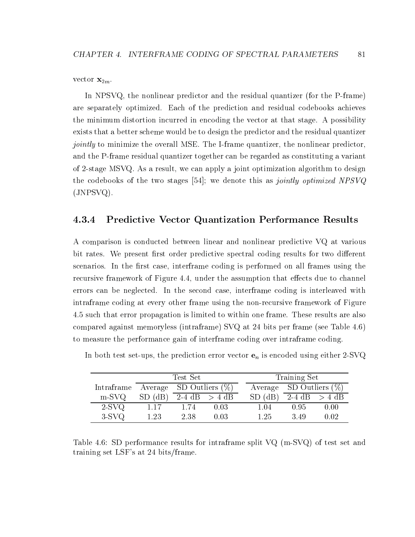vector  $\mathbf{x}_{2m}$ .

In NPSVQ, the nonlinear predictor and the residual quantizer (for the P-frame) are separately optimized. Each of the prediction and residual codebooks achieves the minimum distortion incurred in encoding the vector at that stage. A possibility exists that a better scheme would be to design the predictor and the residual quantizer jointly to minimize the overall MSE. The I-frame quantizer, the nonlinear predictor, and the P-frame residual quantizer together can be regarded as constituting a variant of 2-stage MSVQ. As a result, we can apply a joint optimization algorithm to design the codebooks of the two stages [54]; we denote this as *jointly optimized NPSVQ* (JNPSVQ).

### 4.3.4 Predictive Vector Quantization Performance Results

A comparison is conducted between linear and nonlinear predictive VQ at various bit rates. We present first order predictive spectral coding results for two different scenarios. In the first case, interframe coding is performed on all frames using the recursive framework of Figure 4.4, under the assumption that effects due to channel errors can be neglected. In the second case, interframe coding is interleaved with intraframe coding at every other frame using the non-recursive framework of Figure 4.5 such that error propagation is limited to within one frame. These results are also compared against memoryless (intraframe) SVQ at 24 bits per frame (see Table 4.6) to measure the performance gain of interframe coding over intraframe coding.

|                                       |                                      | Test Set |      |                            | Training Set |                   |
|---------------------------------------|--------------------------------------|----------|------|----------------------------|--------------|-------------------|
| Intraframe Average SD Outliers $(\%)$ |                                      |          |      | Average SD Outliers $(\%)$ |              |                   |
| $m-SVQ$                               | SD (dB) $\overline{2-4}$ dB $> 4$ dB |          |      | $SD$ (dB)                  |              | $2-4$ dB $> 4$ dB |
| $2-SVQ$                               | 1.17                                 | 1.74     | 0.03 | 1.04                       | 0.95         | 0.00              |
| $3-SVQ$                               | 1.23                                 | 2.38     | 0.03 | 1.25                       | 3.49         | 0.02              |

In both test set-ups, the prediction error vector  $e_n$  is encoded using either 2-SVQ

Table 4.6: SD performance results for intraframe split VQ (m-SVQ) of test set and training set LSF's at 24 bits/frame.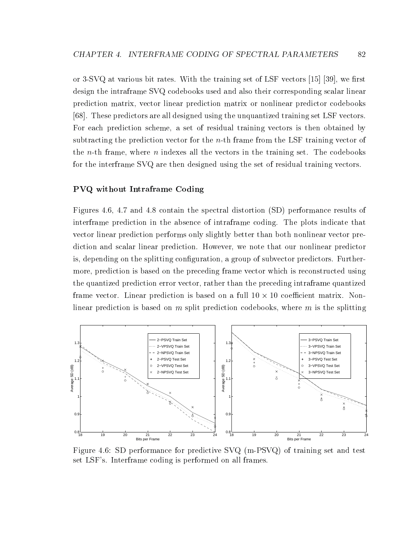or  $3$ -SVQ at various bit rates. With the training set of LSF vectors [15] [39], we first design the intraframe SVQ codebooks used and also their corresponding scalar linear prediction matrix, vector linear prediction matrix or nonlinear predictor codebooks [68]. These predictors are all designed using the unquantized training set LSF vectors. For each prediction scheme, a set of residual training vectors is then obtained by subtracting the prediction vector for the  $n$ -th frame from the LSF training vector of the *n*-th frame, where *n* indexes all the vectors in the training set. The codebooks for the interframe SVQ are then designed using the set of residual training vectors.

#### PVQ without Intraframe Coding

Figures 4.6, 4.7 and 4.8 contain the spectral distortion (SD) performance results of interframe prediction in the absence of intraframe coding. The plots indicate that vector linear prediction performs only slightly better than both nonlinear vector prediction and scalar linear prediction. However, we note that our nonlinear predictor is, depending on the splitting configuration, a group of subvector predictors. Furthermore, prediction is based on the preceding frame vector which is reconstructed using the quantized prediction error vector, rather than the preceding intraframe quantized frame vector. Linear prediction is based on a full 10 10 coecient matrix. Nonlinear prediction is based on  $m$  split prediction codebooks, where  $m$  is the splitting



Figure 4.6: SD performance for predictive SVQ (m-PSVQ) of training set and test set LSF's. Interframe coding is performed on all frames.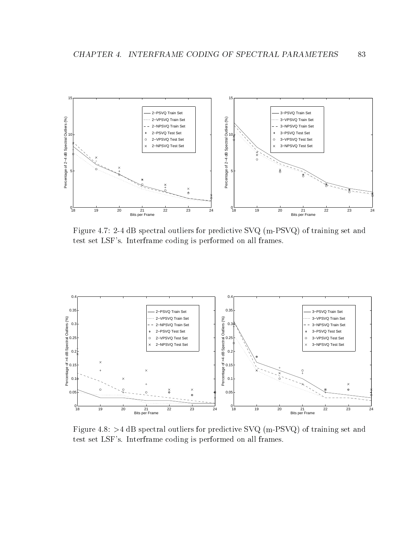

Figure 4.7: 2-4 dB spectral outliers for predictive SVQ (m-PSVQ) of training set and test set LSF's. Interframe coding is performed on all frames.



Figure 4.8: >4 dB spectral outliers for predictive SVQ (m-PSVQ) of training set and test set LSF's. Interframe coding is performed on all frames.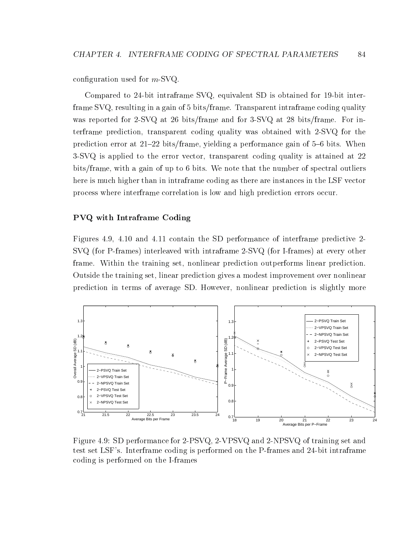configuration used for  $m$ -SVQ.

Compared to 24-bit intraframe SVQ, equivalent SD is obtained for 19-bit interframe SVQ, resulting in a gain of 5 bits/frame. Transparent intraframe coding quality was reported for 2-SVQ at 26 bits/frame and for 3-SVQ at 28 bits/frame. For interframe prediction, transparent coding quality was obtained with 2-SVQ for the prediction error at  $21{-}22$  bits/frame, yielding a performance gain of 5-6 bits. When 3-SVQ is applied to the error vector, transparent coding quality is attained at 22 bits/frame, with a gain of up to 6 bits. We note that the number of spectral outliers here is much higher than in intraframe coding as there are instances in the LSF vector process where interframe correlation is low and high prediction errors occur.

#### PVQ with Intraframe Coding

Figures 4.9, 4.10 and 4.11 contain the SD performance of interframe predictive 2- SVQ (for P-frames) interleaved with intraframe 2-SVQ (for I-frames) at every other frame. Within the training set, nonlinear prediction outperforms linear prediction. Outside the training set, linear prediction gives a modest improvement over nonlinear prediction in terms of average SD. However, nonlinear prediction is slightly more



Figure 4.9: SD performance for 2-PSVQ, 2-VPSVQ and 2-NPSVQ of training set and test set LSF's. Interframe coding is performed on the P-frames and 24-bit intraframe coding is performed on the I-frames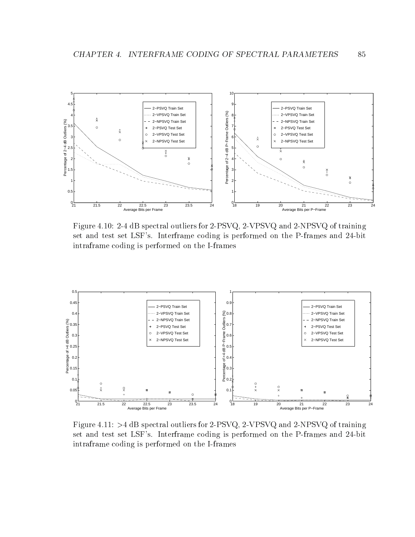

Figure 4.10: 2-4 dB spectral outliers for 2-PSVQ, 2-VPSVQ and 2-NPSVQ of training set and test set LSF's. Interframe coding is performed on the P-frames and 24-bit intraframe coding is performed on the I-frames



Figure 4.11: >4 dB spectral outliers for 2-PSVQ, 2-VPSVQ and 2-NPSVQ of training set and test set LSF's. Interframe coding is performed on the P-frames and 24-bit intraframe coding is performed on the I-frames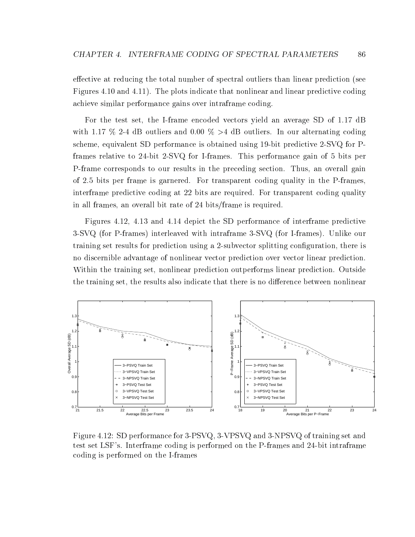effective at reducing the total number of spectral outliers than linear prediction (see Figures 4.10 and 4.11). The plots indicate that nonlinear and linear predictive coding achieve similar performance gains over intraframe coding.

For the test set, the I-frame encoded vectors yield an average SD of 1.17 dB with 1.17 % 2-4 dB outliers and 0.00 % >4 dB outliers. In our alternating coding scheme, equivalent SD performance is obtained using 19-bit predictive 2-SVQ for Pframes relative to 24-bit 2-SVQ for I-frames. This performance gain of 5 bits per P-frame corresponds to our results in the preceding section. Thus, an overall gain of 2.5 bits per frame is garnered. For transparent coding quality in the P-frames, interframe predictive coding at 22 bits are required. For transparent coding quality in all frames, an overall bit rate of 24 bits/frame is required.

Figures 4.12, 4.13 and 4.14 depict the SD performance of interframe predictive 3-SVQ (for P-frames) interleaved with intraframe 3-SVQ (for I-frames). Unlike our training set results for prediction using a 2-subvector splitting conguration, there is no discernible advantage of nonlinear vector prediction over vector linear prediction. Within the training set, nonlinear prediction outperforms linear prediction. Outside the training set, the results also indicate that there is no difference between nonlinear



Figure 4.12: SD performance for 3-PSVQ, 3-VPSVQ and 3-NPSVQ of training set and test set LSF's. Interframe coding is performed on the P-frames and 24-bit intraframe coding is performed on the I-frames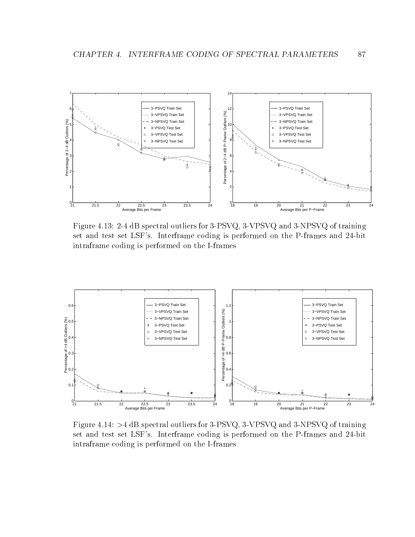

Figure 4.13: 2-4 dB spectral outliers for 3-PSVQ, 3-VPSVQ and 3-NPSVQ of training set and test set LSF's. Interframe coding is performed on the P-frames and 24-bit intraframe coding is performed on the I-frames



Figure 4.14: >4 dB spectral outliers for 3-PSVQ, 3-VPSVQ and 3-NPSVQ of training set and test set LSF's. Interframe coding is performed on the P-frames and 24-bit intraframe coding is performed on the I-frames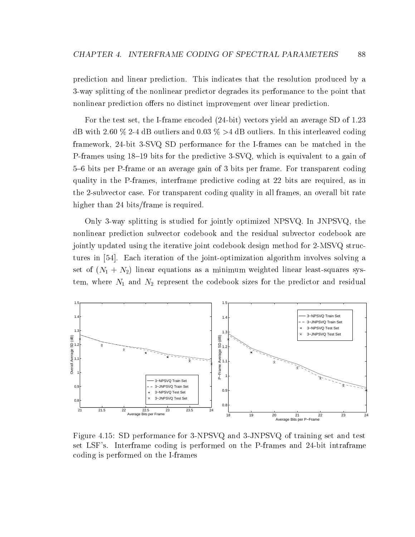prediction and linear prediction. This indicates that the resolution produced by a 3-way splitting of the nonlinear predictor degrades its performance to the point that nonlinear prediction offers no distinct improvement over linear prediction.

For the test set, the I-frame encoded (24-bit) vectors yield an average SD of 1.23 dB with 2.60  $\%$  2-4 dB outliers and 0.03  $\%$  >4 dB outliers. In this interleaved coding framework, 24-bit 3-SVQ SD performance for the I-frames can be matched in the P-frames using  $18-19$  bits for the predictive  $3$ -SVQ, which is equivalent to a gain of 5{6 bits per P-frame or an average gain of 3 bits per frame. For transparent coding quality in the P-frames, interframe predictive coding at 22 bits are required, as in the 2-subvector case. For transparent coding quality in all frames, an overall bit rate higher than 24 bits/frame is required.

Only 3-way splitting is studied for jointly optimized NPSVQ. In JNPSVQ, the nonlinear prediction subvector codebook and the residual subvector codebook are jointly updated using the iterative joint codebook design method for 2-MSVQ structures in [54]. Each iteration of the joint-optimization algorithm involves solving a set of  $(N_1 + N_2)$  linear equations as a minimum weighted linear least-squares system, where  $N_1$  and  $N_2$  represent the codebook sizes for the predictor and residual



Figure 4.15: SD performance for 3-NPSVQ and 3-JNPSVQ of training set and test set LSF's. Interframe coding is performed on the P-frames and 24-bit intraframe coding is performed on the I-frames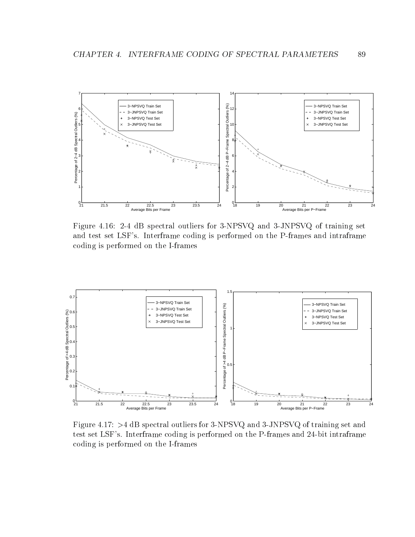

Figure 4.16: 2-4 dB spectral outliers for 3-NPSVQ and 3-JNPSVQ of training set and test set LSF's. Interframe coding is performed on the P-frames and intraframe coding is performed on the I-frames



Figure 4.17: >4 dB spectral outliers for 3-NPSVQ and 3-JNPSVQ of training set and test set LSF's. Interframe coding is performed on the P-frames and 24-bit intraframe coding is performed on the I-frames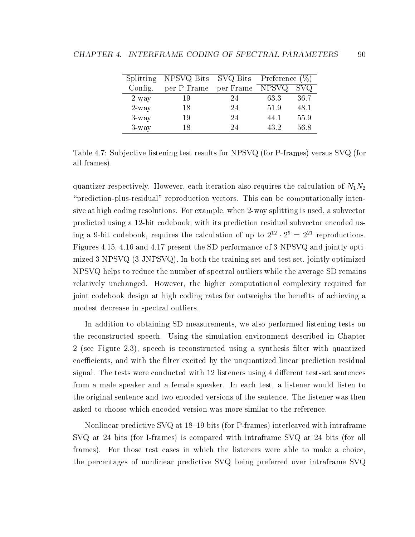|          | Splitting NPSVQ Bits $SVO$ Bits Preference $(\%)$ |           |       |      |
|----------|---------------------------------------------------|-----------|-------|------|
| Config.  | per P-Frame                                       | per Frame | NPSVQ | SVQ  |
| $2$ -way |                                                   | 24        | 63.3  | 36.7 |
| $2$ -way |                                                   | 24        | 51.9  | 48.1 |
| $3$ -way | 19                                                | 24        | 44.1  | 55.9 |
| $3$ -way |                                                   | 94        | 432   | 56.8 |

Table 4.7: Subjective listening test results for NPSVQ (for P-frames) versus SVQ (for all frames).

quantizer respectively. However, each iteration also requires the calculation of  $N_1N_2$ \prediction-plus-residual" reproduction vectors. This can be computationally intensive at high coding resolutions. For example, when 2-way splitting is used, a subvector predicted using a 12-bit codebook, with its prediction residual subvector encoded using a 9-bit codebook, requires the calculation of up to  $2^{2} \cdot 2^{2} \equiv 2^{2}$  reproductions. Figures 4.15, 4.16 and 4.17 present the SD performance of 3-NPSVQ and jointly optimized 3-NPSVQ (3-JNPSVQ). In both the training set and test set, jointly optimized NPSVQ helps to reduce the number of spectral outliers while the average SD remains relatively unchanged. However, the higher computational complexity required for joint codebook design at high coding rates far outweighs the benefits of achieving a modest decrease in spectral outliers.

In addition to obtaining SD measurements, we also performed listening tests on the reconstructed speech. Using the simulation environment described in Chapter 2 (see Figure 2.3), speech is reconstructed using a synthesis filter with quantized coefficients, and with the filter excited by the unquantized linear prediction residual signal. The tests were conducted with  $12$  listeners using 4 different test-set sentences from a male speaker and a female speaker. In each test, a listener would listen to the original sentence and two encoded versions of the sentence. The listener was then asked to choose which encoded version was more similar to the reference.

Nonlinear predictive SVQ at  $18{-}19$  bits (for P-frames) interleaved with intraframe SVQ at 24 bits (for I-frames) is compared with intraframe SVQ at 24 bits (for all frames). For those test cases in which the listeners were able to make a choice, the percentages of nonlinear predictive SVQ being preferred over intraframe SVQ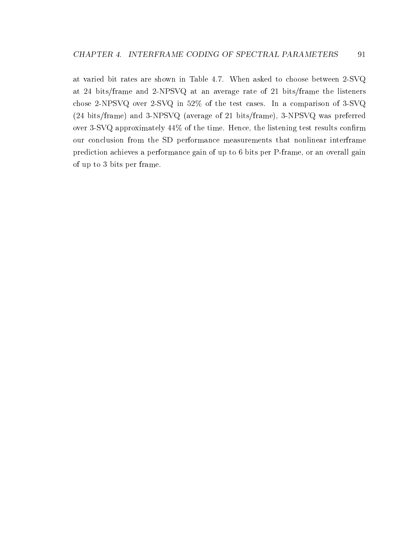at varied bit rates are shown in Table 4.7. When asked to choose between 2-SVQ at 24 bits/frame and 2-NPSVQ at an average rate of 21 bits/frame the listeners chose 2-NPSVQ over 2-SVQ in 52% of the test cases. In a comparison of 3-SVQ (24 bits/frame) and 3-NPSVQ (average of 21 bits/frame), 3-NPSVQ was preferred over  $3$ -SVQ approximately  $44\%$  of the time. Hence, the listening test results confirm our conclusion from the SD performance measurements that nonlinear interframe prediction achieves a performance gain of up to 6 bits per P-frame, or an overall gain of up to 3 bits per frame.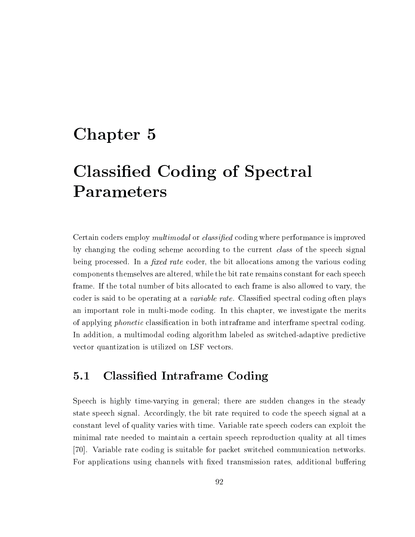# chapter 5 chapter 5 chapter 5 chapter 5 chapter 5 chapter 5 chapter 5 chapter 5 chapter 5 chapter 5 chapter 5 c

# Classied Coding of Spectral Parameters

Certain coders employ *multimodal* or *classified* coding where performance is improved by changing the coding scheme according to the current class of the speech signal being processed. In a *fixed rate* coder, the bit allocations among the various coding components themselves are altered, while the bit rate remains constant for each speech frame. If the total number of bits allocated to each frame is also allowed to vary, the coder is said to be operating at a *variable rate*. Classified spectral coding often plays an important role in multi-mode coding. In this chapter, we investigate the merits of applying phonetic classication in both intraframe and interframe spectral coding. In addition, a multimodal coding algorithm labeled as switched-adaptive predictive vector quantization is utilized on LSF vectors.

## 5.1 Classied Intraframe Coding

Speech is highly time-varying in general; there are sudden changes in the steady state speech signal. Accordingly, the bit rate required to code the speech signal at a constant level of quality varies with time. Variable rate speech coders can exploit the minimal rate needed to maintain a certain speech reproduction quality at all times [70]. Variable rate coding is suitable for packet switched communication networks. For applications using channels with fixed transmission rates, additional buffering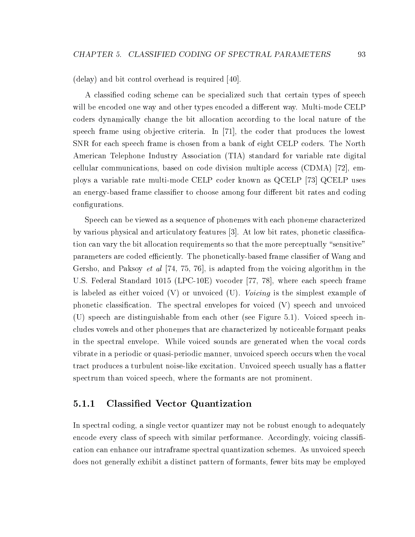(delay) and bit control overhead is required [40].

A classied coding scheme can be specialized such that certain types of speech will be encoded one way and other types encoded a different way. Multi-mode CELP coders dynamically change the bit allocation according to the local nature of the speech frame using objective criteria. In [71], the coder that produces the lowest SNR for each speech frame is chosen from a bank of eight CELP coders. The North American Telephone Industry Association (TIA) standard for variable rate digital cellular communications, based on code division multiple access (CDMA) [72], employs a variable rate multi-mode CELP coder known as QCELP [73] QCELP uses an energy-based frame classifier to choose among four different bit rates and coding configurations.

Speech can be viewed as a sequence of phonemes with each phoneme characterized by various physical and articulatory features [3]. At low bit rates, phonetic classication can vary the bit allocation requirements so that the more perceptually "sensitive" parameters are coded efficiently. The phonetically-based frame classifier of Wang and Gersho, and Paksoy *et al* [74, 75, 76], is adapted from the voicing algorithm in the U.S. Federal Standard 1015 (LPC-10E) vocoder [77, 78], where each speech frame is labeled as either voiced  $(V)$  or unvoiced  $(U)$ . Voicing is the simplest example of phonetic classication. The spectral envelopes for voiced (V) speech and unvoiced (U) speech are distinguishable from each other (see Figure 5.1). Voiced speech includes vowels and other phonemes that are characterized by noticeable formant peaks in the spectral envelope. While voiced sounds are generated when the vocal cords vibrate in a periodic or quasi-periodic manner, unvoiced speech occurs when the vocal tract produces a turbulent noise-like excitation. Unvoiced speech usually has a flatter spectrum than voiced speech, where the formants are not prominent.

#### $5.1.1$ 5.1.1 Classied Vector Quantization

In spectral coding, a single vector quantizer may not be robust enough to adequately encode every class of speech with similar performance. Accordingly, voicing classification can enhance our intraframe spectral quantization schemes. As unvoiced speech does not generally exhibit a distinct pattern of formants, fewer bits may be employed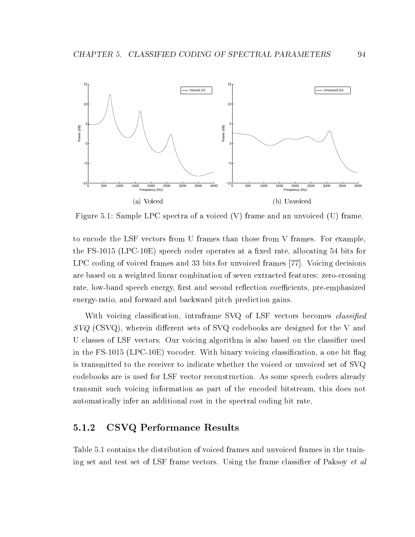

Figure 5.1: Sample LPC spectra of a voiced (V) frame and an unvoiced (U) frame.

to encode the LSF vectors from U frames than those from V frames. For example, the FS-1015 (LPC-10E) speech coder operates at a fixed rate, allocating 54 bits for LPC coding of voiced frames and 33 bits for unvoiced frames [77]. Voicing decisions are based on a weighted linear combination of seven extracted features: zero-crossing rate, low-band speech energy, first and second reflection coefficients, pre-emphasized energy-ratio, and forward and backward pitch prediction gains.

With voicing classification, intraframe SVQ of LSF vectors becomes *classified*  $SVO$  (CSVQ), wherein different sets of SVQ codebooks are designed for the V and U classes of LSF vectors. Our voicing algorithm is also based on the classifier used in the FS-1015 (LPC-10E) vocoder. With binary voicing classification, a one bit flag is transmitted to the receiver to indicate whether the voiced orunvoiced set of SVQ codebooks are is used for LSF vector reconstruction. As some speech coders already transmit such voicing information as part of the encoded bitstream, this does not automatically infer an additional cost in the spectral coding bit rate.

## 5.1.2 CSVQ Performance Results

Table 5.1 contains the distribution of voiced frames and unvoiced frames in the training set and test set of LSF frame vectors. Using the frame classifier of Paksoy *et al*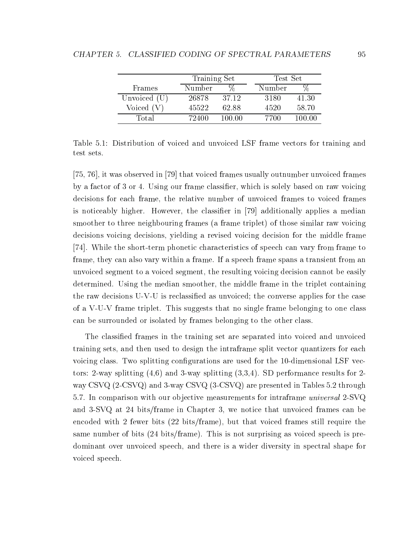|                | Training Set |        |        | Test Set |  |  |
|----------------|--------------|--------|--------|----------|--|--|
| Frames         | Number       |        | Number |          |  |  |
| Unvoiced $(U)$ | 26878        | 37.12  | 3180   | 41.30    |  |  |
| Voiced $(V)$   | 45522        | 62.88  | 4520   | 58.70    |  |  |
| Total          | 72400        | 100 00 | 7700   | 100 00   |  |  |

Table 5.1: Distribution of voiced and unvoiced LSF frame vectors for training and test sets.

[75, 76], it was observed in [79] that voiced frames usually outnumber unvoiced frames by a factor of 3 or 4. Using our frame classifier, which is solely based on raw voicing decisions for each frame, the relative number of unvoiced frames to voiced frames is noticeably higher. However, the classier in [79] additionally applies a median smoother to three neighbouring frames (a frame triplet) of those similar raw voicing decisions voicing decisions, yielding a revised voicing decision for the middle frame [74]. While the short-term phonetic characteristics of speech can vary from frame to frame, they can also vary within a frame. If a speech frame spans a transient from an unvoiced segment to a voiced segment, the resulting voicing decision cannot be easily determined. Using the median smoother, the middle frame in the triplet containing the raw decisions U-V-U is reclassied asunvoiced; the converse applies for the case of a V-U-V frame triplet. This suggests that no single frame belonging to one class can be surrounded or isolated by frames belonging to the other class.

The classied frames in the training set are separated into voiced and unvoiced training sets, and then used to design the intraframe split vector quantizers for each voicing class. Two splitting configurations are used for the 10-dimensional LSF vectors: 2-way splitting  $(4,6)$  and 3-way splitting  $(3,3,4)$ . SD performance results for 2way CSVQ (2-CSVQ) and 3-way CSVQ (3-CSVQ) are presented in Tables 5.2 through 5.7. In comparison with our objective measurements for intraframe *universal* 2-SVQ and 3-SVQ at 24 bits/frame in Chapter 3, we notice that unvoiced frames can be encoded with 2 fewer bits (22 bits/frame), but that voiced frames still require the same number of bits (24 bits/frame). This is not surprising as voiced speech is predominant over unvoiced speech, and there is a wider diversity in spectral shape for voiced speech.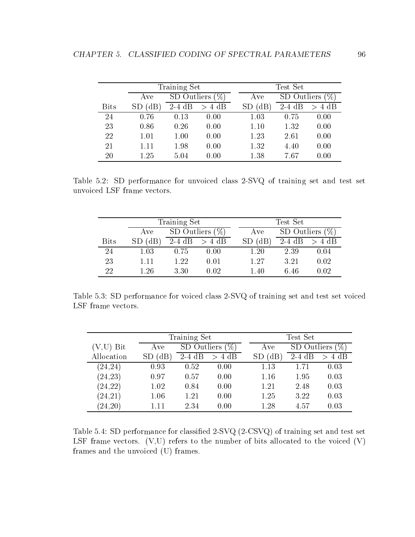|             |          | Training Set        |                |          | $\operatorname{Test}\nolimits \operatorname{Set}\nolimits$ |                  |  |  |  |
|-------------|----------|---------------------|----------------|----------|------------------------------------------------------------|------------------|--|--|--|
|             | Ave      | SD Outliers<br>$\%$ |                | Ave      |                                                            | SD Outliers<br>% |  |  |  |
| <b>Bits</b> | dB'      | $2-4$ dB            | 4 dB<br>$\geq$ | $\rm dB$ | $2-4$ dB                                                   | 4 dB<br>$\geq$   |  |  |  |
| 24          | 0.76     | 0.13                | 0.00           | 1.03     | 0.75                                                       | 0.00             |  |  |  |
| 23          | 0.86     | 0.26                | 0.00           | 1.10     | 1.32                                                       | 0.00             |  |  |  |
| 22          | 1.01     | 1.00                | 0.00           | 1.23     | 2.61                                                       | 0.00             |  |  |  |
| 21          | $1.11\,$ | 1.98                | 0.00           | 1.32     | 4.40                                                       | 0.00             |  |  |  |
| 20          | 1.25     | 5.04                | 0.00           | 1.38     | 7.67                                                       | 0.00             |  |  |  |

Table 5.2: SD performance for unvoiced class 2-SVQ of training set and test set unvoiced LSF frame vectors.

|             | Training Set |                    |            |             | $Test$ Set         |          |  |  |  |  |
|-------------|--------------|--------------------|------------|-------------|--------------------|----------|--|--|--|--|
|             | Ave          | SD Outliers $(\%)$ |            | Ave         | SD Outliers $(\%)$ |          |  |  |  |  |
| <b>Bits</b> | (dB)         | $2-4$ dB           | $> 4$ dB   | $SD$ $(dB)$ | $2-4$ dB           | $> 4$ dB |  |  |  |  |
| 24          | 1.03         | 0.75               | 0.00       | $1.20\,$    | 2.39               | 0.04     |  |  |  |  |
| 23          | 1.11         | 1.22               | $\rm 0.01$ | 1.27        | 3.21               | 0.02     |  |  |  |  |
| 22          | 1.26         | 3.30               | 0.02       | 1.40        | 6.46               | 0.02     |  |  |  |  |

Table 5.3: SD performance for voiced class 2-SVQ of training set and test set voiced LSF frame vectors.

|             |      | Training Set        |          |     |             | Test Set |      |  |  |  |
|-------------|------|---------------------|----------|-----|-------------|----------|------|--|--|--|
| $(V,U)$ Bit | Ave  | SD Outliers<br>$\%$ |          | Ave | SD Outliers | $\%$ ,   |      |  |  |  |
| Allocation  | (dB  | $2-4$ dB            | $> 4$ dB |     | (dB)        | $2-4$ dB | 4 dB |  |  |  |
| (24, 24)    | 0.93 | 0.52                | 0.00     |     | 1.13        | 1.71     | 0.03 |  |  |  |
| (24, 23)    | 0.97 | 0.57                | 0.00     |     | 1.16        | 1.95     | 0.03 |  |  |  |
| (24, 22)    | 1.02 | 0.84                | 0.00     |     | 1.21        | 2.48     | 0.03 |  |  |  |
| (24, 21)    | 1.06 | 1.21                | 0.00     |     | 1.25        | 3.22     | 0.03 |  |  |  |
| (24, 20)    | 1.11 | 2.34                | 0.00     |     | 1.28        | 4.57     | 0.03 |  |  |  |

Table 5.4: SD performance for classied 2-SVQ (2-CSVQ) of training set and test set LSF frame vectors.  $(V,U)$  refers to the number of bits allocated to the voiced  $(V)$ frames and the unvoiced (U) frames.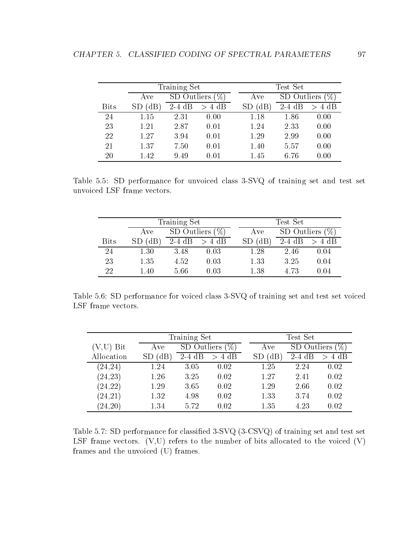|             |      | Training Set          |          |  |      | Test Set                       |          |  |  |  |  |
|-------------|------|-----------------------|----------|--|------|--------------------------------|----------|--|--|--|--|
|             | Ave  | SD Outliers<br>$\%$ . |          |  | Ave  | $\mathscr{C}_0$<br>SD Outliers |          |  |  |  |  |
| <b>Bits</b> | (dB) | $2-4$ dB              | $> 4$ dB |  | (dB  | $2-4$ dB                       | $> 4$ dB |  |  |  |  |
| 24          | 1.15 | 2.31                  | 0.00     |  | 1.18 | 1.86                           | 0.00     |  |  |  |  |
| 23          | 1.21 | 2.87                  | 0.01     |  | 1.24 | 2.33                           | 0.00     |  |  |  |  |
| 22          | 1.27 | 3.94                  | 0.01     |  | 1.29 | 2.99                           | 0.00     |  |  |  |  |
| 21          | 1.37 | 7.50                  | 0.01     |  | 1.40 | 5.57                           | 0.00     |  |  |  |  |
| 20          | 1.42 | 9.49                  | 0.01     |  | 1.45 | 6.76                           | 0.00     |  |  |  |  |

Table 5.5: SD performance for unvoiced class 3-SVQ of training set and test set unvoiced LSF frame vectors.

|             | Training Set |                    |            |             | $Test$ Set         |          |  |  |  |  |
|-------------|--------------|--------------------|------------|-------------|--------------------|----------|--|--|--|--|
|             | Ave          | SD Outliers $(\%)$ |            | Ave         | SD Outliers $(\%)$ |          |  |  |  |  |
| <b>Bits</b> | (dB)         | $2-4$ dB           | $> 4$ dB   | $SD$ $(dB)$ | $2-4$ dB           | $> 4$ dB |  |  |  |  |
| 24          | 1.30         | 3.48               | 0.03       | $1.28\,$    | 2.46               | 0.04     |  |  |  |  |
| 23          | 1.35         | 4.52               | 0.03       | 1.33        | 3.25               | 0.04     |  |  |  |  |
| 22          | $1.40\,$     | 5.66               | $\rm 0.03$ | 1.38        | 4.73               | 0.04     |  |  |  |  |

Table 5.6: SD performance for voiced class 3-SVQ of training set and test set voiced LSF frame vectors.

|             |      | Training Set       |          |      | Test Set    |      |  |  |  |
|-------------|------|--------------------|----------|------|-------------|------|--|--|--|
| $(V,U)$ Bit | Ave  | SD Outliers $(\%)$ |          | Ave  | SD Outliers |      |  |  |  |
| Allocation  | (dB) | $2-4$ dB           | $> 4$ dB | (dB) | $2-4$ dB    | 4 dB |  |  |  |
| (24, 24)    | 1.24 | 3.05               | 0.02     | 1.25 | 2.24        | 0.02 |  |  |  |
| (24, 23)    | 1.26 | 3.25               | 0.02     | 1.27 | 2.41        | 0.02 |  |  |  |
| (24, 22)    | 1.29 | 3.65               | 0.02     | 1.29 | 2.66        | 0.02 |  |  |  |
| (24, 21)    | 1.32 | 4.98               | 0.02     | 1.33 | 3.74        | 0.02 |  |  |  |
| (24, 20)    | 1.34 | 5.72               | 0.02     | 1.35 | 4.23        | 0.02 |  |  |  |

Table 5.7: SD performance for classied 3-SVQ (3-CSVQ) of training set and test set LSF frame vectors.  $(V,U)$  refers to the number of bits allocated to the voiced  $(V)$ frames and the unvoiced (U) frames.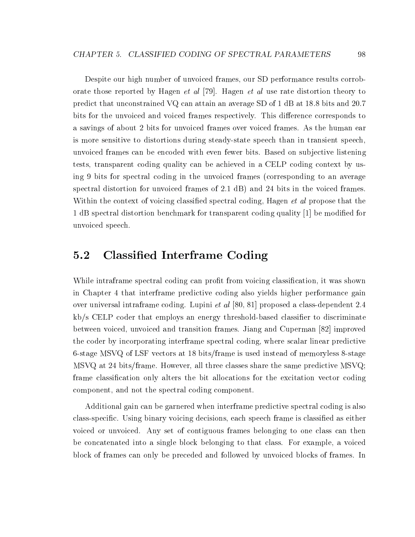Despite our high number of unvoiced frames, our SD performance results corroborate those reported by Hagen et al [79]. Hagen et al use rate distortion theory to predict that unconstrained VQ can attain an average SD of 1 dB at 18.8 bits and 20.7 bits for the unvoiced and voiced frames respectively. This difference corresponds to a savings of about 2 bits for unvoiced frames over voiced frames. As the human ear is more sensitive to distortions during steady-state speech than in transient speech, unvoiced frames can be encoded with even fewer bits. Based on sub jective listening tests, transparent coding quality can be achieved in a CELP coding context by using 9 bits for spectral coding in the unvoiced frames (corresponding to an average spectral distortion for unvoiced frames of 2.1 dB) and 24 bits in the voiced frames. Within the context of voicing classified spectral coding, Hagen *et al* propose that the 1 dB spectral distortion benchmark for transparent coding quality [1] be modied for unvoiced speech.

#### 5.2 Classied Interframe Coding  $5.2$

While intraframe spectral coding can profit from voicing classification, it was shown in Chapter 4 that interframe predictive coding also yields higher performance gain over universal intraframe coding. Lupini et al [80, 81] proposed a class-dependent 2.4  $kb/s$  CELP coder that employs an energy threshold-based classifier to discriminate between voiced, unvoiced and transition frames. Jiang and Cuperman [82] improved the coder by incorporating interframe spectral coding, where scalar linear predictive 6-stage MSVQ of LSF vectors at 18 bits/frame is used instead of memoryless 8-stage MSVQ at 24 bits/frame. However, all three classes share the same predictive MSVQ; frame classication only alters the bit allocations for the excitation vector coding component, and not the spectral coding component.

Additional gain can be garnered when interframe predictive spectral coding is also class-specific. Using binary voicing decisions, each speech frame is classified as either voiced or unvoiced. Any set of contiguous frames belonging to one class can then be concatenated into a single block belonging to that class. For example, a voiced block of frames can only be preceded and followed by unvoiced blocks of frames. In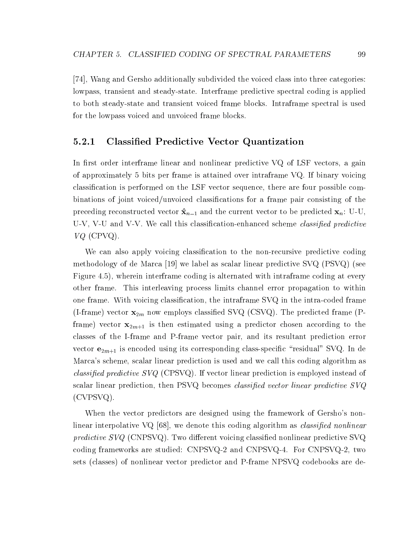[74], Wang and Gersho additionally subdivided the voiced class into three categories: lowpass, transient and steady-state. Interframe predictive spectral coding is applied to both steady-state and transient voiced frame blocks. Intraframe spectral is used for the lowpass voiced and unvoiced frame blocks.

## 5.2.1 Classied Predictive Vector Quantization

In first order interframe linear and nonlinear predictive  $VQ$  of LSF vectors, a gain of approximately 5 bits per frame is attained over intraframe VQ. If binary voicing classication is performed on the LSF vector sequence, there are four possible combinations of joint voiced/unvoiced classications for a frame pair consisting of the preceding reconstructed vector  $\hat{\mathbf{x}}_{n-1}$  and the current vector to be predicted  $\mathbf{x}_n$ : U-U, U-V, V-U and V-V. We call this classification-enhanced scheme *classified predictive* VQ (CPVQ).

We can also apply voicing classification to the non-recursive predictive coding methodology of de Marca [19] we label as scalar linear predictive SVQ (PSVQ) (see Figure 4.5), wherein interframe coding is alternated with intraframe coding at every other frame. This interleaving process limits channel error propagation to within one frame. With voicing classication, the intraframe SVQ in the intra-coded frame (I-frame) vector  $\mathbf{x}_{2m}$  now employs classified SVQ (CSVQ). The predicted frame (Pframe) vector  $\mathbf{x}_{2m+1}$  is then estimated using a predictor chosen according to the classes of the I-frame and P-frame vector pair, and its resultant prediction error vector  $e_{2m+1}$  is encoded using its corresponding class-specific "residual" SVQ. In de Marca's scheme, scalar linear prediction is used and we call this coding algorithm as *classified predictive SVQ* (CPSVQ). If vector linear prediction is employed instead of scalar linear prediction, then  $PSVQ$  becomes *classified vector linear predictive*  $SVQ$ (CVPSVQ).

When the vector predictors are designed using the framework of Gersho's nonlinear interpolative VQ [68], we denote this coding algorithm as *classified nonlinear* predictive  $SVQ$  (CNPSVQ). Two different voicing classified nonlinear predictive SVQ coding frameworks are studied: CNPSVQ-2 and CNPSVQ-4. For CNPSVQ-2, two sets (classes) of nonlinear vector predictor and P-frame NPSVQ codebooks are de-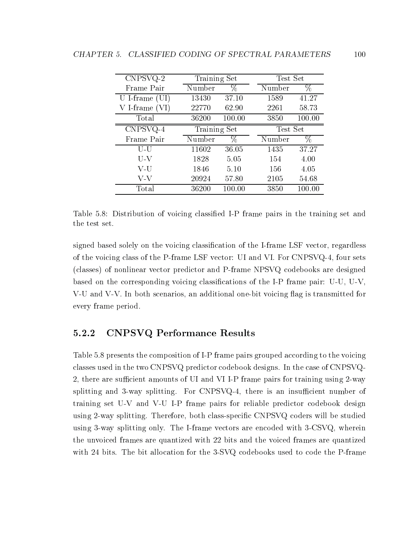| CNPSVQ-2         |              | Training Set |          | Test Set |
|------------------|--------------|--------------|----------|----------|
| Frame Pair       | Number       | %            | Number   | %        |
| U I-frame $(UI)$ | 13430        | 37.10        | 1589     | 41.27    |
| V I-frame (VI    | 22770        | 62.90        | 2261     | 58.73    |
| Total            | 36200        | 100.00       | 3850     | 100.00   |
| CNPSVQ-4         | Training Set |              | Test Set |          |
|                  |              |              |          |          |
| Frame Pair       | Number       | %            | Number   | %        |
| U-U              | 11602        | 36.05        | 1435     | 37.27    |
| $U-V$            | 1828         | 5.05         | 154      | 4.00     |
| V-U              | 1846         | 5.10         | 156      | 4.05     |
| V-V              | 20924        | 57.80        | 2105     | 54.68    |

Table 5.8: Distribution of voicing classied I-P frame pairs in the training set and the test set.

signed based solely on the voicing classification of the I-frame LSF vector, regardless of the voicing class of the P-frame LSF vector: UI and VI. For CNPSVQ-4, four sets (classes) of nonlinear vector predictor and P-frame NPSVQ codebooks are designed based on the corresponding voicing classifications of the I-P frame pair: U-U, U-V, V-U and V-V. In both scenarios, an additional one-bit voicing flag is transmitted for every frame period.

#### 5.2.2 CNPSVQ Performance Results 5.2.2

Table 5.8 presents the composition of I-P frame pairs grouped according to the voicing classes used in the two CNPSVQ predictor codebook designs. In the case of CNPSVQ-2, there are sufficient amounts of UI and VII-P frame pairs for training using 2-way splitting and 3-way splitting. For CNPSVQ-4, there is an insufficient number of training set U-V and V-U I-P frame pairs for reliable predictor codebook design using 2-way splitting. Therefore, both class-specic CNPSVQ coders will be studied using 3-way splitting only. The I-frame vectors are encoded with 3-CSVQ, wherein the unvoiced frames are quantized with 22 bits and the voiced frames are quantized with 24 bits. The bit allocation for the 3-SVQ codebooks used to code the P-frame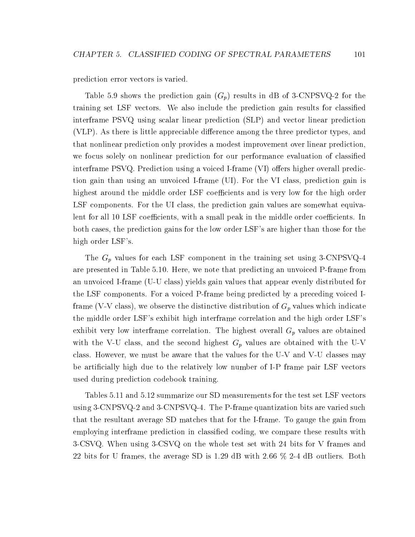prediction error vectors is varied.

Table 5.9 shows the prediction gain  $(G_p)$  results in dB of 3-CNPSVQ-2 for the training set LSF vectors. We also include the prediction gain results for classied interframe PSVQ using scalar linear prediction (SLP) and vector linear prediction  $(VLP)$ . As there is little appreciable difference among the three predictor types, and that nonlinear prediction only provides a modest improvement over linear prediction, we focus solely on nonlinear prediction for our performance evaluation of classied interframe  $PSVQ$ . Prediction using a voiced I-frame  $(VI)$  offers higher overall prediction gain than using an unvoiced I-frame (UI). For the VI class, prediction gain is highest around the middle order LSF coefficients and is very low for the high order LSF components. For the UI class, the prediction gain values are somewhat equivalent for all 10 LSF coefficients, with a small peak in the middle order coefficients. In both cases, the prediction gains for the low order LSF's are higher than those for the high order LSF's.

The  $G_p$  values for each LSF component in the training set using 3-CNPSVQ-4 are presented in Table 5.10. Here, we note that predicting an unvoiced P-frame from an unvoiced I-frame (U-U class) yields gain values that appear evenly distributed for the LSF components. For a voiced P-frame being predicted by a preceding voiced Iframe (V-V class), we observe the distinctive distribution of  $G_p$  values which indicate the middle order LSF's exhibit high interframe correlation and the high order LSF's exhibit very low interframe correlation. The highest overall  $G_p$  values are obtained with the V-U class, and the second highest  $G_p$  values are obtained with the U-V class. However, we must be aware that the values for the U-V and V-U classes may be articially high due to the relatively low number of I-P frame pair LSF vectors used during prediction codebook training.

Tables 5.11 and 5.12 summarize our SD measurements for the test set LSF vectors using 3-CNPSVQ-2 and 3-CNPSVQ-4. The P-frame quantization bits are varied such that the resultant average SD matches that for the I-frame. To gauge the gain from employing interframe prediction in classied coding, we compare these results with 3-CSVQ. When using 3-CSVQ on the whole test set with 24 bits for V frames and 22 bits for U frames, the average SD is 1.29 dB with 2.66 % 2-4 dB outliers. Both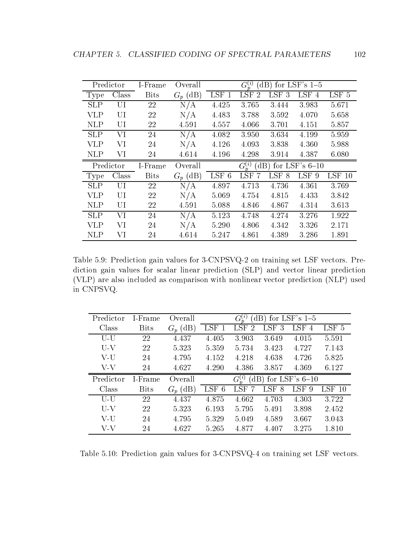|            | Predictor | I-Frame     | Overall    |         | $G_n^{(i)}$                  |                  | (dB) for LSF's $1-5$  |          |
|------------|-----------|-------------|------------|---------|------------------------------|------------------|-----------------------|----------|
| Type       | Class     | <b>Bits</b> | $G_p$ (dB) | LSF 1   | <b>LSF</b><br>$\overline{2}$ | <b>LSF</b><br>-3 | LSF 4                 | LSF 5    |
| <b>SLP</b> | UI        | 22          | N/A        | 4.425   | 3.765                        | 3.444            | 3.983                 | 5.671    |
| <b>VLP</b> | UI        | 22          | N/A        | 4.483   | 3.788                        | 3.592            | 4.070                 | 5.658    |
| <b>NLP</b> | UI        | 22          | 4.591      | 4.557   | 4.066                        | 3.701            | 4.151                 | 5.857    |
| <b>SLP</b> | VI        | 24          | N/A        | 4.082   | 3.950                        | 3.634            | 4.199                 | 5.959    |
| <b>VLP</b> | VI        | 24          | N/A        | 4.126   | 4.093                        | 3.838            | 4.360                 | 5.988    |
| <b>NLP</b> | VI        | 24          | 4.614      | 4.196   | 4.298                        | 3.914            | 4.387                 | 6.080    |
|            | Predictor | I-Frame     | Overall    |         | $G_n^{(i)}$                  |                  | (dB) for LSF's $6-10$ |          |
| Type       | Class     | <b>Bits</b> | $G_p$ (dB) | $LSF$ 6 | <b>LSF</b><br>-7             | LSF <sub>8</sub> | LSF 9                 | $LSF$ 10 |
| <b>SLP</b> | UI        | 22          | N/A        | 4.897   | 4.713                        | 4.736            | 4.361                 | 3.769    |
| VLP        | UI        | 22          | N/A        | 5.069   | 4.754                        | 4.815            | 4.433                 | 3.842    |
| <b>NLP</b> | UI        | 22          | 4.591      | 5.088   | 4.846                        | 4.867            | 4.314                 | 3.613    |
| <b>SLP</b> | VI        | 24          | N/A        | 5.123   | 4.748                        | 4.274            | 3.276                 | 1.922    |
| VLP        | VI        | 24          | N/A        | 5.290   | 4.806                        | 4.342            | 3.326                 | 2.171    |
| <b>NLP</b> | VI        | 24          | 4.614      | 5.247   | 4.861                        | 4.389            | 3.286                 | 1.891    |

Table 5.9: Prediction gain values for 3-CNPSVQ-2 on training set LSF vectors. Prediction gain values for scalar linear prediction (SLP) and vector linear prediction (VLP) are also included ascomparison with nonlinear vector prediction (NLP) used in CNPSVQ.

| Predictor | 1-Frame     | Overall       |                  | $G_n^{(i)}$              | $\langle dB \rangle$ | for LSF's $1-5$       |                  |
|-----------|-------------|---------------|------------------|--------------------------|----------------------|-----------------------|------------------|
| Class     | <b>Bits</b> | (dB)<br>$G_n$ | LSF <sub>1</sub> | <b>LSF</b><br>-2         | LSF <sub>3</sub>     | LSF<br>$\overline{4}$ | LSF <sub>5</sub> |
| U-U       | 22          | 4.437         | 4.405            | 3.903                    | 3.649                | 4.015                 | 5.591            |
| $U-V$     | 22          | 5.323         | 5.359            | 5.734                    | 3.423                | 4.727                 | 7.143            |
| V-U       | 24          | 4.795         | 4.152            | 4.218                    | 4.638                | 4.726                 | 5.825            |
| V-V       | 24          | 4.627         | 4.290            | 4.386                    | 3.857                | 4.369                 | 6.127            |
|           |             |               |                  |                          |                      |                       |                  |
| Predictor | I-Frame     | Overall       |                  | $G^{(i)}_*$<br>$\rm dB)$ |                      | for LSF's $6-10$      |                  |
| Class     | <b>Bits</b> | $G_p$ (dB)    | $LSF$ 6          | LSF                      | LSF 8                | LSF 9                 | LSF 10           |
| U-U       | 22          | 4.437         | 4.875            | 4.662                    | 4.703                | 4.303                 | 3.722            |
| U-V       | 22          | 5.323         | 6.193            | 5.795                    | 5.491                | 3.898                 | 2.452            |
| V-U       | 24          | 4.795         | 5.329            | 5.049                    | 4.589                | 3.667                 | 3.043            |

Table 5.10: Prediction gain values for 3-CNPSVQ-4 on training set LSF vectors.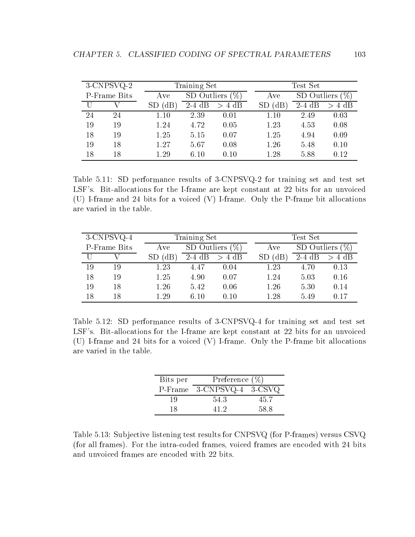|    | 3-CNPSVQ-2   |                       | Training Set |                |  | Test Set      |             |          |  |
|----|--------------|-----------------------|--------------|----------------|--|---------------|-------------|----------|--|
|    | P-Frame Bits | Ave                   | SD Outliers  |                |  | Ave           | SD Outliers |          |  |
|    |              | $^{\prime} \text{dB}$ | $2-4$ dB     | 4 dB<br>$\geq$ |  | $SD$ ( $dB$ ) | $2-4$ dB    | $> 4$ dB |  |
| 24 | 24           | 1.10                  | 2.39         | 0.01           |  | 1.10          | 2.49        | 0.03     |  |
| 19 | 19           | 1.24                  | 4.72         | 0.05           |  | 1.23          | 4.53        | 0.08     |  |
| 18 | 19           | 1.25                  | 5.15         | 0.07           |  | 1.25          | 4.94        | 0.09     |  |
| 19 | 18           | 1.27                  | 5.67         | 0.08           |  | 1.26          | 5.48        | 0.10     |  |
| 18 | 18           | 1.29                  | 6.10         | 0.10           |  | 1.28          | 5.88        | 0.12     |  |

Table 5.11: SD performance results of 3-CNPSVQ-2 for training set and test set LSF's. Bit-allocations for the I-frame are kept constant at 22 bits for an unvoiced (U) I-frame and 24 bits for a voiced (V) I-frame. Only the P-frame bit allocations are varied in the table.

|    | $3$ -CNPSVQ-4 |      | Training Set |      |  | Test Set |             |      |  |
|----|---------------|------|--------------|------|--|----------|-------------|------|--|
|    | P-Frame Bits  | Ave  | SD Outliers  |      |  | Ave      | SD Outliers |      |  |
|    |               |      | $2-4$ dB     | 4 dB |  | Έ        | $2-4$ dB    | 4 dB |  |
| 19 | 19            | 1.23 | 4.47         | 0.04 |  | 1.23     | 4.70        | 0.13 |  |
| 18 | 19            | 1.25 | 4.90         | 0.07 |  | 1.24     | 5.03        | 0.16 |  |
| 19 | 18            | 1.26 | 5.42         | 0.06 |  | 1.26     | 5.30        | 0.14 |  |
| 18 | 18            | 1.29 | 6.10         | 0.10 |  | 1.28     | 5.49        | 0.17 |  |

Table 5.12: SD performance results of 3-CNPSVQ-4 for training set and test set LSF's. Bit-allocations for the I-frame are kept constant at 22 bits for an unvoiced (U) I-frame and 24 bits for a voiced (V) I-frame. Only the P-frame bit allocations are varied in the table.

| Bits per | Preference $(\%)$         |      |
|----------|---------------------------|------|
|          | P-Frame 3-CNPSVQ-4 3-CSVQ |      |
| 19       | 54.3                      | 45.7 |
| 18       | 41 D                      | 58 S |

Table 5.13: Subjective listening test results for CNPSVQ (for P-frames) versus CSVQ (for all frames). For the intra-coded frames, voiced frames are encoded with 24 bits and unvoiced frames are encoded with 22 bits.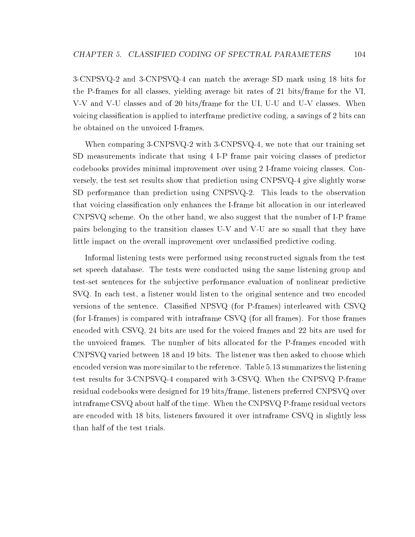3-CNPSVQ-2 and 3-CNPSVQ-4 can match the average SD mark using 18 bits for the P-frames for all classes, yielding average bit rates of 21 bits/frame for the VI, V-V and V-U classes and of 20 bits/frame for the UI, U-U and U-V classes. When voicing classication is applied to interframe predictive coding, a savings of 2 bits can be obtained on the unvoiced I-frames.

When comparing 3-CNPSVQ-2 with 3-CNPSVQ-4, we note that our training set SD measurements indicate that using 4 I-P frame pair voicing classes of predictor codebooks provides minimal improvement over using 2 I-frame voicing classes. Conversely, the test set results show that prediction using CNPSVQ-4 give slightly worse SD performance than prediction using CNPSVQ-2. This leads to the observation that voicing classication only enhances the I-frame bit allocation in our interleaved  $CNPSVQ$  scheme. On the other hand, we also suggest that the number of I-P frame pairs belonging to the transition classes U-V and V-U are so small that they have little impact on the overall improvement over unclassied predictive coding.

Informal listening tests were performed using reconstructed signals from the test set speech database. The tests were conducted using the same listening group and test-set sentences for the sub jective performance evaluation of nonlinear predictive SVQ. In each test, a listener would listen to the original sentence and two encoded versions of the sentence. Classied NPSVQ (for P-frames) interleaved with CSVQ (for I-frames) is compared with intraframe CSVQ (for all frames). For those frames encoded with CSVQ, 24 bits are used for the voiced frames and 22 bits are used for the unvoiced frames. The number of bits allocated for the P-frames encoded with CNPSVQ varied between 18 and 19 bits. The listener was then asked to choose which encoded version was more similar to the reference. Table 5.13 summarizes the listening test results for 3-CNPSVQ-4 compared with 3-CSVQ. When the CNPSVQ P-frame residual codebooks were designed for 19 bits/frame, listeners preferred CNPSVQ over intraframe CSVQ about half of the time. When the CNPSVQ P-frame residual vectors are encoded with 18 bits, listeners favoured it over intraframe CSVQ in slightly less than half of the test trials.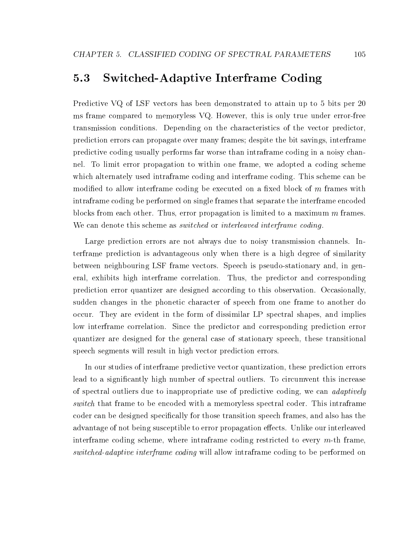#### $5.3$ Switched-Adaptive Interframe Coding

Predictive VQ of LSF vectors has been demonstrated to attain up to 5 bits per 20 ms frame compared to memoryless VQ. However, this is only true under error-free transmission conditions. Depending on the characteristics of the vector predictor, prediction errors can propagate over many frames; despite the bit savings, interframe predictive coding usually performs far worse than intraframe coding in a noisy channel. To limit error propagation to within one frame, we adopted a coding scheme which alternately used intraframe coding and interframe coding. This scheme can be modified to allow interframe coding be executed on a fixed block of  $m$  frames with intraframe coding be performed on single frames that separate the interframe encoded blocks from each other. Thus, error propagation is limited to a maximum  $m$  frames. We can denote this scheme as *switched* or *interleaved interframe coding*.

Large prediction errors are not always due to noisy transmission channels. Interframe prediction is advantageous only when there is a high degree of similarity between neighbouring LSF frame vectors. Speech is pseudo-stationary and, in general, exhibits high interframe correlation. Thus, the predictor and corresponding prediction error quantizer are designed according to this observation. Occasionally, sudden changes in the phonetic character of speech from one frame to another do occur. They are evident in the form of dissimilar LP spectral shapes, and implies low interframe correlation. Since the predictor and corresponding prediction error quantizer are designed for the general case of stationary speech, these transitional speech segments will result in high vector prediction errors.

In our studies of interframe predictive vector quantization, these prediction errors lead to a signicantly high number of spectral outliers. To circumvent this increase of spectral outliers due to inappropriate use of predictive coding, we can adaptively switch that frame to be encoded with a memoryless spectral coder. This intraframe coder can be designed specifically for those transition speech frames, and also has the advantage of not being susceptible to error propagation effects. Unlike our interleaved interframe coding scheme, where intraframe coding restricted to every  $m$ -th frame. switched-adaptive interframe coding will allow intraframe coding to be performed on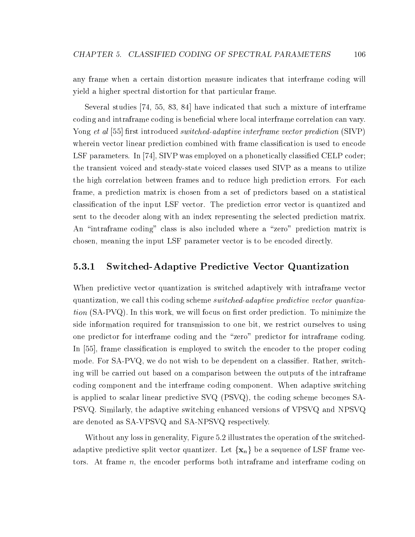any frame when a certain distortion measure indicates that interframe coding will yield a higher spectral distortion for that particular frame.

Several studies [74, 55, 83, 84] have indicated that such a mixture of interframe coding and intraframe coding is beneficial where local interframe correlation can vary. Yong et al [55] first introduced switched-adaptive interframe vector prediction  $(SIVP)$ wherein vector linear prediction combined with frame classification is used to encode LSF parameters. In [74], SIVP was employed on a phonetically classified CELP coder; the transient voiced and steady-state voiced classes used SIVP as a means to utilize the high correlation between frames and to reduce high prediction errors. For each frame, a prediction matrix is chosen from a set of predictors based on a statistical classication of the input LSF vector. The prediction error vector is quantized and sent to the decoder along with an index representing the selected prediction matrix. An "intraframe coding" class is also included where a "zero" prediction matrix is chosen, meaning the input LSF parameter vector is to be encoded directly.

### 5.3.1 Switched-Adaptive Predictive Vector Quantization

When predictive vector quantization is switched adaptively with intraframe vector quantization, we call this coding scheme switched-adaptive predictive vector quantiza $tion (SA-PVQ)$ . In this work, we will focus on first order prediction. To minimize the side information required for transmission to one bit, we restrict ourselves to using one predictor for interframe coding and the "zero" predictor for intraframe coding. In [55], frame classication is employed to switch the encoder to the proper coding mode. For SA-PVQ, we do not wish to be dependent on a classifier. Rather, switching will be carried out based on a comparison between the outputs of the intraframe coding component and the interframe coding component. When adaptive switching is applied to scalar linear predictive SVQ (PSVQ), the coding scheme becomes SA-PSVQ. Similarly, the adaptive switching enhanced versions of VPSVQ and NPSVQ are denoted as SA-VPSVQ and SA-NPSVQ respectively.

Without any loss in generality, Figure 5.2 illustrates the operation of the switchedadaptive predictive split vector quantizer. Let  $\{x_n\}$  be a sequence of LSF frame vectors. At frame  $n$ , the encoder performs both intraframe and interframe coding on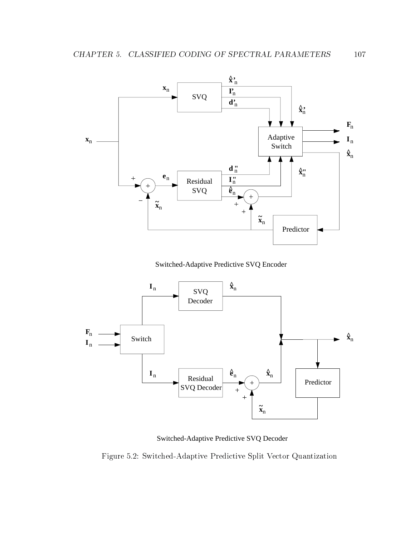

Switched-Adaptive Predictive SVQ Encoder



Switched-Adaptive Predictive SVQ Decoder

Figure 5.2: Switched-Adaptive Predictive Split Vector Quantization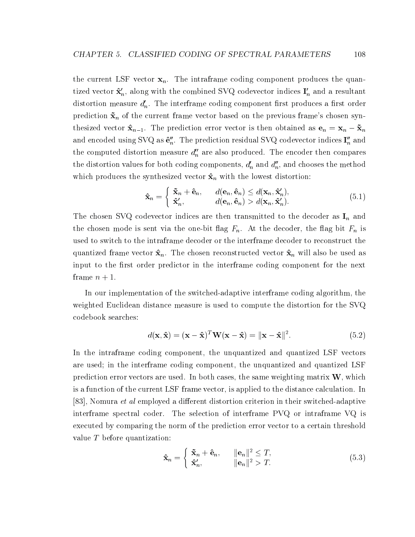the current LSF vector  $x_n$ . The intraframe coding component produces the quantized vector  $\mathbf{x}_n$ , along with the combined SVQ codevector indices  $\mathbf{1}_n$  and a resultant distortion measure  $d_n'$ . The interframe coding component first produces a first order prediction  $\tilde{\mathbf{x}}_n$  of the current frame vector based on the previous frame's chosen synthesized vector  $\mathbf{x}_{n-1}$ . The prediction error vector is then obtained as  $\mathbf{v}_n = \mathbf{x}_n$   $\mathbf{x}_n$ and encoded using SVQ as  ${\bf e}_n.$  The prediction residual SVQ codevector indices  ${\bf I}_n$  and the computed distortion measure  $d_n^{\prime\prime}$  are also produced. The encoder then compares the distortion values for both coding components,  $d_n$  and  $d_n$ , and chooses the method which produces the synthesized vector  $\hat{\mathbf{x}}_n$  with the lowest distortion:

$$
\hat{\mathbf{x}}_n = \begin{cases} \tilde{\mathbf{x}}_n + \hat{\mathbf{e}}_n, & d(\mathbf{e}_n, \hat{\mathbf{e}}_n) \le d(\mathbf{x}_n, \hat{\mathbf{x}}'_n), \\ \hat{\mathbf{x}}'_n, & d(\mathbf{e}_n, \hat{\mathbf{e}}_n) > d(\mathbf{x}_n, \hat{\mathbf{x}}'_n). \end{cases}
$$
(5.1)

The chosen SVQ codevector indices are then transmitted to the decoder as  $I_n$  and the chosen mode is sent via the one-bit flag  $F_n$ . At the decoder, the flag bit  $F_n$  is used to switch to the intraframe decoder or the interframe decoder to reconstruct the quantized frame vector  $\hat{\mathbf{x}}_n$ . The chosen reconstructed vector  $\hat{\mathbf{x}}_n$  will also be used as input to the first order predictor in the interframe coding component for the next frame  $n + 1$ .

In our implementation of the switched-adaptive interframe coding algorithm, the weighted Euclidean distance measure is used to compute the distortion for the SVQ codebook searches:

$$
d(\mathbf{x}, \hat{\mathbf{x}}) = (\mathbf{x} - \hat{\mathbf{x}})^T \mathbf{W} (\mathbf{x} - \hat{\mathbf{x}}) = ||\mathbf{x} - \hat{\mathbf{x}}||^2.
$$
 (5.2)

In the intraframe coding component, the unquantized and quantized LSF vectors are used; in the interframe coding component, the unquantized and quantized LSF prediction error vectors are used. In both cases, the same weighting matrix  $W$ , which is a function of the current LSF frame vector, is applied to the distance calculation. In [83], Nomura *et al* employed a different distortion criterion in their switched-adaptive interframe spectral coder. The selection of interframe PVQ or intraframe VQ is executed by comparing the norm of the prediction error vector to a certain threshold value T before quantization:

$$
\hat{\mathbf{x}}_n = \begin{cases} \n\tilde{\mathbf{x}}_n + \hat{\mathbf{e}}_n, & \|\mathbf{e}_n\|^2 \leq T, \\ \n\hat{\mathbf{x}}'_n, & \|\mathbf{e}_n\|^2 > T. \n\end{cases} \tag{5.3}
$$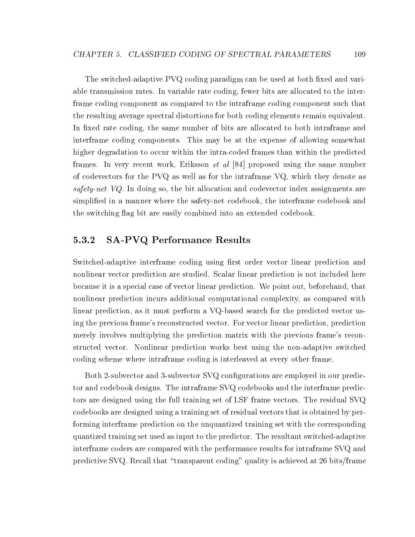The switched-adaptive PVQ coding paradigm can be used at both fixed and variable transmission rates. In variable rate coding, fewer bits are allocated to the interframe coding component as compared to the intraframe coding component such that the resulting average spectral distortions for both coding elements remain equivalent. In fixed rate coding, the same number of bits are allocated to both intraframe and interframe coding components. This may be at the expense of allowing somewhat higher degradation to occur within the intra-coded frames than within the predicted frames. In very recent work, Eriksson et al [84] proposed using the same number of codevectors for the PVQ as well as for the intraframe VQ, which they denote as safety-net  $VQ$ . In doing so, the bit allocation and codevector index assignments are simplied in a manner where the safety-net codebook, the interframe codebook and the switching flag bit are easily combined into an extended codebook.

## 5.3.2 SA-PVQ Performance Results

Switched-adaptive interframe coding using first order vector linear prediction and nonlinear vector prediction are studied. Scalar linear prediction is not included here because it is a special case of vector linear prediction. We point out, beforehand, that nonlinear prediction incurs additional computational complexity, as compared with linear prediction, as it must perform a VQ-based search for the predicted vector using the previous frame's reconstructed vector. For vector linear prediction, prediction merely involves multiplying the prediction matrix with the previous frame's reconstructed vector. Nonlinear prediction works best using the non-adaptive switched coding scheme where intraframe coding is interleaved at every other frame.

Both 2-subvector and 3-subvector SVQ configurations are employed in our predictor and codebook designs. The intraframe SVQ codebooks and the interframe predictors are designed using the full training set of LSF frame vectors. The residual SVQ codebooks are designed using a training set of residual vectors that is obtained by performing interframe prediction on the unquantized training set with the corresponding quantized training set used as input to the predictor. The resultant switched-adaptive interframe coders are compared with the performance results for intraframe SVQ and predictive SVQ. Recall that "transparent coding" quality is achieved at 26 bits/frame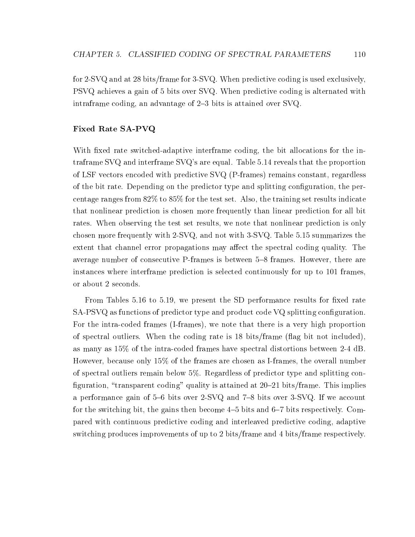for 2-SVQ and at 28 bits/frame for 3-SVQ. When predictive coding is used exclusively, PSVQ achieves a gain of 5 bits over SVQ. When predictive coding is alternated with intraframe coding, an advantage of  $2-3$  bits is attained over SVQ.

### Fixed Rate SA-PVQ

With fixed rate switched-adaptive interframe coding, the bit allocations for the intraframe SVQ and interframe SVQ's are equal. Table 5.14 reveals that the proportion of LSF vectors encoded with predictive SVQ (P-frames) remains constant, regardless of the bit rate. Depending on the predictor type and splitting conguration, the percentage ranges from 82% to 85% for the test set. Also, the training set results indicate that nonlinear prediction is chosen more frequently than linear prediction for all bit rates. When observing the test set results, we note that nonlinear prediction is only chosen more frequently with 2-SVQ, and not with 3-SVQ. Table 5.15 summarizes the extent that channel error propagations may affect the spectral coding quality. The average number of consecutive P-frames is between 5-8 frames. However, there are instances where interframe prediction is selected continuously for up to 101 frames, or about 2 seconds.

From Tables 5.16 to 5.19, we present the SD performance results for fixed rate SA-PSVQ as functions of predictor type and product code VQ splitting configuration. For the intra-coded frames (I-frames), we note that there is a very high proportion of spectral outliers. When the coding rate is 18 bits/frame (
ag bit not included), as many as  $15\%$  of the intra-coded frames have spectral distortions between 2-4 dB. However, because only 15% of the frames are chosen as I-frames, the overall number of spectral outliers remain below 5%. Regardless of predictor type and splitting con figuration, "transparent coding" quality is attained at  $20{\text -}21$  bits/frame. This implies a performance gain of 5-6 bits over 2-SVQ and 7-8 bits over 3-SVQ. If we account for the switching bit, the gains then become  $4-5$  bits and  $6-7$  bits respectively. Compared with continuous predictive coding and interleaved predictive coding, adaptive switching produces improvements of up to 2 bits/frame and 4 bits/frame respectively.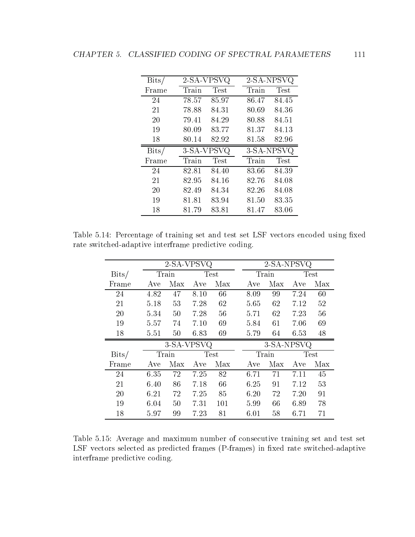| $_{\rm{Bits/}}$ |       | 2-SA-VPSVQ  | 2-SA-NPSVQ |             |
|-----------------|-------|-------------|------------|-------------|
| Frame           | Train | <b>Test</b> | Train      | <b>Test</b> |
| 24              | 78.57 | 85.97       | 86.47      | 84.45       |
| 21              | 78.88 | 84.31       | 80.69      | 84.36       |
| 20              | 79.41 | 84.29       | 80.88      | 84.51       |
| 19              | 80.09 | 83.77       | 81.37      | 84.13       |
| 18              | 80.14 | 82.92       | 81.58      | 82.96       |
|                 |       |             |            |             |
| $_{\rm{Bits/}}$ |       | 3-SA-VPSVQ  | 3-SA-NPSVQ |             |
| Frame           | Train | Test        | Train      | <b>Test</b> |
| 24              | 82.81 | 84.40       | 83.66      | 84.39       |
| 21              | 82.95 | 84.16       | 82.76      | 84.08       |
| 20              | 82.49 | 84.34       | 82.26      | 84.08       |
| 19              | 81.81 | 83.94       | 81.50      | 83.35       |

Table 5.14: Percentage of training set and test set LSF vectors encoded using fixed rate switched-adaptive interframe predictive coding.

|                          |      | 2-SA-VPSVQ |         |             |      | 2-SA-NPSVQ |      |             |
|--------------------------|------|------------|---------|-------------|------|------------|------|-------------|
| $\overline{\text{Bits}}$ |      | Train      |         | <b>Test</b> |      | Train      |      | <b>Test</b> |
| Frame                    | Ave  | Max        | Ave     | Max         | Ave  | Max        | Ave  | Max         |
| 24                       | 4.82 | 47         | 8.10    | 66          | 8.09 | 99         | 7.24 | 60          |
| 21                       | 5.18 | 53         | 7.28    | 62          | 5.65 | 62         | 7.12 | 52          |
| 20                       | 5.34 | 50         | 7.28    | 56          | 5.71 | 62         | 7.23 | 56          |
| 19                       | 5.57 | 74         | 7.10    | 69          | 5.84 | 61         | 7.06 | 69          |
| 18                       | 5.51 | 50         | 6.83    | 69          | 5.79 | 64         | 6.53 | 48          |
|                          |      | 3-SA-VPSVQ |         |             |      | 3-SA-NPSVQ |      |             |
| $\overline{\text{Bits}}$ |      | Train      |         | Test        |      | Train      |      | <b>Test</b> |
| Frame                    | Ave  | Max        | Ave     | Max         | Ave  | Max        | Ave  | Max         |
| 24                       | 6.35 | 72         | 7.25    | 82          | 6.71 | 71         | 7.11 | 45          |
| 21                       | 6.40 | 86         | 7.18    | 66          | 6.25 | 91         | 7.12 | 53          |
| 20                       | 6.21 | 72         | 7.25 85 |             | 6.20 | 72         | 7.20 | 91          |
| 19                       | 6.04 | 50         | 7.31    | 101         | 5.99 | 66         | 6.89 | 78          |
| 18                       | 5.97 | 99         | 7.23    | 81          | 6.01 | 58         | 6.71 | 71          |

Table 5.15: Average and maximum number of consecutive training set and test set LSF vectors selected as predicted frames (P-frames) in fixed rate switched-adaptive interframe predictive coding.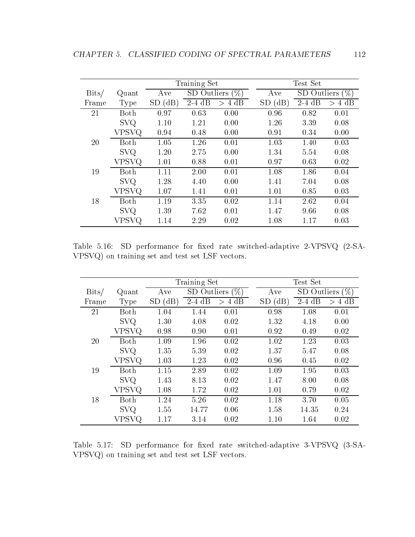|                          |             |                   | Training Set |                    |             | Test Set    |                |
|--------------------------|-------------|-------------------|--------------|--------------------|-------------|-------------|----------------|
| $\overline{\text{Bits}}$ | Quant       | Ave               |              | SD Outliers $(\%)$ | Ave         | SD Outliers | '%`            |
| Frame                    | <b>Type</b> | (dB)<br><b>SD</b> | $2-4$ dB     | 4 dB<br>$\geq$     | $SD$ $(dB)$ | $2-4$ dB    | 4 dB<br>$\geq$ |
| 21                       | Both        | 0.97              | 0.63         | 0.00               | 0.96        | 0.82        | 0.01           |
|                          | <b>SVQ</b>  | 1.10              | 1.21         | 0.00               | 1.26        | 3.39        | 0.08           |
|                          | VPSVQ       | 0.94              | 0.48         | 0.00               | 0.91        | 0.34        | 0.00           |
| 20                       | Both        | 1.05              | 1.26         | 0.01               | 1.03        | 1.40        | 0.03           |
|                          | <b>SVQ</b>  | 1.20              | 2.75         | 0.00               | 1.34        | 5.54        | 0.08           |
|                          | VPSVQ       | 1.01              | 0.88         | 0.01               | 0.97        | 0.63        | 0.02           |
| 19                       | Both        | 1.11              | 2.00         | 0.01               | 1.08        | 1.86        | 0.04           |
|                          | <b>SVQ</b>  | 1.28              | 4.40         | 0.00               | 1.41        | 7.04        | 0.08           |
|                          | VPSVQ       | 1.07              | 1.41         | 0.01               | 1.01        | 0.85        | 0.03           |
| 18                       | Both        | 1.19              | 3.35         | 0.02               | 1.14        | 2.62        | 0.04           |
|                          | <b>SVQ</b>  | 1.39              | 7.62         | 0.01               | 1.47        | 9.66        | 0.08           |
|                          | VPSVQ       | 1.14              | 2.29         | 0.02               | 1.08        | 1.17        | 0.03           |

Table 5.16: SD performance for fixed rate switched-adaptive 2-VPSVQ (2-SA-VPSVQ) on training set and test set LSF vectors.

|                 |             |                   | Training Set |                |                               | Test Set    |           |
|-----------------|-------------|-------------------|--------------|----------------|-------------------------------|-------------|-----------|
| $_{\rm{Bits/}}$ | Quant       | Ave               | SD Outliers  | $(\%)$         | Ave                           | SD Outliers | $(\%)$    |
| Frame           | <b>Type</b> | (dB)<br><b>SD</b> | $2-4$ dB     | 4 dB<br>$\geq$ | $\rm (dB)$<br>SD <sub>1</sub> | $2-4$ dB    | 4 dB<br>> |
| 21              | Both        | 1.04              | 1.44         | 0.01           | 0.98                          | 1.08        | 0.01      |
|                 | <b>SVQ</b>  | 1.30              | 4.08         | 0.02           | 1.32                          | 4.18        | 0.00      |
|                 | VPSVQ       | 0.98              | 0.90         | 0.01           | 0.92                          | 0.49        | 0.02      |
| 20              | Both        | 1.09              | 1.96         | 0.02           | 1.02                          | 1.23        | 0.03      |
|                 | <b>SVQ</b>  | 1.35              | 5.39         | 0.02           | 1.37                          | 5.47        | 0.08      |
|                 | VPSVQ       | 1.03              | 1.23         | 0.02           | 0.96                          | 0.45        | 0.02      |
| 19              | Both        | 1.15              | 2.89         | 0.02           | 1.09                          | 1.95        | 0.03      |
|                 | <b>SVQ</b>  | 1.43              | 8.13         | 0.02           | 1.47                          | 8.00        | 0.08      |
|                 | VPSVQ       | 1.08              | 1.72         | 0.02           | 1.01                          | 0.79        | 0.02      |
| 18              | Both        | 1.24              | 5.26         | 0.02           | 1.18                          | 3.70        | 0.05      |
|                 | <b>SVQ</b>  | 1.55              | 14.77        | 0.06           | 1.58                          | 14.35       | 0.24      |
|                 | VPSVQ       | 1.17              | 3.14         | 0.02           | 1.10                          | 1.64        | 0.02      |

Table 5.17: SD performance for fixed rate switched-adaptive 3-VPSVQ (3-SA-VPSVQ) on training set and test set LSF vectors.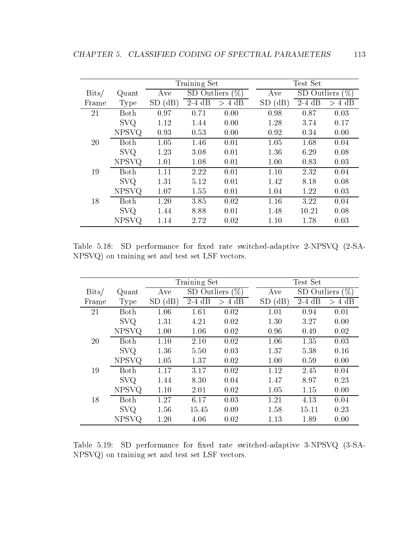|                 |              |                         | Training Set |                    |        | Test Set    |          |
|-----------------|--------------|-------------------------|--------------|--------------------|--------|-------------|----------|
| $_{\rm{Bits/}}$ | Quant        | Ave                     |              | SD Outliers $(\%)$ | Ave    | SD Outliers | '%)      |
| Frame           | Type         | (dB)<br>SD <sub>.</sub> | $2-4$ dB     | $> 4$ dB           | SD(dB) | $2-4$ dB    | $> 4$ dB |
| 21              | Both         | 0.97                    | 0.71         | 0.00               | 0.98   | 0.87        | 0.03     |
|                 | <b>SVQ</b>   | 1.12                    | 1.44         | 0.00               | 1.28   | 3.74        | 0.17     |
|                 | <b>NPSVQ</b> | 0.93                    | 0.53         | 0.00               | 0.92   | 0.34        | 0.00     |
| 20              | Both         | 1.05                    | 1.46         | 0.01               | 1.05   | 1.68        | 0.04     |
|                 | <b>SVQ</b>   | 1.23                    | 3.08         | 0.01               | 1.36   | 6.29        | 0.08     |
|                 | NPSVQ        | 1.01                    | 1.08         | 0.01               | 1.00   | 0.83        | 0.03     |
| 19              | Both         | 1.11                    | 2.22         | 0.01               | 1.10   | 2.32        | 0.04     |
|                 | <b>SVQ</b>   | 1.31                    | 5.12         | 0.01               | 1.42   | 8.18        | 0.08     |
|                 | <b>NPSVQ</b> | 1.07                    | 1.55         | 0.01               | 1.04   | 1.22        | 0.03     |
| 18              | Both         | 1.20                    | 3.85         | 0.02               | 1.16   | 3.22        | 0.04     |
|                 | <b>SVQ</b>   | 1.44                    | 8.88         | 0.01               | 1.48   | 10.21       | 0.08     |
|                 | <b>NPSVQ</b> | 1.14                    | 2.72         | 0.02               | 1.10   | 1.78        | 0.03     |

Table 5.18: SD performance for fixed rate switched-adaptive 2-NPSVQ (2-SA-NPSVQ) on training set and test set LSF vectors.

|                 |              |            | Training Set  |          |                   | Test Set    |          |
|-----------------|--------------|------------|---------------|----------|-------------------|-------------|----------|
| $_{\rm{Bits/}}$ | Quant        | Ave        | SD Outliers ( | $(\%)$   | Ave               | SD Outliers | $(\%)$   |
| Frame           | Type         | (dB)<br>SD | $2-4$ dB      | $> 4$ dB | $\rm (dB)$<br>SD( | $2-4$ dB    | $> 4$ dB |
| 21              | Both         | 1.06       | 1.61          | 0.02     | 1.01              | 0.94        | 0.01     |
|                 | <b>SVQ</b>   | 1.31       | 4.21          | 0.02     | 1.30              | 3.27        | 0.00     |
|                 | <b>NPSVQ</b> | 1.00       | 1.06          | 0.02     | 0.96              | 0.49        | 0.02     |
| 20              | <b>Both</b>  | 1.10       | 2.10          | 0.02     | 1.06              | 1.35        | 0.03     |
|                 | <b>SVQ</b>   | 1.36       | 5.50          | 0.03     | 1.37              | 5.38        | 0.16     |
|                 | <b>NPSVQ</b> | 1.05       | 1.37          | 0.02     | 1.00              | 0.59        | 0.00     |
| 19              | Both         | 1.17       | 3.17          | 0.02     | 1.12              | 2.45        | 0.04     |
|                 | <b>SVQ</b>   | 1.44       | 8.30          | 0.04     | 1.47              | 8.97        | 0.23     |
|                 | <b>NPSVQ</b> | 1.10       | 2.01          | 0.02     | 1.05              | 1.15        | 0.00     |
| 18              | <b>Both</b>  | 1.27       | 6.17          | 0.03     | 1.21              | 4.13        | 0.04     |
|                 | <b>SVQ</b>   | 1.56       | 15.45         | 0.09     | 1.58              | 15.11       | 0.23     |
|                 | <b>NPSVQ</b> | 1.20       | 4.06          | 0.02     | 1.13              | 1.89        | 0.00     |

Table 5.19: SD performance for fixed rate switched-adaptive 3-NPSVQ (3-SA-NPSVQ) on training set and test set LSF vectors.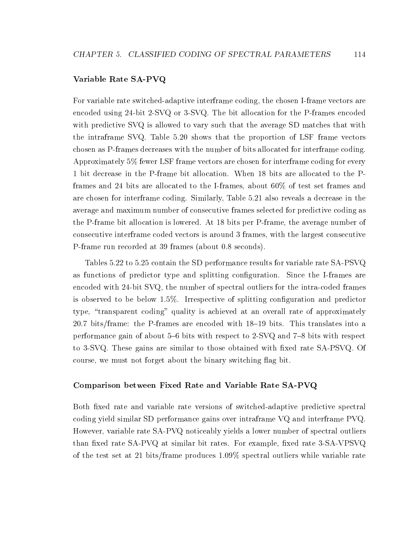### Variable Rate SA-PVQ

For variable rate switched-adaptive interframe coding, the chosen I-frame vectors are encoded using 24-bit 2-SVQ or 3-SVQ. The bit allocation for the P-frames encoded with predictive SVQ is allowed to vary such that the average SD matches that with the intraframe SVQ. Table 5.20 shows that the proportion of LSF frame vectors chosen as P-frames decreases with the number of bits allocated for interframe coding. Approximately 5% fewer LSF frame vectors are chosen for interframe coding for every 1 bit decrease in the P-frame bit allocation. When 18 bits are allocated to the Pframes and 24 bits are allocated to the I-frames, about  $60\%$  of test set frames and are chosen for interframe coding. Similarly, Table 5.21 also reveals a decrease in the average and maximum number of consecutive frames selected for predictive coding as the P-frame bit allocation is lowered. At 18 bits per P-frame, the average number of consecutive interframe coded vectors is around 3 frames, with the largest consecutive P-frame run recorded at 39 frames (about 0.8 seconds).

Tables 5.22 to 5.25 contain the SD performance results for variable rate SA-PSVQ as functions of predictor type and splitting configuration. Since the I-frames are encoded with 24-bit SVQ, the number of spectral outliers for the intra-coded frames is observed to be below 1.5%. Irrespective of splitting conguration and predictor type, "transparent coding" quality is achieved at an overall rate of approximately 20.7 bits/frame: the P-frames are encoded with  $18-19$  bits. This translates into a performance gain of about  $5{-}6$  bits with respect to 2-SVQ and  $7{-}8$  bits with respect to 3-SVQ. These gains are similar to those obtained with fixed rate SA-PSVQ. Of course, we must not forget about the binary switching flag bit.

#### Comparison between Fixed Rate and Variable Rate SA-PVQ

Both fixed rate and variable rate versions of switched-adaptive predictive spectral coding yield similar SD performance gains over intraframe VQ and interframe PVQ. However, variable rate SA-PVQ noticeably yields a lower number of spectral outliers than fixed rate SA-PVQ at similar bit rates. For example, fixed rate 3-SA-VPSVQ of the test set at 21 bits/frame produces 1.09% spectral outliers while variable rate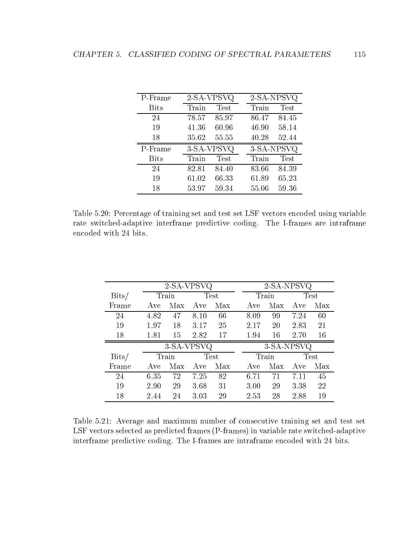| P-Frame     | 2-SA-VPSVQ     | 2-SA-NPSVQ           |
|-------------|----------------|----------------------|
| <b>Bits</b> | Test<br>Train  | Test<br>Train        |
| 24          | 78.57<br>85.97 | 84.45<br>86.47       |
| 19          | 60.96<br>41.36 | 46.90<br>58.14       |
| 18          | 55.55<br>35.62 | 40.28<br>52.44       |
|             |                |                      |
| P-Frame     | 3-SA-VPSVQ     | 3-SA-NPSVQ           |
| <b>Bits</b> | Test<br>Train  | <b>Test</b><br>Train |
| 24          | 82.81<br>84.40 | 84.39<br>83.66       |
| 19          | 61.02<br>66.33 | 61.89<br>65.23       |

Table 5.20: Percentage of training set and test set LSF vectors encoded using variable rate switched-adaptive interframe predictive coding. The I-frames are intraframe encoded with 24 bits.

|                          |      | 2-SA-VPSVQ      |            |      |      | 2-SA-NPSVQ  |      |               |
|--------------------------|------|-----------------|------------|------|------|-------------|------|---------------|
| $\overline{\text{Bits}}$ |      | Train           |            | Test |      | Train       |      | <b>Test</b>   |
| Frame                    |      | Ave Max Ave Max |            |      |      | Ave Max Ave |      | - Max         |
| 24                       | 4.82 | 47              | 8.10       | 66   | 8.09 | 99          | 7.24 | 60            |
| 19                       | 1.97 | 18              | $3.17$ 25  |      | 2.17 | 20          | 2.83 | 21            |
| 18                       | 1.81 |                 | 15 2.82 17 |      | 1.94 | 16          | 2.70 | <sup>16</sup> |
|                          |      | 3-SA-VPSVQ      |            |      |      | 3-SA-NPSVQ  |      |               |
| $_{\rm{Bits/}}$          |      | Train           |            | Test |      | Train       |      | Test          |
| Frame                    |      | Ave Max Ave Max |            |      | Ave  | Max Ave     |      | Max           |
| 24                       | 6.35 | 72              | 7.25       | 82   | 6.71 | 71          | 7.11 | 45            |
| 19                       |      | 29              | 3.68       | 31   | 3.00 | 29          | 3.38 | 22            |
|                          | 2.90 |                 |            |      |      |             |      |               |

Table 5.21: Average and maximum number of consecutive training set and test set LSF vectors selected as predicted frames (P-frames) in variable rate switched-adaptive interframe predictive coding. The I-frames are intraframe encoded with 24 bits.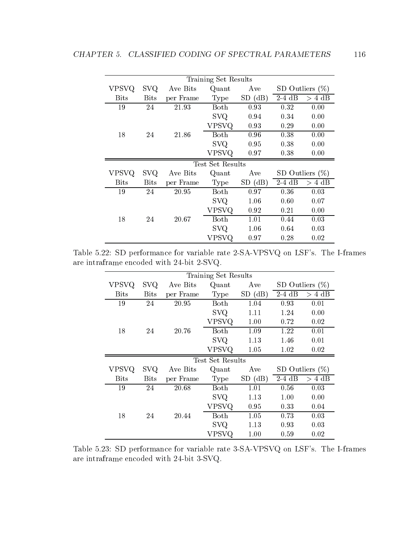|                  |             |           | Training Set Results |        |          |                    |  |  |
|------------------|-------------|-----------|----------------------|--------|----------|--------------------|--|--|
| <b>VPSVQ</b>     | <b>SVQ</b>  | Ave Bits  | Quant                | Ave    |          | SD Outliers $(\%)$ |  |  |
| <b>Bits</b>      | <b>Bits</b> | per Frame | Type                 | SD(dB) | $2-4$ dB | $> 4$ dB           |  |  |
| 19               | 24          | 21.93     | Both                 | 0.93   | 0.32     | 0.00               |  |  |
|                  |             |           | <b>SVQ</b>           | 0.94   | 0.34     | 0.00               |  |  |
|                  |             |           | VPSVQ                | 0.93   | 0.29     | 0.00               |  |  |
| 18               | 24          | 21.86     | Both                 | 0.96   | 0.38     | 0.00               |  |  |
|                  |             |           | <b>SVQ</b>           | 0.95   | 0.38     | 0.00               |  |  |
|                  |             |           | VPSVQ                | 0.97   | 0.38     | 0.00               |  |  |
| Test Set Results |             |           |                      |        |          |                    |  |  |
|                  |             |           |                      |        |          |                    |  |  |
| <b>VPSVQ</b>     | <b>SVQ</b>  | Ave Bits  | Quant                | Ave    |          | SD Outliers $(\%)$ |  |  |
| <b>Bits</b>      | <b>Bits</b> | per Frame | Type                 | SD(dB) | $2-4$ dB | $> 4$ dB           |  |  |
| 19               | 24          | 20.95     | Both                 | 0.97   | 0.36     | 0.03               |  |  |
|                  |             |           | <b>SVQ</b>           | 1.06   | 0.60     | 0.07               |  |  |
|                  |             |           | VPSVQ                | 0.92   | 0.21     | 0.00               |  |  |
| 18               | 24          | 20.67     | <b>Both</b>          | 1.01   | 0.44     | 0.03               |  |  |
|                  |             |           | <b>SVQ</b>           | 1.06   | 0.64     | 0.03               |  |  |

Table 5.22: SD performance for variable rate 2-SA-VPSVQ on LSF's. The I-frames are intraframe encoded with 24-bit 2-SVQ.

|                  |             |           | Training Set Results |        |          |                    |  |  |
|------------------|-------------|-----------|----------------------|--------|----------|--------------------|--|--|
| <b>VPSVQ</b>     | SVQ.        | Ave Bits  | Quant                | Ave    |          | SD Outliers $(\%)$ |  |  |
| <b>Bits</b>      | <b>Bits</b> | per Frame | Type                 | SD(dB) | $2-4$ dB | $> 4$ dB           |  |  |
| 19               | 24          | 20.95     | Both                 | 1.04   | 0.93     | 0.01               |  |  |
|                  |             |           | <b>SVQ</b>           | 1.11   | 1.24     | 0.00               |  |  |
|                  |             |           | VPSVQ                | 1.00   | 0.72     | 0.02               |  |  |
| 18               | 24          | 20.76     | Both                 | 1.09   | 1.22     | 0.01               |  |  |
|                  |             |           | <b>SVQ</b>           | 1.13   | 1.46     | 0.01               |  |  |
|                  |             |           | VPSVQ                | 1.05   | 1.02     | 0.02               |  |  |
| Test Set Results |             |           |                      |        |          |                    |  |  |
|                  |             |           |                      |        |          |                    |  |  |
| <b>VPSVQ</b>     | <b>SVQ</b>  | Ave Bits  | Quant                | Ave    |          | SD Outliers $(\%)$ |  |  |
| <b>Bits</b>      | <b>Bits</b> | per Frame | Type                 | SD(dB) | $2-4$ dB | $> 4$ dB           |  |  |
| 19               | 24          | 20.68     | Both                 | 1.01   | 0.56     | 0.03               |  |  |
|                  |             |           | <b>SVQ</b>           | 1.13   | 1.00     | 0.00               |  |  |
|                  |             |           | VPSVQ                | 0.95   | 0.33     | 0.04               |  |  |
| 18               | 24          | 20.44     | Both                 | 1.05   | 0.73     | 0.03               |  |  |
|                  |             |           | <b>SVQ</b>           | 1.13   | 0.93     | 0.03               |  |  |

Table 5.23: SD performance for variable rate 3-SA-VPSVQ on LSF's. The I-frames are intraframe encoded with 24-bit 3-SVQ.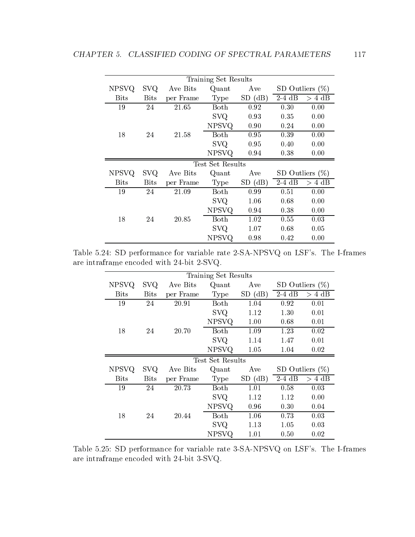|                  |             |           | Training Set Results |        |          |                    |  |  |
|------------------|-------------|-----------|----------------------|--------|----------|--------------------|--|--|
| <b>NPSVQ</b>     | <b>SVQ</b>  | Ave Bits  | Quant                | Ave    |          | SD Outliers $(\%)$ |  |  |
| <b>Bits</b>      | <b>Bits</b> | per Frame | Type                 | SD(dB) | $2-4$ dB | $> 4$ dB           |  |  |
| 19               | 24          | 21.65     | Both                 | 0.92   | 0.30     | 0.00               |  |  |
|                  |             |           | <b>SVQ</b>           | 0.93   | 0.35     | 0.00               |  |  |
|                  |             |           | NPSVQ                | 0.90   | 0.24     | 0.00               |  |  |
| 18               | 24          | 21.58     | Both                 | 0.95   | 0.39     | 0.00               |  |  |
|                  |             |           | <b>SVQ</b>           | 0.95   | 0.40     | 0.00               |  |  |
|                  |             |           | <b>NPSVQ</b>         | 0.94   | 0.38     | 0.00               |  |  |
| Test Set Results |             |           |                      |        |          |                    |  |  |
|                  |             |           |                      |        |          |                    |  |  |
| <b>NPSVQ</b>     | <b>SVQ</b>  | Ave Bits  | Quant                | Ave    |          | SD Outliers $(\%)$ |  |  |
| <b>Bits</b>      | <b>Bits</b> | per Frame | Type                 | SD(dB) | $2-4$ dB | $> 4$ dB           |  |  |
| 19               | 24          | 21.09     | Both                 | 0.99   | 0.51     | 0.00               |  |  |
|                  |             |           | <b>SVQ</b>           | 1.06   | 0.68     | 0.00               |  |  |
|                  |             |           | <b>NPSVQ</b>         | 0.94   | 0.38     | 0.00               |  |  |
| 18               | 24          | 20.85     | Both                 | 1.02   | 0.55     | 0.03               |  |  |
|                  |             |           | <b>SVQ</b>           | 1.07   | 0.68     | 0.05               |  |  |

Table 5.24: SD performance for variable rate 2-SA-NPSVQ on LSF's. The I-frames are intraframe encoded with 24-bit 2-SVQ.

|              |             |           | Training Set Results |        |                    |                    |
|--------------|-------------|-----------|----------------------|--------|--------------------|--------------------|
| <b>NPSVQ</b> | SVQ.        | Ave Bits  | Quant                | Ave    | SD Outliers $(\%)$ |                    |
| <b>Bits</b>  | <b>Bits</b> | per Frame | Type                 | SD(dB) | $2-4$ dB           | $> 4$ dB           |
| 19           | 24          | 20.91     | Both                 | 1.04   | 0.92               | 0.01               |
|              |             |           | <b>SVQ</b>           | 1.12   | 1.30               | 0.01               |
|              |             |           | <b>NPSVQ</b>         | 1.00   | 0.68               | 0.01               |
| 18           | 24          | 20.70     | Both                 | 1.09   | 1.23               | 0.02               |
|              |             |           | <b>SVQ</b>           | 1.14   | 1.47               | 0.01               |
|              |             |           | <b>NPSVQ</b>         | 1.05   | 1.04               | 0.02               |
|              |             |           | Test Set Results     |        |                    |                    |
|              |             |           |                      |        |                    |                    |
| <b>NPSVQ</b> | <b>SVQ</b>  | Ave Bits  | Quant                | Ave    |                    | SD Outliers $(\%)$ |
| <b>Bits</b>  | <b>Bits</b> | per Frame | Type                 | SD(dB) | $2-4$ dB           | $> 4$ dB           |
| 19           | 24          | 20.73     | Both                 | 1.01   | 0.58               | 0.03               |
|              |             |           | <b>SVQ</b>           | 1.12   | 1.12               | 0.00               |
|              |             |           | <b>NPSVQ</b>         | 0.96   | 0.30               | 0.04               |
| 18           | 24          | 20.44     | Both                 | 1.06   | 0.73               | 0.03               |
|              |             |           | <b>SVQ</b>           | 1.13   | 1.05               | 0.03               |

Table 5.25: SD performance for variable rate 3-SA-NPSVQ on LSF's. The I-frames are intraframe encoded with 24-bit 3-SVQ.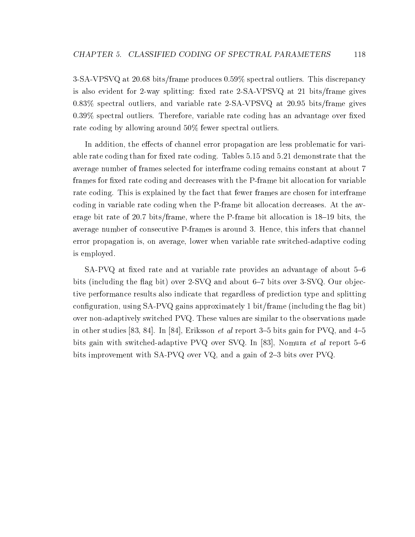3-SA-VPSVQ at 20.68 bits/frame produces 0.59% spectral outliers. This discrepancy is also evident for 2-way splitting: fixed rate 2-SA-VPSVQ at 21 bits/frame gives 0.83% spectral outliers, and variable rate 2-SA-VPSVQ at 20.95 bits/frame gives  $0.39\%$  spectral outliers. Therefore, variable rate coding has an advantage over fixed rate coding by allowing around 50% fewer spectral outliers.

In addition, the effects of channel error propagation are less problematic for variable rate coding than for fixed rate coding. Tables 5.15 and 5.21 demonstrate that the average number of frames selected for interframe coding remains constant at about 7 frames for fixed rate coding and decreases with the P-frame bit allocation for variable rate coding. This is explained by the fact that fewer frames are chosen for interframe coding in variable rate coding when the P-frame bit allocation decreases. At the average bit rate of 20.7 bits/frame, where the P-frame bit allocation is  $18-19$  bits, the average number of consecutive P-frames is around 3. Hence, this infers that channel error propagation is, on average, lower when variable rate switched-adaptive coding is employed.

 $SA-PVQ$  at fixed rate and at variable rate provides an advantage of about 5-6 bits (including the flag bit) over  $2$ -SVQ and about 6–7 bits over  $3$ -SVQ. Our objective performance results also indicate that regardless of prediction type and splitting configuration, using  $SA-PVQ$  gains approximately 1 bit/frame (including the flag bit) over non-adaptively switched PVQ. These values are similar to the observations made in other studies [83, 84]. In [84], Eriksson *et al* report 3-5 bits gain for PVQ, and  $4-5$ bits gain with switched-adaptive PVQ over SVQ. In [83], Nomura *et al* report  $5{-}6$ bits improvement with SA-PVQ over VQ, and a gain of  $2-3$  bits over PVQ.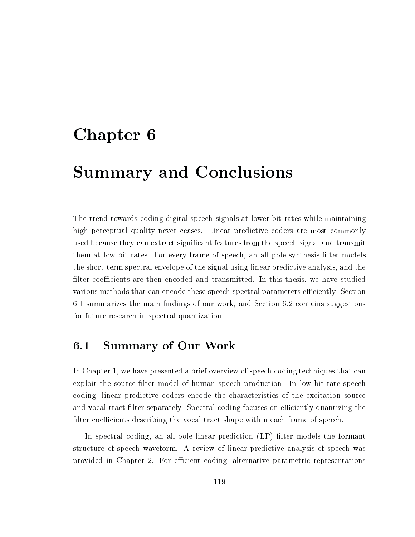## Chapter <sup>6</sup>

# Summary and Conclusions

The trend towards coding digital speech signals at lower bit rates while maintaining high perceptual quality never ceases. Linear predictive coders are most commonly used because they can extract signicant features from the speech signal and transmit them at low bit rates. For every frame of speech, an all-pole synthesis filter models the short-term spectral envelope of the signal using linear predictive analysis, and the filter coefficients are then encoded and transmitted. In this thesis, we have studied various methods that can encode these speech spectral parameters efficiently. Section 6.1 summarizes the main findings of our work, and Section 6.2 contains suggestions for future research in spectral quantization.

#### $6.1$ Summary of Our Work

In Chapter 1, we have presented a brief overview of speech coding techniques that can exploit the source-lter model of human speech production. In low-bit-rate speech coding, linear predictive coders encode the characteristics of the excitation source and vocal tract filter separately. Spectral coding focuses on efficiently quantizing the filter coefficients describing the vocal tract shape within each frame of speech.

In spectral coding, an all-pole linear prediction (LP) filter models the formant structure of speech waveform. A review of linear predictive analysis of speech was provided in Chapter 2. For efficient coding, alternative parametric representations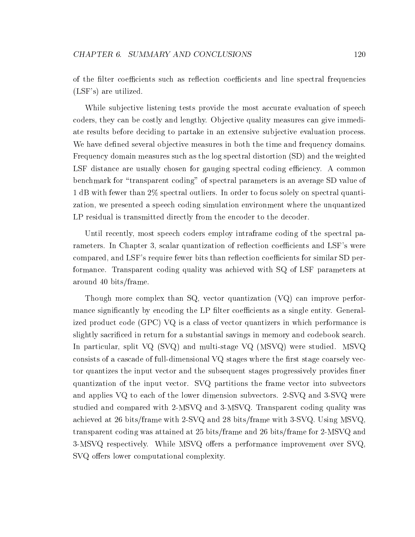of the filter coefficients such as reflection coefficients and line spectral frequencies (LSF's) are utilized.

While subjective listening tests provide the most accurate evaluation of speech coders, they can be costly and lengthy. Objective quality measures can give immediate results before deciding to partake in an extensive sub jective evaluation process. We have defined several objective measures in both the time and frequency domains. Frequency domain measures such as the log spectral distortion (SD) and the weighted LSF distance are usually chosen for gauging spectral coding efficiency. A common benchmark for \transparent coding" of spectral parameters is an average SD value of 1 dB with fewer than 2% spectral outliers. In order to focus solely on spectral quantization, we presented a speech coding simulation environment where the unquantized LP residual is transmitted directly from the encoder to the decoder.

Until recently, most speech coders employ intraframe coding of the spectral parameters. In Chapter 3, scalar quantization of reflection coefficients and LSF's were compared, and LSF's require fewer bits than reflection coefficients for similar SD performance. Transparent coding quality was achieved with SQ of LSF parameters at around 40 bits/frame.

Though more complex than  $SQ$ , vector quantization  $(VQ)$  can improve performance significantly by encoding the LP filter coefficients as a single entity. Generalized product code (GPC) VQ is a class of vector quantizers in which performance is slightly sacriced in return for a substantial savings in memory and codebook search. In particular, split VQ (SVQ) and multi-stage VQ (MSVQ) were studied. MSVQ consists of a cascade of full-dimensional  $VQ$  stages where the first stage coarsely vector quantizes the input vector and the subsequent stages progressively provides finer quantization of the input vector. SVQ partitions the frame vector into subvectors and applies VQ to each of the lower dimension subvectors. 2-SVQ and 3-SVQ were studied and compared with 2-MSVQ and 3-MSVQ. Transparent coding quality was achieved at 26 bits/frame with 2-SVQ and 28 bits/frame with 3-SVQ. Using MSVQ, transparent coding was attained at 25 bits/frame and 26 bits/frame for 2-MSVQ and 3-MSVQ respectively. While MSVQ offers a performance improvement over SVQ. SVQ offers lower computational complexity.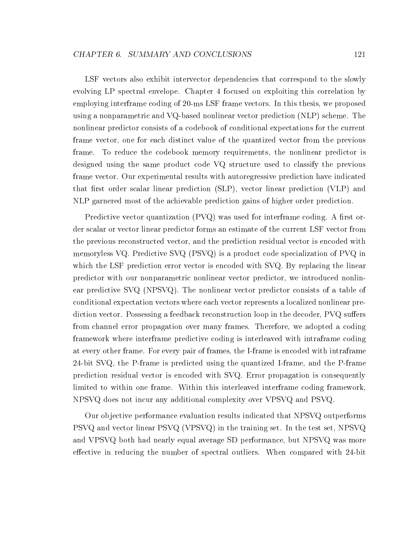LSF vectors also exhibit intervector dependencies that correspond to the slowly evolving LP spectral envelope. Chapter 4 focused on exploiting this correlation by employing interframe coding of 20-ms LSF frame vectors. In this thesis, we proposed using a nonparametric and VQ-based nonlinear vector prediction (NLP) scheme. The nonlinear predictor consists of a codebook of conditional expectations for the current frame vector, one for each distinct value of the quantized vector from the previous frame. To reduce the codebook memory requirements, the nonlinear predictor is designed using the same product code VQ structure used to classify the previous frame vector. Our experimental results with autoregressive prediction have indicated that first order scalar linear prediction  $(SLP)$ , vector linear prediction  $(VLP)$  and NLP garnered most of the achievable prediction gains of higher order prediction.

Predictive vector quantization  $(PVQ)$  was used for interframe coding. A first order scalar or vector linear predictor forms an estimate of the current LSF vector from the previous reconstructed vector, and the prediction residual vector is encoded with memoryless VQ. Predictive SVQ (PSVQ) is a product code specialization of PVQ in which the LSF prediction error vector is encoded with SVQ. By replacing the linear predictor with our nonparametric nonlinear vector predictor, we introduced nonlinear predictive SVQ (NPSVQ). The nonlinear vector predictor consists of a table of conditional expectation vectors where each vector represents a localized nonlinear prediction vector. Possessing a feedback reconstruction loop in the decoder, PVQ suffers from channel error propagation over many frames. Therefore, we adopted a coding framework where interframe predictive coding is interleaved with intraframe coding at every other frame. For every pair of frames, the I-frame is encoded with intraframe 24-bit SVQ, the P-frame is predicted using the quantized I-frame, and the P-frame prediction residual vector is encoded with SVQ. Error propagation is consequently limited to within one frame. Within this interleaved interframe coding framework, NPSVQ does not incur any additional complexity over VPSVQ and PSVQ.

Our ob jective performance evaluation results indicated that NPSVQ outperforms PSVQ and vector linear PSVQ (VPSVQ) in the training set. In the test set, NPSVQ and VPSVQ both had nearly equal average SD performance, but NPSVQ was more effective in reducing the number of spectral outliers. When compared with 24-bit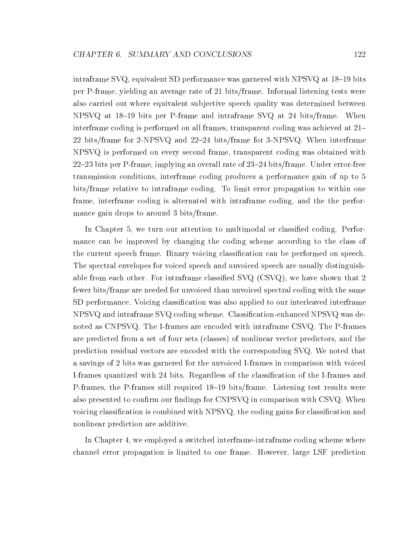intraframe SVQ, equivalent SD performance was garnered with NPSVQ at 18-19 bits per P-frame, yielding an average rate of 21 bits/frame. Informal listening tests were also carried out where equivalent subjective speech quality was determined between NPSVQ at 18–19 bits per P-frame and intraframe SVQ at 24 bits/frame. When interframe coding is performed on all frames, transparent coding was achieved at  $21-$ 22 bits/frame for 2-NPSVQ and  $22-24$  bits/frame for 3-NPSVQ. When interframe NPSVQ is performed on every second frame, transparent coding was obtained with  $22$ -23 bits per P-frame, implying an overall rate of  $23$ -24 bits/frame. Under error-free transmission conditions, interframe coding produces a performance gain of up to 5 bits/frame relative to intraframe coding. To limit error propagation to within one frame, interframe coding is alternated with intraframe coding, and the the performance gain drops to around 3 bits/frame.

In Chapter 5, we turn our attention to multimodal or classied coding. Performance can be improved by changing the coding scheme according to the class of the current speech frame. Binary voicing classification can be performed on speech. The spectral envelopes for voiced speech and unvoiced speech are usually distinguishable from each other. For intraframe classied SVQ (CSVQ), we have shown that 2 fewer bits/frame are needed for unvoiced than unvoiced spectral coding with the same SD performance. Voicing classification was also applied to our interleaved interframe NPSVQ and intraframe SVQ coding scheme. Classication-enhanced NPSVQ was denoted as CNPSVQ. The I-frames are encoded with intraframe CSVQ. The P-frames are predicted from a set of four sets (classes) of nonlinear vector predictors, and the prediction residual vectors are encoded with the corresponding SVQ. We noted that a savings of 2 bits was garnered for the unvoiced I-frames in comparison with voiced I-frames quantized with 24 bits. Regardless of the classication of the I-frames and P-frames, the P-frames still required 18–19 bits/frame. Listening test results were also presented to confirm our findings for CNPSVQ in comparison with CSVQ. When voicing classication is combined with NPSVQ, the coding gains for classication and nonlinear prediction are additive.

In Chapter 4, we employed a switched interframe-intraframe coding scheme where channel error propagation is limited to one frame. However, large LSF prediction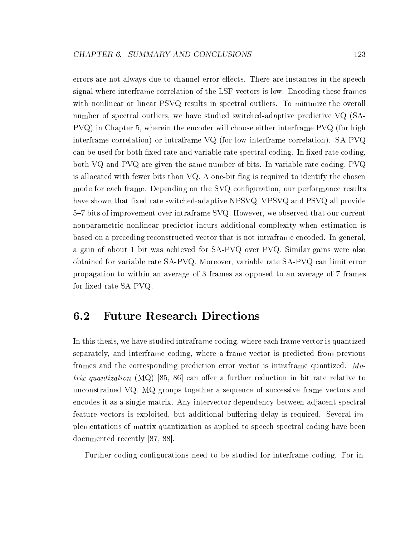errors are not always due to channel error effects. There are instances in the speech signal where interframe correlation of the LSF vectors is low. Encoding these frames with nonlinear or linear PSVQ results in spectral outliers. To minimize the overall number of spectral outliers, we have studied switched-adaptive predictive VQ (SA-PVQ) in Chapter 5, wherein the encoder will choose either interframe PVQ (for high interframe correlation) or intraframe VQ (for low interframe correlation). SA-PVQ can be used for both fixed rate and variable rate spectral coding. In fixed rate coding, both VQ and PVQ are given the same number of bits. In variable rate coding, PVQ is allocated with fewer bits than VQ. A one-bit flag is required to identify the chosen mode for each frame. Depending on the SVQ configuration, our performance results have shown that fixed rate switched-adaptive NPSVQ, VPSVQ and PSVQ all provide 5{7 bits of improvement over intraframe SVQ. However, we observed that our current nonparametric nonlinear predictor incurs additional complexity when estimation is based on a preceding reconstructed vector that is not intraframe encoded. In general, a gain of about 1 bit was achieved for SA-PVQ over PVQ. Similar gains were also obtained for variable rate SA-PVQ. Moreover, variable rate SA-PVQ can limit error propagation to within an average of 3 frames as opposed to an average of 7 frames for fixed rate SA-PVQ.

## 6.2 Future Research Directions

In this thesis, we have studied intraframe coding, where each frame vector is quantized separately, and interframe coding, where a frame vector is predicted from previous frames and the corresponding prediction error vector is intraframe quantized. Matrix quantization  $(MQ)$  [85, 86] can offer a further reduction in bit rate relative to unconstrained VQ. MQ groups together a sequence of successive frame vectors and encodes it as a single matrix. Any intervector dependency between adjacent spectral feature vectors is exploited, but additional buffering delay is required. Several implementations of matrix quantization as applied to speech spectral coding have been documented recently [87, 88].

Further coding configurations need to be studied for interframe coding. For in-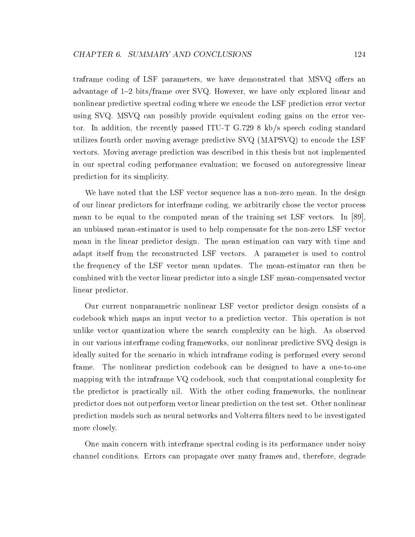traframe coding of LSF parameters, we have demonstrated that MSVQ offers an advantage of 1–2 bits/frame over SVQ. However, we have only explored linear and nonlinear predictive spectral coding where we encode the LSF prediction error vector using SVQ. MSVQ can possibly provide equivalent coding gains on the error vector. In addition, the recently passed ITU-T G.729 8 kb/s speech coding standard utilizes fourth order moving average predictive SVQ (MAPSVQ) to encode the LSF vectors. Moving average prediction was described in this thesis but not implemented in our spectral coding performance evaluation; we focused on autoregressive linear prediction for its simplicity.

We have noted that the LSF vector sequence has a non-zero mean. In the design of our linear predictors for interframe coding, we arbitrarily chose the vector process mean to be equal to the computed mean of the training set LSF vectors. In [89], an unbiased mean-estimator is used to help compensate for the non-zero LSF vector mean in the linear predictor design. The mean estimation can vary with time and adapt itself from the reconstructed LSF vectors. A parameter is used to control the frequency of the LSF vector mean updates. The mean-estimator can then be combined with the vector linear predictor into a single LSF mean-compensated vector linear predictor.

Our current nonparametric nonlinear LSF vector predictor design consists of a codebook which maps an input vector to a prediction vector. This operation is not unlike vector quantization where the search complexity can be high. As observed in our various interframe coding frameworks, our nonlinear predictive SVQ design is ideally suited for the scenario in which intraframe coding is performed every second frame. The nonlinear prediction codebook can be designed to have a one-to-one mapping with the intraframe VQ codebook, such that computational complexity for the predictor is practically nil. With the other coding frameworks, the nonlinear predictor does not outperform vector linear prediction on the test set. Other nonlinear prediction models such as neural networks and Volterra lters need to be investigated more closely.

One main concern with interframe spectral coding is its performance under noisy channel conditions. Errors can propagate over many frames and, therefore, degrade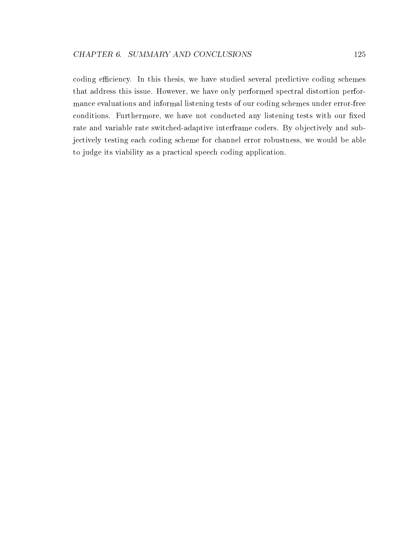coding efficiency. In this thesis, we have studied several predictive coding schemes that address this issue. However, we have only performed spectral distortion performance evaluations and informal listening tests of our coding schemes under error-free conditions. Furthermore, we have not conducted any listening tests with our fixed rate and variable rate switched-adaptive interframe coders. By objectively and subjectively testing each coding scheme for channel error robustness, we would be able to judge its viability as a practical speech coding application.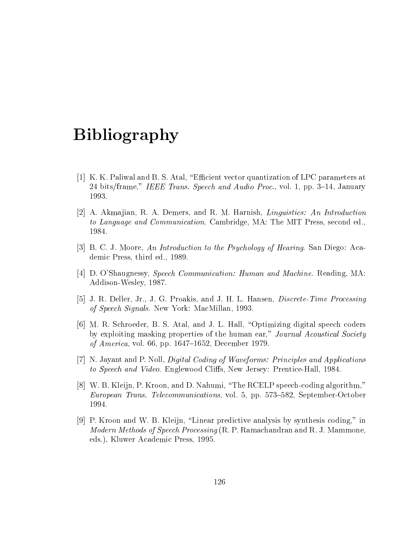# Bibliography

- [1] K. K. Paliwal and B. S. Atal, \Ecient vector quantization of LPC parameters at 24 bits/frame," IEEE Trans. Speech and Audio Proc., vol. 1, pp. 3-14, January 1993.
- [2] A. Akmajian, R. A. Demers, and R. M. Harnish, *Linguistics: An Introduction* to Language and Communication. Cambridge, MA: The MIT Press, second ed., 1984.
- [3] B. C. J. Moore, An Introduction to the Psychology of Hearing. San Diego: Academic Press, third ed., 1989.
- [4] D. O'Shaugnessy, Speech Communication: Human and Machine. Reading, MA: Addison-Wesley, 1987.
- [5] J. R. Deller, Jr., J. G. Proakis, and J. H. L. Hansen, Discrete-Time Processing of Speech Signals. New York: MacMillan, 1993.
- [6] M. R. Schroeder, B. S. Atal, and J. L. Hall, "Optimizing digital speech coders by exploiting masking properties of the human ear," Journal Acoustical Society *of America*, vol. 66, pp. 1647–1652, December 1979.
- [7] N. Jayant and P. Noll, Digital Coding of Waveforms: Principles and Applications to Speech and Video. Englewood Cliffs, New Jersey: Prentice-Hall, 1984.
- [8] W. B. Kleijn, P. Kroon, and D. Nahumi, "The RCELP speech-coding algorithm," European Trans. Telecommunications, vol. 5, pp. 573–582, September-October 1994.
- [9] P. Kroon and W. B. Kleijn, "Linear predictive analysis by synthesis coding," in *Modern Methods of Speech Processing* (R. P. Ramachandran and R. J. Mammone, eds.), Kluwer Academic Press, 1995.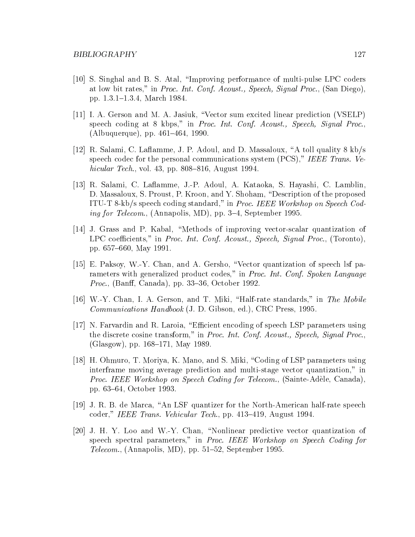- [10] S. Singhal and B. S. Atal, \Improving performance of multi-pulse LPC coders at low bit rates," in Proc. Int. Conf. Acoust., Speech, Signal Proc., (San Diego), pp. 1.3.1{1.3.4, March 1984.
- [11] I. A. Gerson and M. A. Jasiuk, \Vector sum excited linear prediction (VSELP) speech coding at 8 kbps," in Proc. Int. Conf. Acoust., Speech, Signal Proc.,  $(Albuquerque), pp. 461–464, 1990.$
- [12] R. Salami, C. Laflamme, J. P. Adoul, and D. Massaloux, "A toll quality  $8 \text{ kb/s}$ speech codec for the personal communications system (PCS)," IEEE Trans. Vehicular Tech., vol. 43, pp. 808–816, August 1994.
- [13] R. Salami, C. Laflamme, J.-P. Adoul, A. Kataoka, S. Hayashi, C. Lamblin. D. Massaloux, S. Proust, P. Kroon, and Y. Shoham, "Description of the proposed ITU-T 8-kb/s speech coding standard," in Proc. IEEE Workshop on Speech Coding for Telecom., (Annapolis, MD), pp. 3–4, September 1995.
- [14] J. Grass and P. Kabal, \Methods of improving vector-scalar quantization of LPC coefficients," in Proc. Int. Conf. Acoust., Speech, Signal Proc., (Toronto), pp. 657-660, May 1991.
- [15] E. Paksoy, W.-Y. Chan, and A. Gersho, "Vector quantization of speech lsf parameters with generalized product codes," in Proc. Int. Conf. Spoken Language *Proc.*, (Banff, Canada), pp. 33-36, October 1992.
- [16] W.-Y. Chan, I. A. Gerson, and T. Miki, "Half-rate standards," in The Mobile Communications Handbook (J. D. Gibson, ed.), CRC Press, 1995.
- [17] N. Farvardin and R. Laroia, "Efficient encoding of speech LSP parameters using the discrete cosine transform," in Proc. Int. Conf. Acoust., Speech, Signal Proc., (Glasgow), pp. 168–171, May 1989.
- [18] H. Ohmuro, T. Moriya, K. Mano, and S. Miki, \Coding of LSP parameters using interframe moving average prediction and multi-stage vector quantization," in Proc. IEEE Workshop on Speech Coding for Telecom., (Sainte-Adele, Canada), pp. 63{64, October 1993.
- [19] J. R. B. de Marca, \An LSF quantizer for the North-American half-rate speech coder," IEEE Trans. Vehicular Tech., pp. 413-419, August 1994.
- [20] J. H. Y. Loo and W.-Y. Chan, \Nonlinear predictive vector quantization of speech spectral parameters," in Proc. IEEE Workshop on Speech Coding for Telecom., (Annapolis, MD), pp.  $51–52$ , September 1995.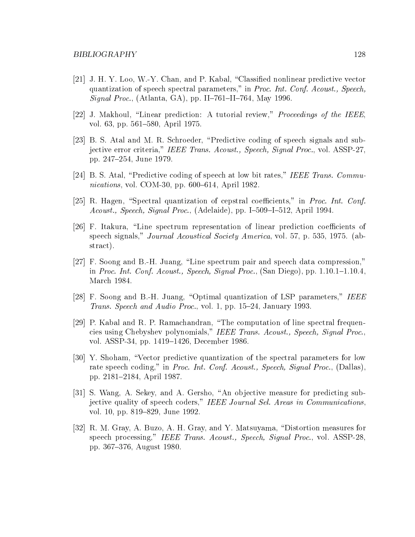- [21] J. H. Y. Loo, W.-Y. Chan, and P. Kabal, \Classied nonlinear predictive vector quantization of speech spectral parameters," in Proc. Int. Conf. Acoust., Speech, Signal Proc., (Atlanta, GA), pp. II-761-II-764, May 1996.
- [22] J. Makhoul, "Linear prediction: A tutorial review," *Proceedings of the IEEE*, vol. 63, pp. 561–580, April 1975.
- [23] B. S. Atal and M. R. Schroeder, \Predictive coding of speech signals and subjective error criteria," IEEE Trans. Acoust., Speech, Signal Proc., vol. ASSP-27. pp. 247-254, June 1979.
- [24] B. S. Atal, "Predictive coding of speech at low bit rates," IEEE Trans. Communications, vol. COM-30, pp.  $600-614$ , April 1982.
- [25] R. Hagen, "Spectral quantization of cepstral coefficients," in Proc. Int. Conf. Acoust., Speech, Signal Proc., (Adelaide), pp. I $-509$ -I $-512$ , April 1994.
- [26] F. Itakura, "Line spectrum representation of linear prediction coefficients of speech signals," Journal Acoustical Society America, vol. 57, p. 535, 1975. (abstract).
- $[27]$  F. Soong and B.-H. Juang, "Line spectrum pair and speech data compression," in Proc. Int. Conf. Acoust., Speech, Signal Proc.,  $(San Diego)$ , pp.  $1.10.1{\text -}1.10.4$ , March 1984.
- [28] F. Soong and B.-H. Juang, "Optimal quantization of LSP parameters," IEEE Trans. Speech and Audio Proc., vol. 1, pp. 15-24, January 1993.
- [29] P. Kabal and R. P. Ramachandran, \The computation of line spectral frequencies using Chebyshev polynomials," IEEE Trans. Acoust., Speech, Signal Proc., vol. ASSP-34, pp. 1419–1426, December 1986.
- [30] Y. Shoham, "Vector predictive quantization of the spectral parameters for low rate speech coding," in Proc. Int. Conf. Acoust., Speech, Signal Proc., (Dallas), pp. 2181-2184, April 1987.
- [31] S. Wang, A. Sekey, and A. Gersho, "An objective measure for predicting subjective quality of speech coders," IEEE Journal Sel. Areas in Communications. vol. 10, pp. 819–829, June 1992.
- [32] R. M. Gray, A. Buzo, A. H. Gray, and Y. Matsuyama, "Distortion measures for speech processing," IEEE Trans. Acoust., Speech, Signal Proc., vol. ASSP-28, pp. 367-376, August 1980.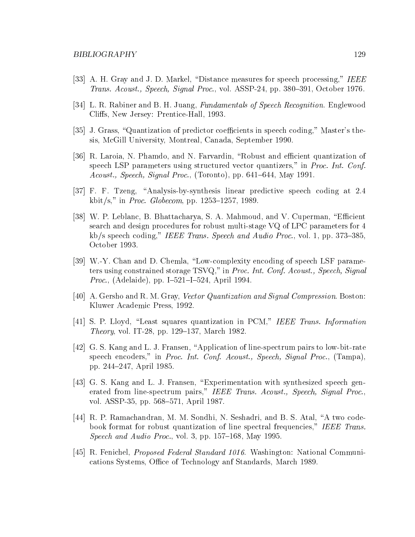- [33] A. H. Gray and J. D. Markel, "Distance measures for speech processing," IEEE Trans. Acoust., Speech, Signal Proc., vol. ASSP-24, pp. 380-391, October 1976.
- [34] L. R. Rabiner and B. H. Juang, Fundamentals of Speech Recognition. Englewood Cliffs, New Jersey: Prentice-Hall, 1993.
- [35] J. Grass, "Quantization of predictor coefficients in speech coding," Master's thesis, McGill University, Montreal, Canada, September 1990.
- [36] R. Laroia, N. Phamdo, and N. Farvardin, "Robust and efficient quantization of speech LSP parameters using structured vector quantizers," in Proc. Int. Conf. Acoust., Speech, Signal Proc., (Toronto), pp.  $641–644$ , May 1991.
- [37] F. F. Tzeng, \Analysis-by-synthesis linear predictive speech coding at 2.4 kbit/s," in Proc. Globecom, pp. 1253–1257, 1989.
- [38] W. P. Leblanc, B. Bhattacharya, S. A. Mahmoud, and V. Cuperman, "Efficient search and design procedures for robust multi-stage VQ of LPC parameters for 4 kb/s speech coding," IEEE Trans. Speech and Audio Proc., vol. 1, pp. 373-385. October 1993.
- [39] W.-Y. Chan and D. Chemla, "Low-complexity encoding of speech LSF parameters using constrained storage TSVQ," in Proc. Int. Conf. Acoust., Speech, Signal *Proc.*, (Adelaide), pp. I-521-I-524, April 1994.
- [40] A. Gersho and R. M. Gray, Vector Quantization and Signal Compression. Boston: Kluwer Academic Press, 1992.
- [41] S. P. Lloyd, "Least squares quantization in PCM," IEEE Trans. Information *Theory*, vol. IT-28, pp. 129–137, March 1982.
- [42] G. S. Kang and L. J. Fransen, \Application of line-spectrum pairs to low-bit-rate speech encoders," in Proc. Int. Conf. Acoust., Speech, Signal Proc., (Tampa), pp. 244-247, April 1985.
- [43] G. S. Kang and L. J. Fransen, "Experimentation with synthesized speech generated from line-spectrum pairs," IEEE Trans. Acoust., Speech, Signal Proc., vol. ASSP-35, pp. 568–571, April 1987.
- [44] R. P. Ramachandran, M. M. Sondhi, N. Seshadri, and B. S. Atal, "A two codebook format for robust quantization of line spectral frequencies," IEEE Trans. Speech and Audio Proc., vol. 3, pp.  $157–168$ , May 1995.
- [45] R. Fenichel, Proposed Federal Standard 1016. Washington: National Communications Systems, Office of Technology anf Standards, March 1989.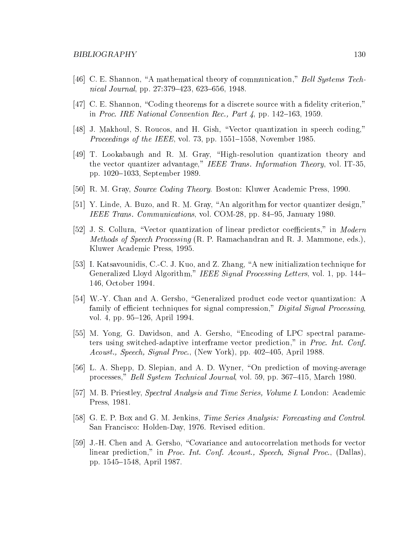- [46] C. E. Shannon, "A mathematical theory of communication," Bell Systems Technical Journal, pp. 27:379-423, 623-656, 1948.
- $[47]$  C. E. Shannon, "Coding theorems for a discrete source with a fidelity criterion," in Proc. IRE National Convention Rec., Part  $\mu$ , pp. 142–163, 1959.
- [48] J. Makhoul, S. Roucos, and H. Gish, \Vector quantization in speech coding," *Proceedings of the IEEE*, vol. 73, pp.  $1551–1558$ , November 1985.
- [49] T. Lookabaugh and R. M. Gray, \High-resolution quantization theory and the vector quantizer advantage," IEEE Trans. Information Theory, vol. IT-35, pp. 1020–1033, September 1989.
- [50] R. M. Gray, Source Coding Theory. Boston: Kluwer Academic Press, 1990.
- [51] Y. Linde, A. Buzo, and R. M. Gray, "An algorithm for vector quantizer design," IEEE Trans. Communications, vol. COM-28, pp. 84-95, January 1980.
- [52] J. S. Collura, "Vector quantization of linear predictor coefficients," in Modern Methods of Speech Processing (R. P. Ramachandran and R. J. Mammone, eds.), Kluwer Academic Press, 1995.
- [53] I. Katsavounidis, C.-C. J. Kuo, and Z. Zhang, "A new initialization technique for Generalized Lloyd Algorithm," *IEEE Signal Processing Letters*, vol. 1, pp. 144– 146, October 1994.
- [54] W.-Y. Chan and A. Gersho, "Generalized product code vector quantization: A family of efficient techniques for signal compression," Digital Signal Processing, vol. 4, pp. 95–126, April 1994.
- [55] M. Yong, G. Davidson, and A. Gersho, \Encoding of LPC spectral parameters using switched-adaptive interframe vector prediction," in Proc. Int. Conf. Acoust., Speech, Signal Proc., (New York), pp. 402–405, April 1988.
- [56] L. A. Shepp, D. Slepian, and A. D. Wyner, "On prediction of moving-average processes," Bell System Technical Journal, vol. 59, pp. 367–415, March 1980.
- [57] M. B. Priestley, Spectral Analysis and Time Series, Volume I. London: Academic Press, 1981.
- [58] G. E. P. Box and G. M. Jenkins, Time Series Analysis: Forecasting and Control. San Francisco: Holden-Day, 1976. Revised edition.
- [59] J.-H. Chen and A. Gersho, \Covariance and autocorrelation methods for vector linear prediction," in Proc. Int. Conf. Acoust., Speech, Signal Proc., (Dallas), pp. 1545–1548, April 1987.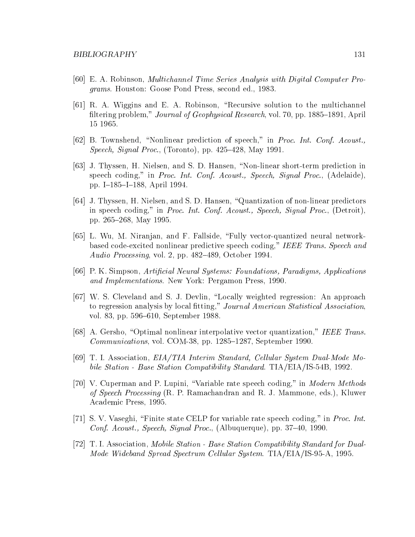- [60] E. A. Robinson, Multichannel Time Series Analysis with Digital Computer Programs. Houston: Goose Pond Press, second ed., 1983.
- [61] R. A. Wiggins and E. A. Robinson, \Recursive solution to the multichannel filtering problem," *Journal of Geophysical Research*, vol. 70, pp. 1885–1891, April 15 1965.
- [62] B. Townshend, \Nonlinear prediction of speech," in Proc. Int. Conf. Acoust., Speech, Signal Proc., (Toronto), pp. 425–428, May 1991.
- [63] J. Thyssen, H. Nielsen, and S. D. Hansen, \Non-linear short-term prediction in speech coding," in Proc. Int. Conf. Acoust., Speech, Signal Proc., (Adelaide), pp. I-185-I-188, April 1994.
- [64] J. Thyssen, H. Nielsen, and S. D. Hansen, "Quantization of non-linear predictors in speech coding," in Proc. Int. Conf. Acoust., Speech, Signal Proc., (Detroit), pp. 265-268, May 1995.
- [65] L. Wu, M. Niranjan, and F. Fallside, \Fully vector-quantized neural networkbased code-excited nonlinear predictive speech coding," IEEE Trans. Speech and Audio Processing, vol. 2, pp.  $482-489$ , October 1994.
- [66] P. K. Simpson, Articial Neural Systems: Foundations, Paradigms, Applications and Implementations. New York: Pergamon Press, 1990.
- [67] W. S. Cleveland and S. J. Devlin, "Locally weighted regression: An approach to regression analysis by local fitting," Journal American Statistical Association, vol. 83, pp. 596–610, September 1988.
- [68] A. Gersho, "Optimal nonlinear interpolative vector quantization," IEEE Trans.  $Communications, vol. COM-38, pp. 1285-1287, September 1990.$
- [69] T. I. Association, EIA/TIA Interim Standard, Cellular System Dual-Mode Mobile Station - Base Station Compatibility Standard. TIA/EIA/IS-54B, 1992.
- [70] V. Cuperman and P. Lupini, "Variable rate speech coding," in *Modern Methods* of Speech Processing (R. P. Ramachandran and R. J. Mammone, eds.), Kluwer Academic Press, 1995.
- [71] S. V. Vaseghi, "Finite state CELP for variable rate speech coding," in Proc. Int. Conf. Acoust., Speech, Signal Proc., (Albuquerque), pp. 37-40, 1990.
- [72] T. I. Association, Mobile Station Base Station Compatibility Standard for Dual-Mode Wideband Spread Spectrum Cellular System. TIA/EIA/IS-95-A, 1995.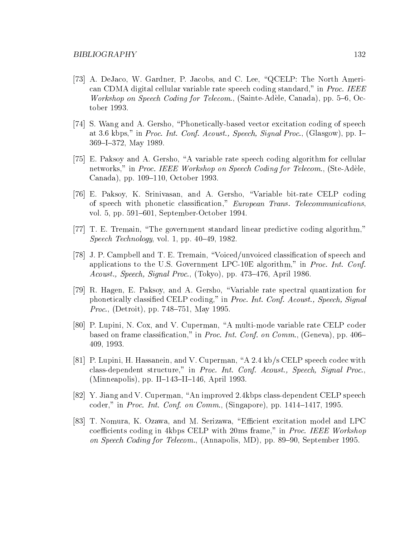- [73] A. DeJaco, W. Gardner, P. Jacobs, and C. Lee, "QCELP: The North American CDMA digital cellular variable rate speech coding standard," in Proc. IEEE Workshop on Speech Coding for Telecom., (Sainte-Adèle, Canada), pp.  $5-6$ , October 1993.
- [74] S. Wang and A. Gersho, \Phonetically-based vector excitation coding of speech at 3.6 kbps," in Proc. Int. Conf. Acoust., Speech, Signal Proc., (Glasgow), pp. I-369-I-372, May 1989.
- [75] E. Paksoy and A. Gersho, \A variable rate speech coding algorithm for cellular networks," in Proc. IEEE Workshop on Speech Coding for Telecom., (Ste-Adèle, Canada), pp. 109–110, October 1993.
- [76] E. Paksoy, K. Srinivasan, and A. Gersho, \Variable bit-rate CELP coding of speech with phonetic classification," European Trans. Telecommunications, vol. 5, pp. 591–601, September-October 1994.
- [77] T. E. Tremain, "The government standard linear predictive coding algorithm," Speech Technology, vol. 1, pp.  $40-49$ , 1982.
- [78] J. P. Campbell and T. E. Tremain, \Voiced/unvoiced classication of speech and applications to the U.S. Government LPC-10E algorithm," in Proc. Int. Conf. Acoust., Speech, Signal Proc., (Tokyo), pp. 473–476, April 1986.
- [79] R. Hagen, E. Paksoy, and A. Gersho, \Variable rate spectral quantization for phonetically classied CELP coding," in Proc. Int. Conf. Acoust., Speech, Signal *Proc.*, (Detroit), pp. 748–751, May 1995.
- [80] P. Lupini, N. Cox, and V. Cuperman, \A multi-mode variable rate CELP coder based on frame classification," in *Proc. Int. Conf. on Comm.*, (Geneva), pp. 406– 409, 1993.
- [81] P. Lupini, H. Hassanein, and V. Cuperman, "A 2.4 kb/s CELP speech codec with class-dependent structure," in Proc. Int. Conf. Acoust., Speech, Signal Proc., (Minneapolis), pp. II-143-II-146, April 1993.
- [82] Y. Jiang and V. Cuperman, \An improved 2.4kbps class-dependent CELP speech coder," in Proc. Int. Conf. on Comm., (Singapore), pp.  $1414-1417$ , 1995.
- [83] T. Nomura, K. Ozawa, and M. Serizawa, "Efficient excitation model and LPC coefficients coding in 4kbps CELP with 20ms frame," in Proc. IEEE Workshop on Speech Coding for Telecom., (Annapolis, MD), pp. 89-90, September 1995.